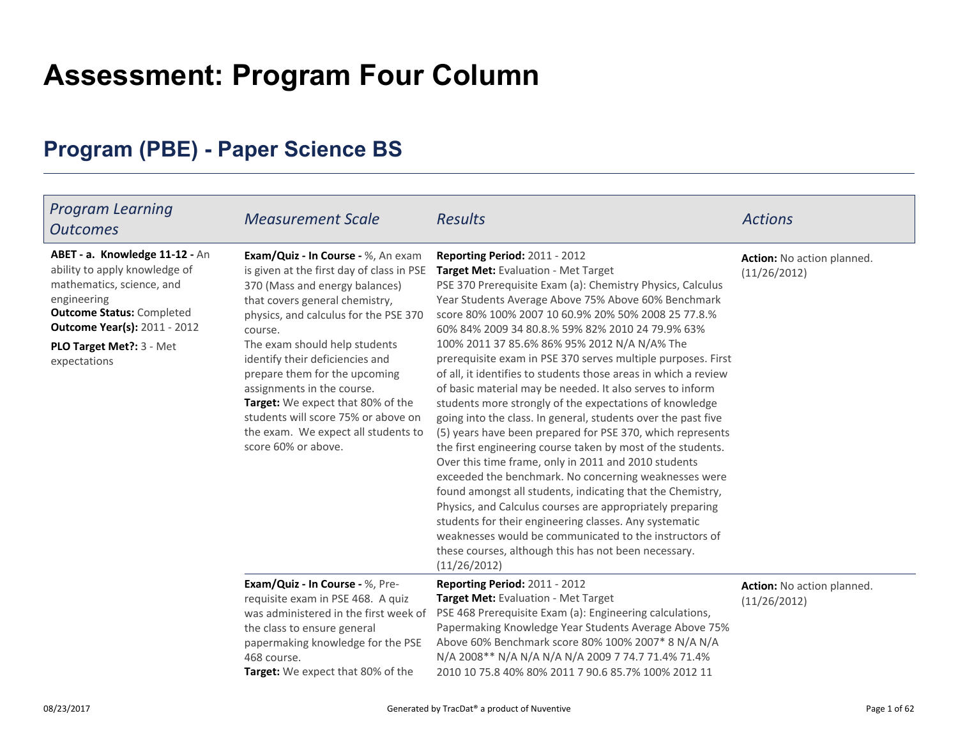# **Assessment: Program Four Column**

# **Program (PBE) - Paper Science BS**

| <b>Program Learning</b><br><b>Outcomes</b>                                                                                                                                                                                          | <b>Measurement Scale</b>                                                                                                                                                                                                                                                                                                                                                                                                                                                             | <b>Results</b>                                                                                                                                                                                                                                                                                                                                                                                                                                                                                                                                                                                                                                                                                                                                                                                                                                                                                                                                                                                                                                                                                                                                                                                                                                               | <b>Actions</b>                             |
|-------------------------------------------------------------------------------------------------------------------------------------------------------------------------------------------------------------------------------------|--------------------------------------------------------------------------------------------------------------------------------------------------------------------------------------------------------------------------------------------------------------------------------------------------------------------------------------------------------------------------------------------------------------------------------------------------------------------------------------|--------------------------------------------------------------------------------------------------------------------------------------------------------------------------------------------------------------------------------------------------------------------------------------------------------------------------------------------------------------------------------------------------------------------------------------------------------------------------------------------------------------------------------------------------------------------------------------------------------------------------------------------------------------------------------------------------------------------------------------------------------------------------------------------------------------------------------------------------------------------------------------------------------------------------------------------------------------------------------------------------------------------------------------------------------------------------------------------------------------------------------------------------------------------------------------------------------------------------------------------------------------|--------------------------------------------|
| ABET - a. Knowledge 11-12 - An<br>ability to apply knowledge of<br>mathematics, science, and<br>engineering<br><b>Outcome Status: Completed</b><br><b>Outcome Year(s): 2011 - 2012</b><br>PLO Target Met ?: 3 - Met<br>expectations | Exam/Quiz - In Course - %, An exam<br>is given at the first day of class in PSE<br>370 (Mass and energy balances)<br>that covers general chemistry,<br>physics, and calculus for the PSE 370<br>course.<br>The exam should help students<br>identify their deficiencies and<br>prepare them for the upcoming<br>assignments in the course.<br>Target: We expect that 80% of the<br>students will score 75% or above on<br>the exam. We expect all students to<br>score 60% or above. | Reporting Period: 2011 - 2012<br><b>Target Met: Evaluation - Met Target</b><br>PSE 370 Prerequisite Exam (a): Chemistry Physics, Calculus<br>Year Students Average Above 75% Above 60% Benchmark<br>score 80% 100% 2007 10 60.9% 20% 50% 2008 25 77.8.%<br>60% 84% 2009 34 80.8.% 59% 82% 2010 24 79.9% 63%<br>100% 2011 37 85.6% 86% 95% 2012 N/A N/A% The<br>prerequisite exam in PSE 370 serves multiple purposes. First<br>of all, it identifies to students those areas in which a review<br>of basic material may be needed. It also serves to inform<br>students more strongly of the expectations of knowledge<br>going into the class. In general, students over the past five<br>(5) years have been prepared for PSE 370, which represents<br>the first engineering course taken by most of the students.<br>Over this time frame, only in 2011 and 2010 students<br>exceeded the benchmark. No concerning weaknesses were<br>found amongst all students, indicating that the Chemistry,<br>Physics, and Calculus courses are appropriately preparing<br>students for their engineering classes. Any systematic<br>weaknesses would be communicated to the instructors of<br>these courses, although this has not been necessary.<br>(11/26/2012) | Action: No action planned.<br>(11/26/2012) |
|                                                                                                                                                                                                                                     | Exam/Quiz - In Course - %, Pre-<br>requisite exam in PSE 468. A quiz<br>was administered in the first week of<br>the class to ensure general<br>papermaking knowledge for the PSE<br>468 course.<br>Target: We expect that 80% of the                                                                                                                                                                                                                                                | <b>Reporting Period: 2011 - 2012</b><br>Target Met: Evaluation - Met Target<br>PSE 468 Prerequisite Exam (a): Engineering calculations,<br>Papermaking Knowledge Year Students Average Above 75%<br>Above 60% Benchmark score 80% 100% 2007* 8 N/A N/A<br>N/A 2008** N/A N/A N/A N/A 2009 7 74.7 71.4% 71.4%<br>2010 10 75.8 40% 80% 2011 7 90.6 85.7% 100% 2012 11                                                                                                                                                                                                                                                                                                                                                                                                                                                                                                                                                                                                                                                                                                                                                                                                                                                                                          | Action: No action planned.<br>(11/26/2012) |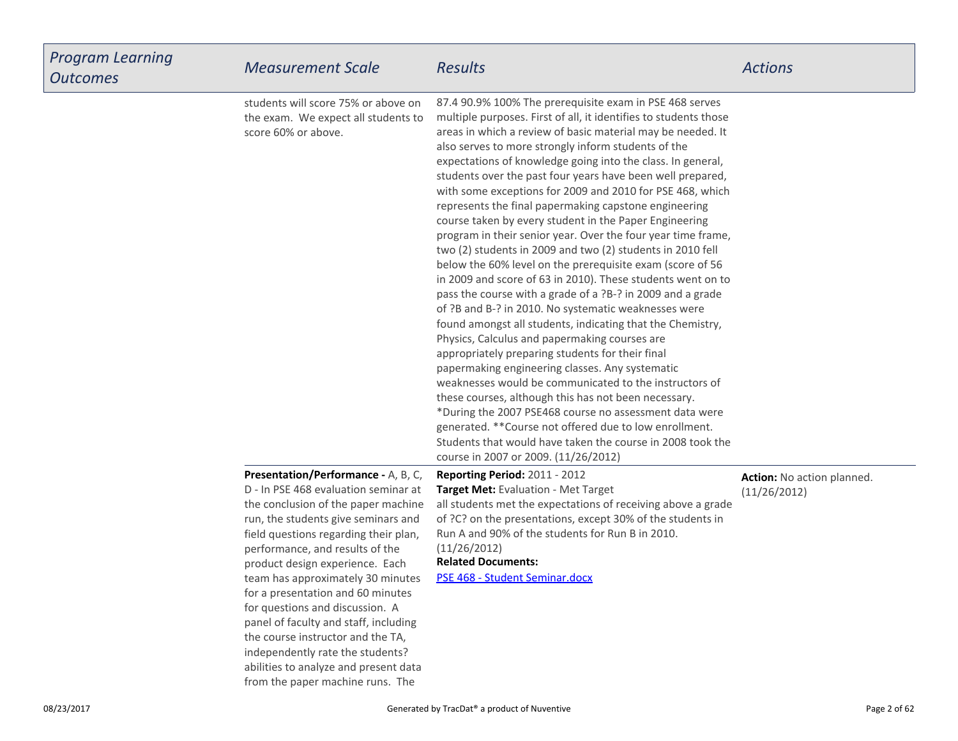| Program Learning<br>Outcomes | <b>Measurement Scale</b>                                                                                                                                                                                                                                                                                                                                                                                                                                                                                                                                                             | <b>Results</b>                                                                                                                                                                                                                                                                                                                                                                                                                                                                                                                                                                                                                                                                                                                                                                                                                                                                                                                                                                                                                                                                                                                                                                                                                                                                                                                                                                                                                                                                                                    | <b>Actions</b>                             |
|------------------------------|--------------------------------------------------------------------------------------------------------------------------------------------------------------------------------------------------------------------------------------------------------------------------------------------------------------------------------------------------------------------------------------------------------------------------------------------------------------------------------------------------------------------------------------------------------------------------------------|-------------------------------------------------------------------------------------------------------------------------------------------------------------------------------------------------------------------------------------------------------------------------------------------------------------------------------------------------------------------------------------------------------------------------------------------------------------------------------------------------------------------------------------------------------------------------------------------------------------------------------------------------------------------------------------------------------------------------------------------------------------------------------------------------------------------------------------------------------------------------------------------------------------------------------------------------------------------------------------------------------------------------------------------------------------------------------------------------------------------------------------------------------------------------------------------------------------------------------------------------------------------------------------------------------------------------------------------------------------------------------------------------------------------------------------------------------------------------------------------------------------------|--------------------------------------------|
|                              | students will score 75% or above on<br>the exam. We expect all students to<br>score 60% or above.                                                                                                                                                                                                                                                                                                                                                                                                                                                                                    | 87.4 90.9% 100% The prerequisite exam in PSE 468 serves<br>multiple purposes. First of all, it identifies to students those<br>areas in which a review of basic material may be needed. It<br>also serves to more strongly inform students of the<br>expectations of knowledge going into the class. In general,<br>students over the past four years have been well prepared,<br>with some exceptions for 2009 and 2010 for PSE 468, which<br>represents the final papermaking capstone engineering<br>course taken by every student in the Paper Engineering<br>program in their senior year. Over the four year time frame,<br>two (2) students in 2009 and two (2) students in 2010 fell<br>below the 60% level on the prerequisite exam (score of 56<br>in 2009 and score of 63 in 2010). These students went on to<br>pass the course with a grade of a ?B-? in 2009 and a grade<br>of ?B and B-? in 2010. No systematic weaknesses were<br>found amongst all students, indicating that the Chemistry,<br>Physics, Calculus and papermaking courses are<br>appropriately preparing students for their final<br>papermaking engineering classes. Any systematic<br>weaknesses would be communicated to the instructors of<br>these courses, although this has not been necessary.<br>*During the 2007 PSE468 course no assessment data were<br>generated. ** Course not offered due to low enrollment.<br>Students that would have taken the course in 2008 took the<br>course in 2007 or 2009. (11/26/2012) |                                            |
|                              | Presentation/Performance - A, B, C,<br>D - In PSE 468 evaluation seminar at<br>the conclusion of the paper machine<br>run, the students give seminars and<br>field questions regarding their plan,<br>performance, and results of the<br>product design experience. Each<br>team has approximately 30 minutes<br>for a presentation and 60 minutes<br>for questions and discussion. A<br>panel of faculty and staff, including<br>the course instructor and the TA,<br>independently rate the students?<br>abilities to analyze and present data<br>from the paper machine runs. The | Reporting Period: 2011 - 2012<br>Target Met: Evaluation - Met Target<br>all students met the expectations of receiving above a grade<br>of ?C? on the presentations, except 30% of the students in<br>Run A and 90% of the students for Run B in 2010.<br>(11/26/2012)<br><b>Related Documents:</b><br>PSE 468 - Student Seminar.docx                                                                                                                                                                                                                                                                                                                                                                                                                                                                                                                                                                                                                                                                                                                                                                                                                                                                                                                                                                                                                                                                                                                                                                             | Action: No action planned.<br>(11/26/2012) |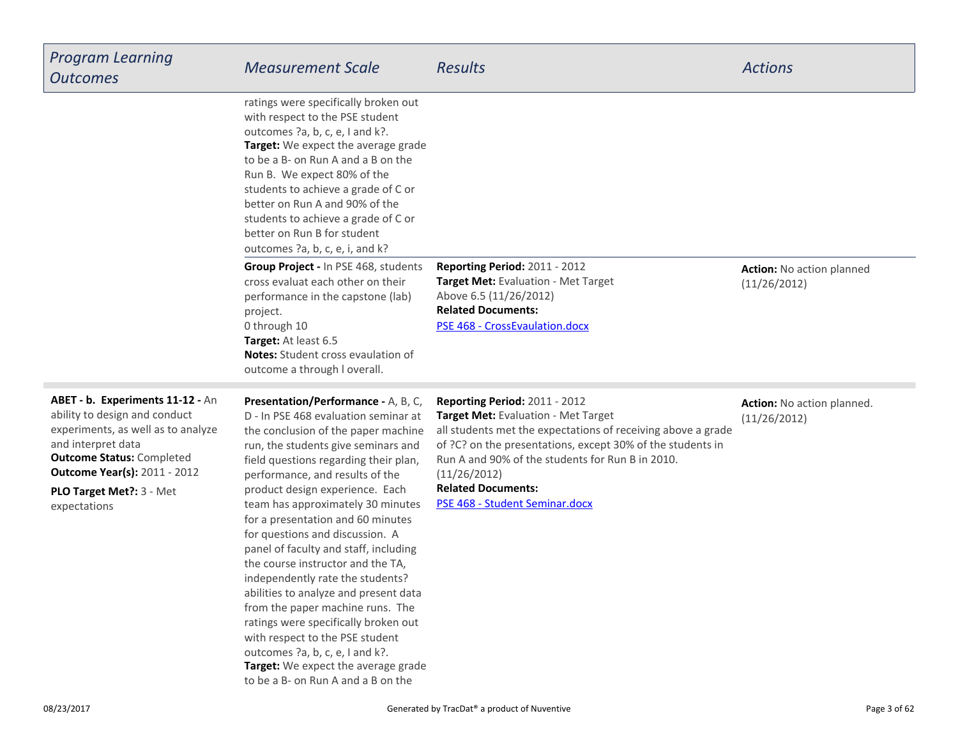| <b>Program Learning</b><br><b>Outcomes</b>                                                                                                                                                                                                            | <b>Measurement Scale</b>                                                                                                                                                                                                                                                                                                                                                                                                                                                                                                                                                                                                                                                                                                                                                        | <b>Results</b>                                                                                                                                                                                                                                                                                                                        | <b>Actions</b>                                   |
|-------------------------------------------------------------------------------------------------------------------------------------------------------------------------------------------------------------------------------------------------------|---------------------------------------------------------------------------------------------------------------------------------------------------------------------------------------------------------------------------------------------------------------------------------------------------------------------------------------------------------------------------------------------------------------------------------------------------------------------------------------------------------------------------------------------------------------------------------------------------------------------------------------------------------------------------------------------------------------------------------------------------------------------------------|---------------------------------------------------------------------------------------------------------------------------------------------------------------------------------------------------------------------------------------------------------------------------------------------------------------------------------------|--------------------------------------------------|
|                                                                                                                                                                                                                                                       | ratings were specifically broken out<br>with respect to the PSE student<br>outcomes ?a, b, c, e, I and k?.<br>Target: We expect the average grade<br>to be a B- on Run A and a B on the<br>Run B. We expect 80% of the<br>students to achieve a grade of C or<br>better on Run A and 90% of the<br>students to achieve a grade of C or<br>better on Run B for student<br>outcomes ?a, b, c, e, i, and k?                                                                                                                                                                                                                                                                                                                                                                        |                                                                                                                                                                                                                                                                                                                                       |                                                  |
|                                                                                                                                                                                                                                                       | Group Project - In PSE 468, students<br>cross evaluat each other on their<br>performance in the capstone (lab)<br>project.<br>0 through 10<br>Target: At least 6.5<br><b>Notes:</b> Student cross evaulation of<br>outcome a through I overall.                                                                                                                                                                                                                                                                                                                                                                                                                                                                                                                                 | <b>Reporting Period: 2011 - 2012</b><br>Target Met: Evaluation - Met Target<br>Above 6.5 (11/26/2012)<br><b>Related Documents:</b><br>PSE 468 - CrossEvaulation.docx                                                                                                                                                                  | <b>Action:</b> No action planned<br>(11/26/2012) |
| ABET - b. Experiments 11-12 - An<br>ability to design and conduct<br>experiments, as well as to analyze<br>and interpret data<br><b>Outcome Status: Completed</b><br><b>Outcome Year(s): 2011 - 2012</b><br>PLO Target Met ?: 3 - Met<br>expectations | Presentation/Performance - A, B, C,<br>D - In PSE 468 evaluation seminar at<br>the conclusion of the paper machine<br>run, the students give seminars and<br>field questions regarding their plan,<br>performance, and results of the<br>product design experience. Each<br>team has approximately 30 minutes<br>for a presentation and 60 minutes<br>for questions and discussion. A<br>panel of faculty and staff, including<br>the course instructor and the TA,<br>independently rate the students?<br>abilities to analyze and present data<br>from the paper machine runs. The<br>ratings were specifically broken out<br>with respect to the PSE student<br>outcomes ?a, b, c, e, I and k?.<br>Target: We expect the average grade<br>to be a B- on Run A and a B on the | Reporting Period: 2011 - 2012<br>Target Met: Evaluation - Met Target<br>all students met the expectations of receiving above a grade<br>of ?C? on the presentations, except 30% of the students in<br>Run A and 90% of the students for Run B in 2010.<br>(11/26/2012)<br><b>Related Documents:</b><br>PSE 468 - Student Seminar.docx | Action: No action planned.<br>(11/26/2012)       |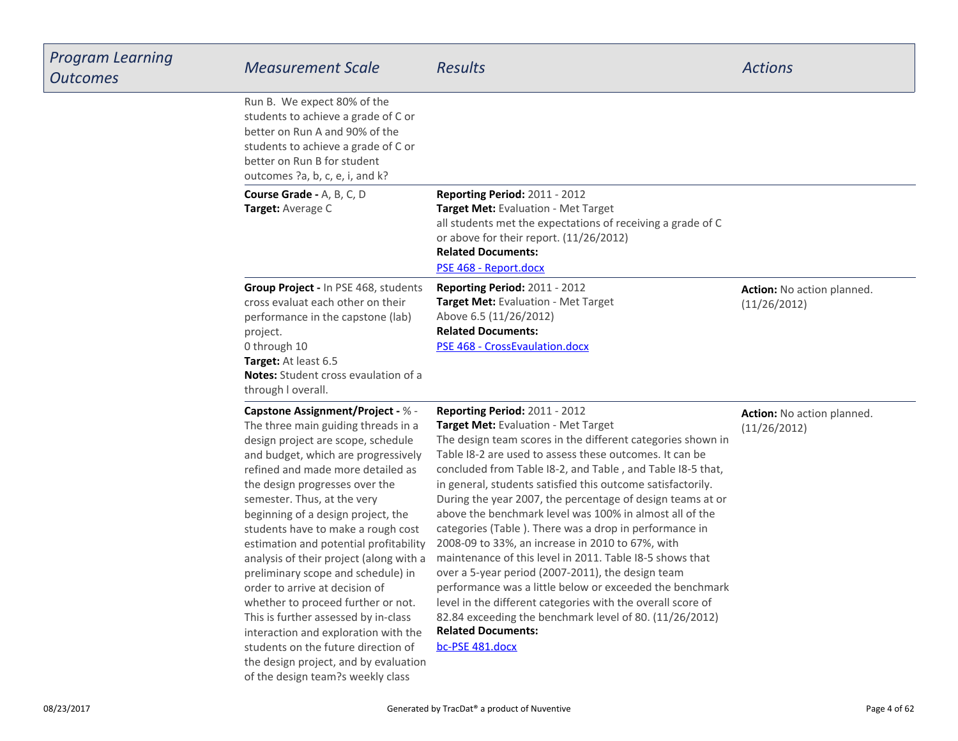| Program Learning<br><b>Outcomes</b> | <b>Measurement Scale</b>                                                                                                                                                                                                                                                                                                                                                                                                                                                                                                                                                                                                                                                                                                                        | Results                                                                                                                                                                                                                                                                                                                                                                                                                                                                                                                                                                                                                                                                                                                                                                                                                                                                                                                   | <b>Actions</b>                             |
|-------------------------------------|-------------------------------------------------------------------------------------------------------------------------------------------------------------------------------------------------------------------------------------------------------------------------------------------------------------------------------------------------------------------------------------------------------------------------------------------------------------------------------------------------------------------------------------------------------------------------------------------------------------------------------------------------------------------------------------------------------------------------------------------------|---------------------------------------------------------------------------------------------------------------------------------------------------------------------------------------------------------------------------------------------------------------------------------------------------------------------------------------------------------------------------------------------------------------------------------------------------------------------------------------------------------------------------------------------------------------------------------------------------------------------------------------------------------------------------------------------------------------------------------------------------------------------------------------------------------------------------------------------------------------------------------------------------------------------------|--------------------------------------------|
|                                     | Run B. We expect 80% of the<br>students to achieve a grade of C or<br>better on Run A and 90% of the<br>students to achieve a grade of C or<br>better on Run B for student<br>outcomes ?a, b, c, e, i, and k?                                                                                                                                                                                                                                                                                                                                                                                                                                                                                                                                   |                                                                                                                                                                                                                                                                                                                                                                                                                                                                                                                                                                                                                                                                                                                                                                                                                                                                                                                           |                                            |
|                                     | Course Grade - A, B, C, D<br>Target: Average C                                                                                                                                                                                                                                                                                                                                                                                                                                                                                                                                                                                                                                                                                                  | Reporting Period: 2011 - 2012<br>Target Met: Evaluation - Met Target<br>all students met the expectations of receiving a grade of C<br>or above for their report. (11/26/2012)<br><b>Related Documents:</b><br>PSE 468 - Report.docx                                                                                                                                                                                                                                                                                                                                                                                                                                                                                                                                                                                                                                                                                      |                                            |
|                                     | Group Project - In PSE 468, students<br>cross evaluat each other on their<br>performance in the capstone (lab)<br>project.<br>0 through 10<br>Target: At least 6.5<br>Notes: Student cross evaulation of a<br>through I overall.                                                                                                                                                                                                                                                                                                                                                                                                                                                                                                                | Reporting Period: 2011 - 2012<br>Target Met: Evaluation - Met Target<br>Above 6.5 (11/26/2012)<br><b>Related Documents:</b><br>PSE 468 - CrossEvaulation.docx                                                                                                                                                                                                                                                                                                                                                                                                                                                                                                                                                                                                                                                                                                                                                             | Action: No action planned.<br>(11/26/2012) |
|                                     | Capstone Assignment/Project - % -<br>The three main guiding threads in a<br>design project are scope, schedule<br>and budget, which are progressively<br>refined and made more detailed as<br>the design progresses over the<br>semester. Thus, at the very<br>beginning of a design project, the<br>students have to make a rough cost<br>estimation and potential profitability<br>analysis of their project (along with a<br>preliminary scope and schedule) in<br>order to arrive at decision of<br>whether to proceed further or not.<br>This is further assessed by in-class<br>interaction and exploration with the<br>students on the future direction of<br>the design project, and by evaluation<br>of the design team?s weekly class | Reporting Period: 2011 - 2012<br>Target Met: Evaluation - Met Target<br>The design team scores in the different categories shown in<br>Table I8-2 are used to assess these outcomes. It can be<br>concluded from Table I8-2, and Table, and Table I8-5 that,<br>in general, students satisfied this outcome satisfactorily.<br>During the year 2007, the percentage of design teams at or<br>above the benchmark level was 100% in almost all of the<br>categories (Table). There was a drop in performance in<br>2008-09 to 33%, an increase in 2010 to 67%, with<br>maintenance of this level in 2011. Table I8-5 shows that<br>over a 5-year period (2007-2011), the design team<br>performance was a little below or exceeded the benchmark<br>level in the different categories with the overall score of<br>82.84 exceeding the benchmark level of 80. (11/26/2012)<br><b>Related Documents:</b><br>bc-PSE 481.docx | Action: No action planned.<br>(11/26/2012) |

L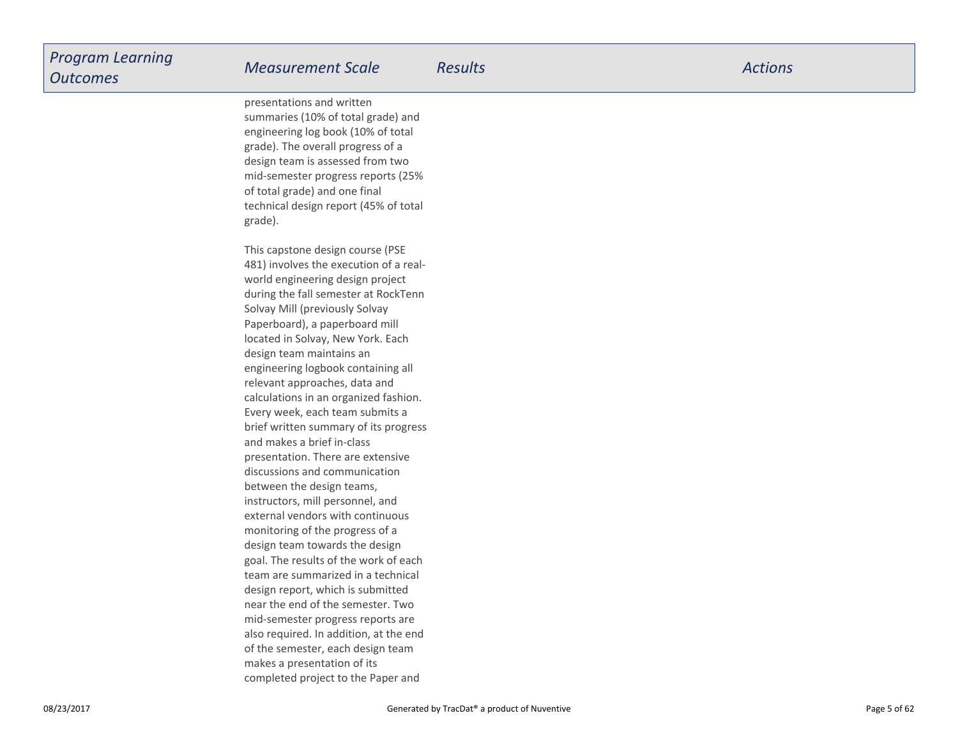presentations and written summaries (10% of total grade) and engineering log book (10% of totalgrade). The overall progress of a design team is assessed from two mid-semester progress reports (25%of total grade) and one finaltechnical design report (45% of totalgrade).

This capstone design course (PSE 481) involves the execution of a realworld engineering design project during the fall semester at RockTennSolvay Mill (previously Solvay Paperboard), a paperboard milllocated in Solvay, New York. Eachdesign team maintains an engineering logbook containing allrelevant approaches, data and calculations in an organized fashion.Every week, each team submits a brief written summary of its progressand makes a brief in-classpresentation. There are extensivediscussions and communicationbetween the design teams,instructors, mill personnel, and external vendors with continuousmonitoring of the progress of a design team towards the design goal. The results of the work of each team are summarized in a technicaldesign report, which is submitted near the end of the semester. Two mid-semester progress reports are also required. In addition, at the endof the semester, each design teammakes a presentation of itscompleted project to the Paper and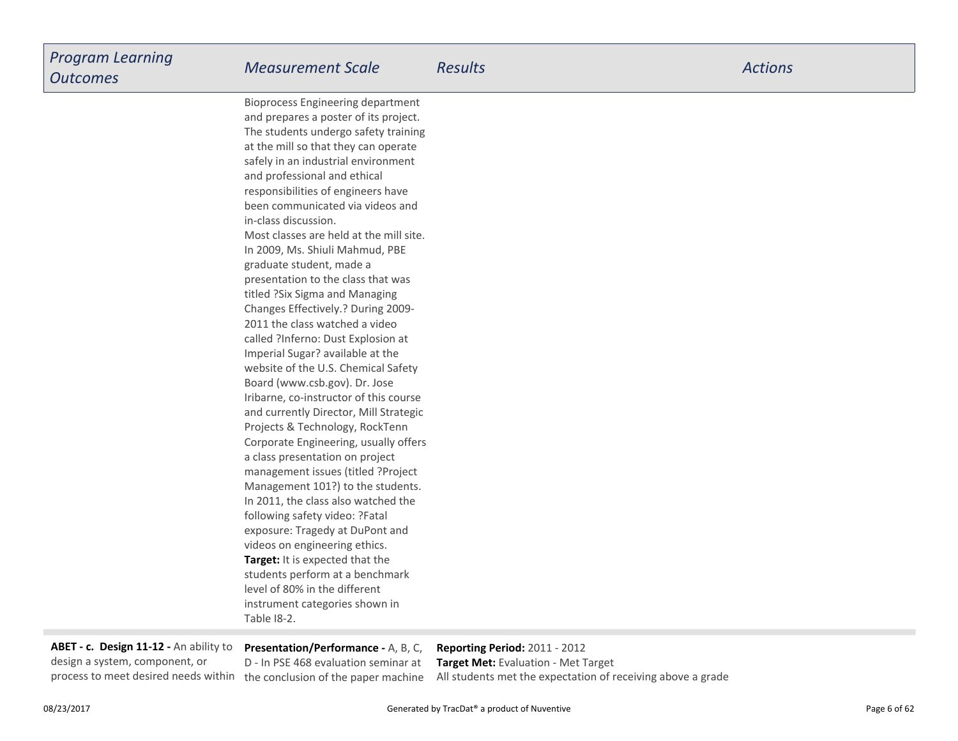**Target:** It is expected that the students perform at a benchmarklevel of 80% in the different instrument categories shown inTable I8-2.Bioprocess Engineering department and prepares a poster of its project.The students undergo safety trainingat the mill so that they can operate safely in an industrial environmentand professional and ethicalresponsibilities of engineers have been communicated via videos andin-class discussion.Most classes are held at the mill site.In 2009, Ms. Shiuli Mahmud, PBEgraduate student, made a presentation to the class that wastitled ?Six Sigma and Managing Changes Effectively.? During 2009-2011 the class watched a video called ?Inferno: Dust Explosion atImperial Sugar? available at the website of the U.S. Chemical SafetyBoard (www.csb.gov). Dr. Jose Iribarne, co-instructor of this course and currently Director, Mill StrategicProjects & Technology, RockTenn Corporate Engineering, usually offersa class presentation on projectmanagement issues (titled ?ProjectManagement 101?) to the students.In 2011, the class also watched thefollowing safety video: ?Fatalexposure: Tragedy at DuPont andvideos on engineering ethics.

**ABET - c. Design 11-12 -** An ability todesign a system, component, or

**Presentation/Performance -** A, B, C,D - In PSE 468 evaluation seminar atprocess to meet desired needs within the conclusion of the paper machine

**Reporting Period:** 2011 - 2012 **Target Met:** Evaluation - Met TargetAll students met the expectation of receiving above a grade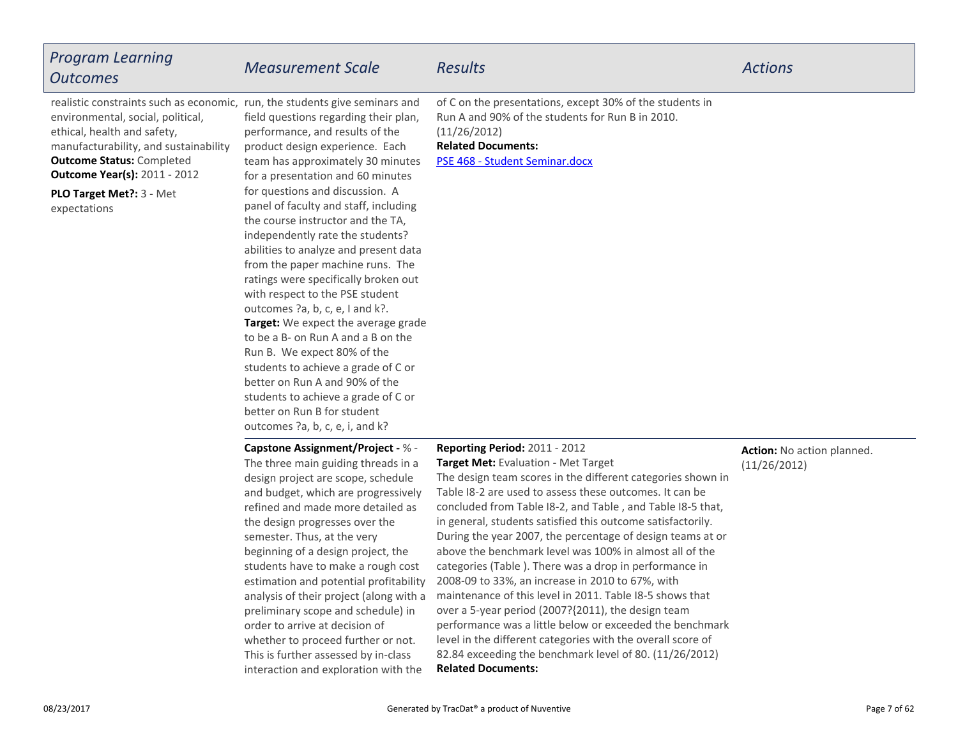| <b>Program Learning</b><br><b>Outcomes</b>                                                                                                                                                                                                                                                                       | <b>Measurement Scale</b>                                                                                                                                                                                                                                                                                                                                                                                                                                                                                                                                                                                                                                                                                                                                                                                                            | <b>Results</b>                                                                                                                                                                                                                                                                                                                                                                                                                                                                                                                                                                                                                                                                                                                                                                                                                                                                                           | <b>Actions</b>                             |
|------------------------------------------------------------------------------------------------------------------------------------------------------------------------------------------------------------------------------------------------------------------------------------------------------------------|-------------------------------------------------------------------------------------------------------------------------------------------------------------------------------------------------------------------------------------------------------------------------------------------------------------------------------------------------------------------------------------------------------------------------------------------------------------------------------------------------------------------------------------------------------------------------------------------------------------------------------------------------------------------------------------------------------------------------------------------------------------------------------------------------------------------------------------|----------------------------------------------------------------------------------------------------------------------------------------------------------------------------------------------------------------------------------------------------------------------------------------------------------------------------------------------------------------------------------------------------------------------------------------------------------------------------------------------------------------------------------------------------------------------------------------------------------------------------------------------------------------------------------------------------------------------------------------------------------------------------------------------------------------------------------------------------------------------------------------------------------|--------------------------------------------|
| realistic constraints such as economic, run, the students give seminars and<br>environmental, social, political,<br>ethical, health and safety,<br>manufacturability, and sustainability<br><b>Outcome Status: Completed</b><br><b>Outcome Year(s): 2011 - 2012</b><br>PLO Target Met ?: 3 - Met<br>expectations | field questions regarding their plan,<br>performance, and results of the<br>product design experience. Each<br>team has approximately 30 minutes<br>for a presentation and 60 minutes<br>for questions and discussion. A<br>panel of faculty and staff, including<br>the course instructor and the TA,<br>independently rate the students?<br>abilities to analyze and present data<br>from the paper machine runs. The<br>ratings were specifically broken out<br>with respect to the PSE student<br>outcomes ?a, b, c, e, I and k?.<br>Target: We expect the average grade<br>to be a B- on Run A and a B on the<br>Run B. We expect 80% of the<br>students to achieve a grade of C or<br>better on Run A and 90% of the<br>students to achieve a grade of C or<br>better on Run B for student<br>outcomes ?a, b, c, e, i, and k? | of C on the presentations, except 30% of the students in<br>Run A and 90% of the students for Run B in 2010.<br>(11/26/2012)<br><b>Related Documents:</b><br>PSE 468 - Student Seminar.docx                                                                                                                                                                                                                                                                                                                                                                                                                                                                                                                                                                                                                                                                                                              |                                            |
|                                                                                                                                                                                                                                                                                                                  | Capstone Assignment/Project - % -<br>The three main guiding threads in a<br>design project are scope, schedule<br>and budget, which are progressively<br>refined and made more detailed as<br>the design progresses over the<br>semester. Thus, at the very<br>beginning of a design project, the<br>students have to make a rough cost<br>estimation and potential profitability<br>analysis of their project (along with a<br>preliminary scope and schedule) in<br>order to arrive at decision of<br>whether to proceed further or not.<br>This is further assessed by in-class<br>interaction and exploration with the                                                                                                                                                                                                          | Reporting Period: 2011 - 2012<br>Target Met: Evaluation - Met Target<br>The design team scores in the different categories shown in<br>Table I8-2 are used to assess these outcomes. It can be<br>concluded from Table I8-2, and Table, and Table I8-5 that,<br>in general, students satisfied this outcome satisfactorily.<br>During the year 2007, the percentage of design teams at or<br>above the benchmark level was 100% in almost all of the<br>categories (Table ). There was a drop in performance in<br>2008-09 to 33%, an increase in 2010 to 67%, with<br>maintenance of this level in 2011. Table I8-5 shows that<br>over a 5-year period (2007?{2011), the design team<br>performance was a little below or exceeded the benchmark<br>level in the different categories with the overall score of<br>82.84 exceeding the benchmark level of 80. (11/26/2012)<br><b>Related Documents:</b> | Action: No action planned.<br>(11/26/2012) |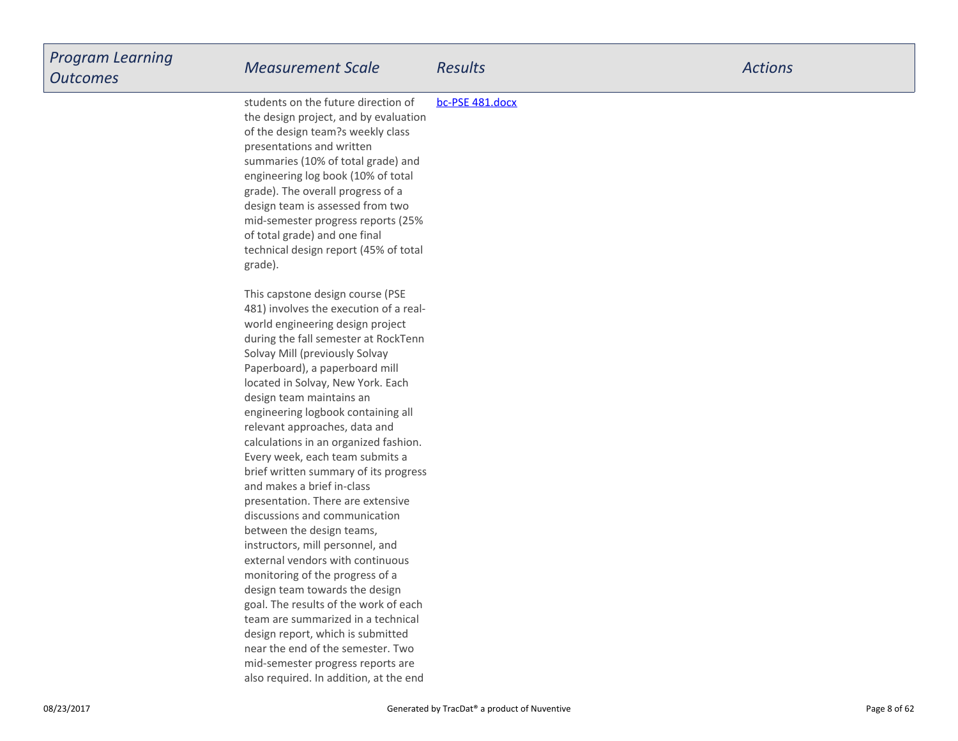| <b>Program Learning</b><br><b>Outcomes</b> | <b>Measurement Scale</b>                                                                                                                                                                                                                                                                                                                                                                                                                                                                                                                                                                                                                                                                                                                                                                                                                                                                  | <b>Results</b>  | <b>Actions</b> |
|--------------------------------------------|-------------------------------------------------------------------------------------------------------------------------------------------------------------------------------------------------------------------------------------------------------------------------------------------------------------------------------------------------------------------------------------------------------------------------------------------------------------------------------------------------------------------------------------------------------------------------------------------------------------------------------------------------------------------------------------------------------------------------------------------------------------------------------------------------------------------------------------------------------------------------------------------|-----------------|----------------|
|                                            | students on the future direction of<br>the design project, and by evaluation<br>of the design team?s weekly class<br>presentations and written<br>summaries (10% of total grade) and<br>engineering log book (10% of total<br>grade). The overall progress of a<br>design team is assessed from two<br>mid-semester progress reports (25%<br>of total grade) and one final<br>technical design report (45% of total<br>grade).                                                                                                                                                                                                                                                                                                                                                                                                                                                            | bc-PSE 481.docx |                |
|                                            | This capstone design course (PSE<br>481) involves the execution of a real-<br>world engineering design project<br>during the fall semester at RockTenn<br>Solvay Mill (previously Solvay<br>Paperboard), a paperboard mill<br>located in Solvay, New York. Each<br>design team maintains an<br>engineering logbook containing all<br>relevant approaches, data and<br>calculations in an organized fashion.<br>Every week, each team submits a<br>brief written summary of its progress<br>and makes a brief in-class<br>presentation. There are extensive<br>discussions and communication<br>between the design teams,<br>instructors, mill personnel, and<br>external vendors with continuous<br>monitoring of the progress of a<br>design team towards the design<br>goal. The results of the work of each<br>team are summarized in a technical<br>design report, which is submitted |                 |                |
|                                            | near the end of the semester. Two<br>mid-semester progress reports are<br>also required. In addition, at the end                                                                                                                                                                                                                                                                                                                                                                                                                                                                                                                                                                                                                                                                                                                                                                          |                 |                |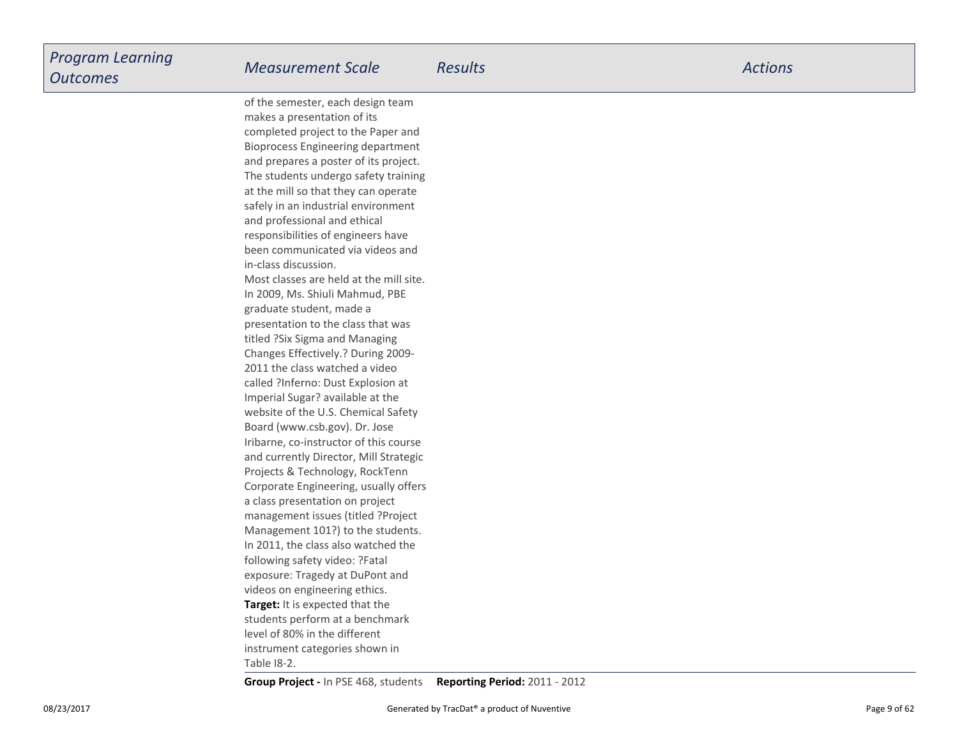**Target:** It is expected that the students perform at a benchmarklevel of 80% in the differentinstrument categories shown inof the semester, each design teammakes a presentation of its completed project to the Paper and Bioprocess Engineering department and prepares a poster of its project.The students undergo safety trainingat the mill so that they can operate safely in an industrial environmentand professional and ethicalresponsibilities of engineers have been communicated via videos andin-class discussion.Most classes are held at the mill site.In 2009, Ms. Shiuli Mahmud, PBEgraduate student, made a presentation to the class that wastitled ?Six Sigma and Managing Changes Effectively.? During 2009-2011 the class watched a video called ?Inferno: Dust Explosion atImperial Sugar? available at the website of the U.S. Chemical SafetyBoard (www.csb.gov). Dr. Jose Iribarne, co-instructor of this course and currently Director, Mill StrategicProjects & Technology, RockTenn Corporate Engineering, usually offersa class presentation on project management issues (titled ?ProjectManagement 101?) to the students.In 2011, the class also watched thefollowing safety video: ?Fatalexposure: Tragedy at DuPont andvideos on engineering ethics.

Table I8-2.

**Group Project -** In PSE 468, students**Reporting Period:** 2011 - 2012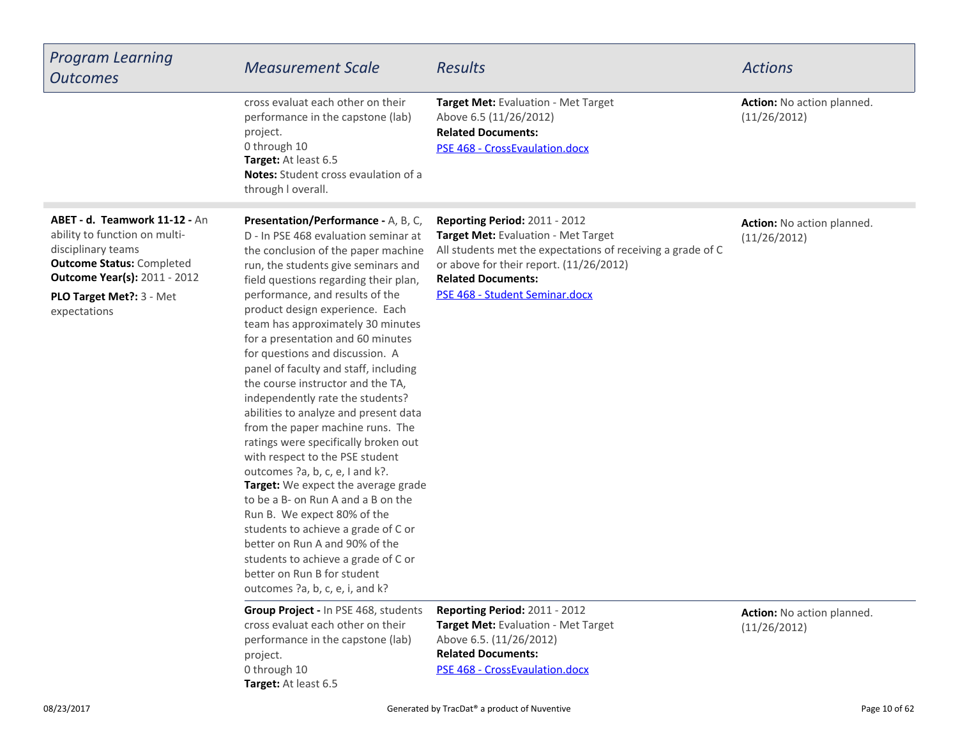| <b>Program Learning</b><br><b>Outcomes</b>                                                                                                                                                                   | <b>Measurement Scale</b>                                                                                                                                                                                                                                                                                                                                                                                                                                                                                                                                                                                                                                                                                                                                                                                                                                                                                                                                                                         | <b>Results</b>                                                                                                                                                                                                                                | <b>Actions</b>                             |
|--------------------------------------------------------------------------------------------------------------------------------------------------------------------------------------------------------------|--------------------------------------------------------------------------------------------------------------------------------------------------------------------------------------------------------------------------------------------------------------------------------------------------------------------------------------------------------------------------------------------------------------------------------------------------------------------------------------------------------------------------------------------------------------------------------------------------------------------------------------------------------------------------------------------------------------------------------------------------------------------------------------------------------------------------------------------------------------------------------------------------------------------------------------------------------------------------------------------------|-----------------------------------------------------------------------------------------------------------------------------------------------------------------------------------------------------------------------------------------------|--------------------------------------------|
|                                                                                                                                                                                                              | cross evaluat each other on their<br>performance in the capstone (lab)<br>project.<br>0 through 10<br>Target: At least 6.5<br>Notes: Student cross evaulation of a<br>through I overall.                                                                                                                                                                                                                                                                                                                                                                                                                                                                                                                                                                                                                                                                                                                                                                                                         | Target Met: Evaluation - Met Target<br>Above 6.5 (11/26/2012)<br><b>Related Documents:</b><br>PSE 468 - CrossEvaulation.docx                                                                                                                  | Action: No action planned.<br>(11/26/2012) |
| ABET - d. Teamwork 11-12 - An<br>ability to function on multi-<br>disciplinary teams<br><b>Outcome Status: Completed</b><br><b>Outcome Year(s): 2011 - 2012</b><br>PLO Target Met ?: 3 - Met<br>expectations | Presentation/Performance - A, B, C,<br>D - In PSE 468 evaluation seminar at<br>the conclusion of the paper machine<br>run, the students give seminars and<br>field questions regarding their plan,<br>performance, and results of the<br>product design experience. Each<br>team has approximately 30 minutes<br>for a presentation and 60 minutes<br>for questions and discussion. A<br>panel of faculty and staff, including<br>the course instructor and the TA,<br>independently rate the students?<br>abilities to analyze and present data<br>from the paper machine runs. The<br>ratings were specifically broken out<br>with respect to the PSE student<br>outcomes ?a, b, c, e, I and k?.<br>Target: We expect the average grade<br>to be a B- on Run A and a B on the<br>Run B. We expect 80% of the<br>students to achieve a grade of C or<br>better on Run A and 90% of the<br>students to achieve a grade of C or<br>better on Run B for student<br>outcomes ?a, b, c, e, i, and k? | Reporting Period: 2011 - 2012<br>Target Met: Evaluation - Met Target<br>All students met the expectations of receiving a grade of C<br>or above for their report. (11/26/2012)<br><b>Related Documents:</b><br>PSE 468 - Student Seminar.docx | Action: No action planned.<br>(11/26/2012) |
|                                                                                                                                                                                                              | <b>Group Project - In PSE 468, students</b><br>cross evaluat each other on their<br>performance in the capstone (lab)<br>project.<br>0 through 10<br>Target: At least 6.5                                                                                                                                                                                                                                                                                                                                                                                                                                                                                                                                                                                                                                                                                                                                                                                                                        | Reporting Period: 2011 - 2012<br>Target Met: Evaluation - Met Target<br>Above 6.5. (11/26/2012)<br><b>Related Documents:</b><br>PSE 468 - CrossEvaulation.docx                                                                                | Action: No action planned.<br>(11/26/2012) |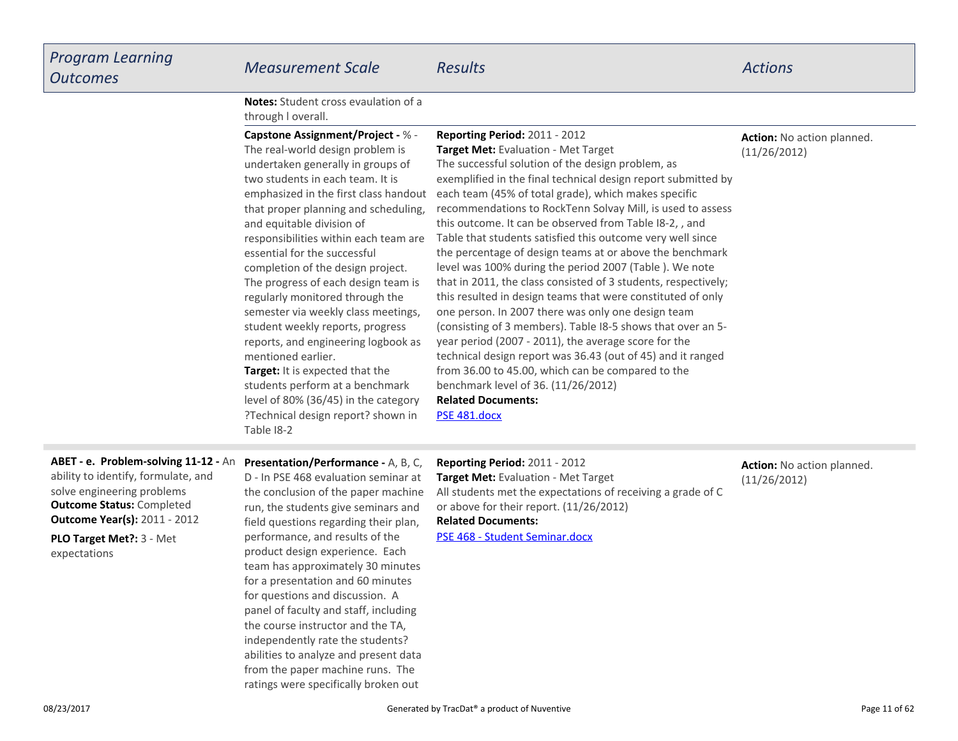| <b>Notes:</b> Student cross evaulation of a |  |
|---------------------------------------------|--|
| through I overall.                          |  |

| <b>Capstone Assignment/Project - % -</b><br>The real-world design problem is<br>undertaken generally in groups of<br>two students in each team. It is<br>emphasized in the first class handout<br>that proper planning and scheduling,<br>and equitable division of<br>responsibilities within each team are<br>essential for the successful<br>completion of the design project.<br>The progress of each design team is<br>regularly monitored through the<br>semester via weekly class meetings,<br>student weekly reports, progress<br>reports, and engineering logbook as<br>mentioned earlier.<br><b>Target:</b> It is expected that the<br>students perform at a benchmark<br>level of 80% (36/45) in the category<br>?Technical design report? shown in<br>Table 18-2 | <b>Reporting Period: 2011 - 2012</b><br><b>Target Met:</b> Evaluation - Met Target<br>The successful solution of the design problem, as<br>exemplified in the final technical design report submitted by<br>each team (45% of total grade), which makes specific<br>recommendations to RockTenn Solvay Mill, is used to assess<br>this outcome. It can be observed from Table I8-2,, and<br>Table that students satisfied this outcome very well since<br>the percentage of design teams at or above the benchmark<br>level was 100% during the period 2007 (Table). We note<br>that in 2011, the class consisted of 3 students, respectively;<br>this resulted in design teams that were constituted of only<br>one person. In 2007 there was only one design team<br>(consisting of 3 members). Table 18-5 shows that over an 5-<br>year period (2007 - 2011), the average score for the<br>technical design report was 36.43 (out of 45) and it ranged<br>from 36.00 to 45.00, which can be compared to the<br>benchmark level of 36. (11/26/2012)<br><b>Related Documents:</b><br>PSE 481.docx | <b>Action:</b> No action planned.<br>(11/26/2012) |
|------------------------------------------------------------------------------------------------------------------------------------------------------------------------------------------------------------------------------------------------------------------------------------------------------------------------------------------------------------------------------------------------------------------------------------------------------------------------------------------------------------------------------------------------------------------------------------------------------------------------------------------------------------------------------------------------------------------------------------------------------------------------------|----------------------------------------------------------------------------------------------------------------------------------------------------------------------------------------------------------------------------------------------------------------------------------------------------------------------------------------------------------------------------------------------------------------------------------------------------------------------------------------------------------------------------------------------------------------------------------------------------------------------------------------------------------------------------------------------------------------------------------------------------------------------------------------------------------------------------------------------------------------------------------------------------------------------------------------------------------------------------------------------------------------------------------------------------------------------------------------------------|---------------------------------------------------|
|                                                                                                                                                                                                                                                                                                                                                                                                                                                                                                                                                                                                                                                                                                                                                                              |                                                                                                                                                                                                                                                                                                                                                                                                                                                                                                                                                                                                                                                                                                                                                                                                                                                                                                                                                                                                                                                                                                    |                                                   |

# **ABET - e. Problem-solving 11-12 - An Presentation/Performance - A, B, C,**

**Outcome Status:** Completed **Outcome Year(s):** 2011 - 2012ability to identify, formulate, andsolve engineering problems

**PLO Target Met?:** 3 - Metexpectations

D - In PSE 468 evaluation seminar at the conclusion of the paper machine run, the students give seminars and field questions regarding their plan,performance, and results of the product design experience. Each team has approximately 30 minutesfor a presentation and 60 minutesfor questions and discussion. A panel of faculty and staff, includingthe course instructor and the TA,independently rate the students? abilities to analyze and present data from the paper machine runs. Theratings were specifically broken out

**Related Documents:**[PSE 468 - Student Seminar.docx](https://esf.tracdat.com:443/tracdat/viewDocument?y=bce5WZ2Y1MBZ)**Reporting Period:** 2011 - 2012 **Target Met:** Evaluation - Met Target All students met the expectations of receiving a grade of Cor above for their report. (11/26/2012)

### **Action:** No action planned.(11/26/2012)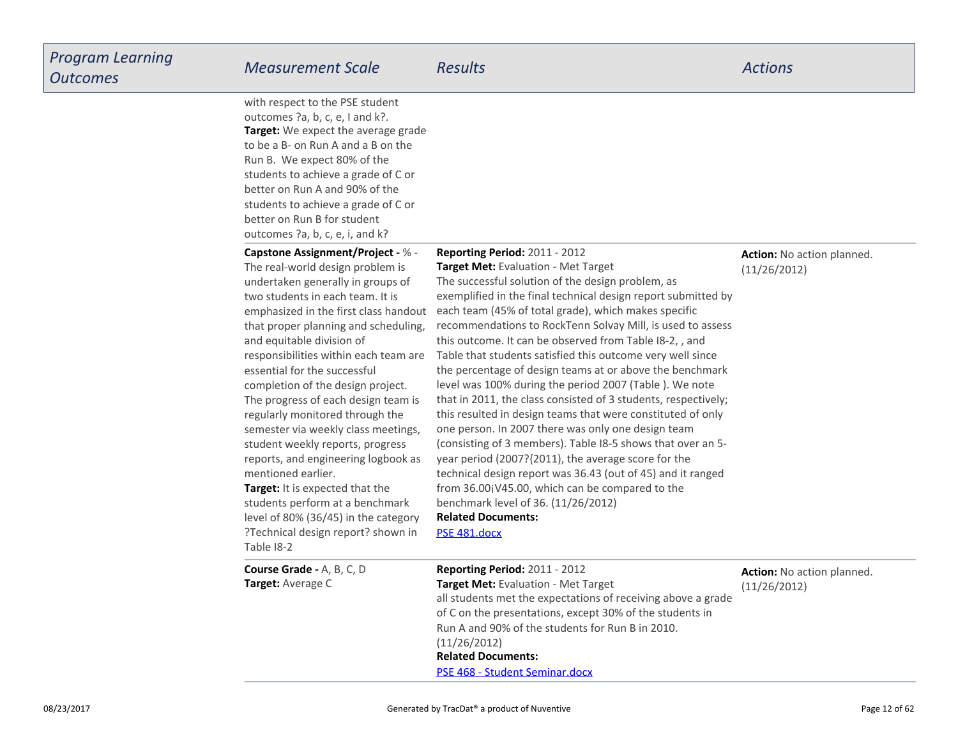| <b>Program Learning</b><br><b>Outcomes</b> | <b>Measurement Scale</b>                                                                                                                                                                                                                                                                                                                                                                                                                                                                                                                                                                                                                                                                                                                                       | <b>Results</b>                                                                                                                                                                                                                                                                                                                                                                                                                                                                                                                                                                                                                                                                                                                                                                                                                                                                                                                                                                                                                                                                            | <b>Actions</b>                                    |
|--------------------------------------------|----------------------------------------------------------------------------------------------------------------------------------------------------------------------------------------------------------------------------------------------------------------------------------------------------------------------------------------------------------------------------------------------------------------------------------------------------------------------------------------------------------------------------------------------------------------------------------------------------------------------------------------------------------------------------------------------------------------------------------------------------------------|-------------------------------------------------------------------------------------------------------------------------------------------------------------------------------------------------------------------------------------------------------------------------------------------------------------------------------------------------------------------------------------------------------------------------------------------------------------------------------------------------------------------------------------------------------------------------------------------------------------------------------------------------------------------------------------------------------------------------------------------------------------------------------------------------------------------------------------------------------------------------------------------------------------------------------------------------------------------------------------------------------------------------------------------------------------------------------------------|---------------------------------------------------|
|                                            | with respect to the PSE student<br>outcomes ?a, b, c, e, I and k?.<br><b>Target:</b> We expect the average grade<br>to be a B- on Run A and a B on the<br>Run B. We expect 80% of the<br>students to achieve a grade of C or<br>better on Run A and 90% of the<br>students to achieve a grade of C or<br>better on Run B for student<br>outcomes ?a, b, c, e, i, and k?                                                                                                                                                                                                                                                                                                                                                                                        |                                                                                                                                                                                                                                                                                                                                                                                                                                                                                                                                                                                                                                                                                                                                                                                                                                                                                                                                                                                                                                                                                           |                                                   |
|                                            | Capstone Assignment/Project - % -<br>The real-world design problem is<br>undertaken generally in groups of<br>two students in each team. It is<br>emphasized in the first class handout<br>that proper planning and scheduling,<br>and equitable division of<br>responsibilities within each team are<br>essential for the successful<br>completion of the design project.<br>The progress of each design team is<br>regularly monitored through the<br>semester via weekly class meetings,<br>student weekly reports, progress<br>reports, and engineering logbook as<br>mentioned earlier.<br>Target: It is expected that the<br>students perform at a benchmark<br>level of 80% (36/45) in the category<br>?Technical design report? shown in<br>Table 18-2 | <b>Reporting Period: 2011 - 2012</b><br>Target Met: Evaluation - Met Target<br>The successful solution of the design problem, as<br>exemplified in the final technical design report submitted by<br>each team (45% of total grade), which makes specific<br>recommendations to RockTenn Solvay Mill, is used to assess<br>this outcome. It can be observed from Table I8-2,, and<br>Table that students satisfied this outcome very well since<br>the percentage of design teams at or above the benchmark<br>level was 100% during the period 2007 (Table ). We note<br>that in 2011, the class consisted of 3 students, respectively;<br>this resulted in design teams that were constituted of only<br>one person. In 2007 there was only one design team<br>(consisting of 3 members). Table I8-5 shows that over an 5-<br>year period (2007?{2011), the average score for the<br>technical design report was 36.43 (out of 45) and it ranged<br>from 36.00jV45.00, which can be compared to the<br>benchmark level of 36. (11/26/2012)<br><b>Related Documents:</b><br>PSE 481.docx | <b>Action:</b> No action planned.<br>(11/26/2012) |
|                                            | <b>Course Grade - A, B, C, D</b><br><b>Target: Average C</b>                                                                                                                                                                                                                                                                                                                                                                                                                                                                                                                                                                                                                                                                                                   | Reporting Period: 2011 - 2012<br><b>Target Met:</b> Evaluation - Met Target<br>all students met the expectations of receiving above a grade<br>of C on the presentations, except 30% of the students in<br>Run A and 90% of the students for Run B in 2010.<br>(11/26/2012)<br><b>Related Documents:</b><br>PSE 468 - Student Seminar docx                                                                                                                                                                                                                                                                                                                                                                                                                                                                                                                                                                                                                                                                                                                                                | Action: No action planned.<br>(11/26/2012)        |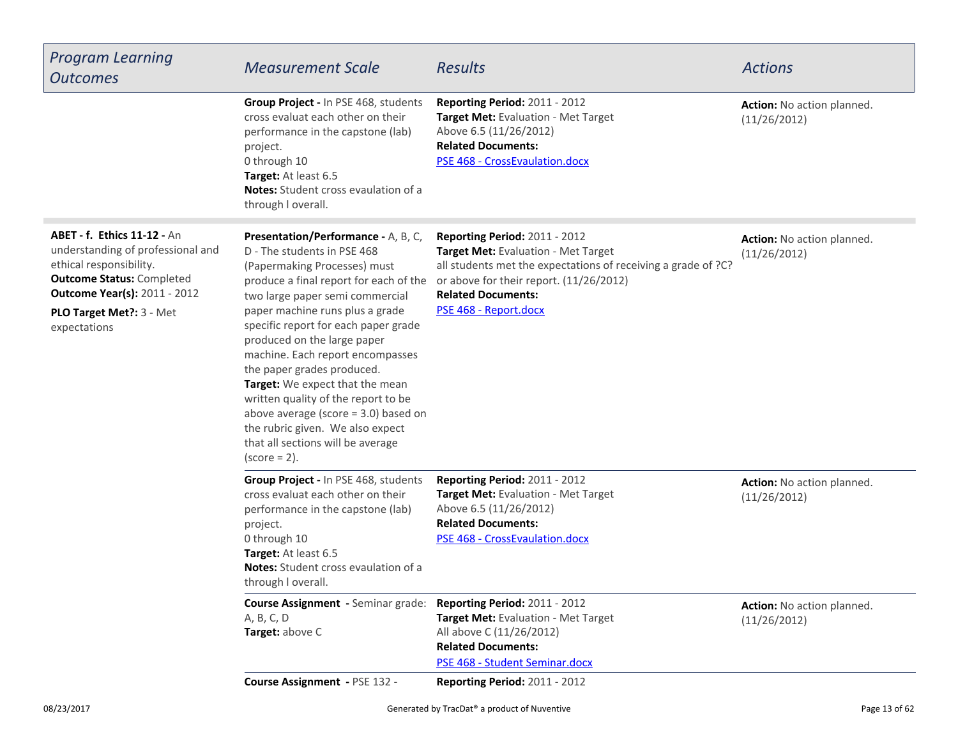| <b>Program Learning</b><br><b>Outcomes</b>                                                                                                                                                                                 | <b>Measurement Scale</b>                                                                                                                                                                                                                                                                                                                                                                                                                                                                                                                                                           | <b>Results</b>                                                                                                                                                                                                                         | <b>Actions</b>                                    |
|----------------------------------------------------------------------------------------------------------------------------------------------------------------------------------------------------------------------------|------------------------------------------------------------------------------------------------------------------------------------------------------------------------------------------------------------------------------------------------------------------------------------------------------------------------------------------------------------------------------------------------------------------------------------------------------------------------------------------------------------------------------------------------------------------------------------|----------------------------------------------------------------------------------------------------------------------------------------------------------------------------------------------------------------------------------------|---------------------------------------------------|
|                                                                                                                                                                                                                            | Group Project - In PSE 468, students<br>cross evaluat each other on their<br>performance in the capstone (lab)<br>project.<br>0 through 10<br>Target: At least 6.5<br><b>Notes:</b> Student cross evaulation of a<br>through I overall.                                                                                                                                                                                                                                                                                                                                            | Reporting Period: 2011 - 2012<br>Target Met: Evaluation - Met Target<br>Above 6.5 (11/26/2012)<br><b>Related Documents:</b><br>PSE 468 - CrossEvaulation.docx                                                                          | Action: No action planned.<br>(11/26/2012)        |
| <b>ABET - f. Ethics 11-12 - An</b><br>understanding of professional and<br>ethical responsibility.<br><b>Outcome Status: Completed</b><br><b>Outcome Year(s): 2011 - 2012</b><br>PLO Target Met ?: 3 - Met<br>expectations | Presentation/Performance - A, B, C,<br>D - The students in PSE 468<br>(Papermaking Processes) must<br>produce a final report for each of the<br>two large paper semi commercial<br>paper machine runs plus a grade<br>specific report for each paper grade<br>produced on the large paper<br>machine. Each report encompasses<br>the paper grades produced.<br>Target: We expect that the mean<br>written quality of the report to be<br>above average (score $=$ 3.0) based on<br>the rubric given. We also expect<br>that all sections will be average<br>$\text{(score = 2)}$ . | Reporting Period: 2011 - 2012<br>Target Met: Evaluation - Met Target<br>all students met the expectations of receiving a grade of ?C?<br>or above for their report. (11/26/2012)<br><b>Related Documents:</b><br>PSE 468 - Report.docx | Action: No action planned.<br>(11/26/2012)        |
|                                                                                                                                                                                                                            | Group Project - In PSE 468, students<br>cross evaluat each other on their<br>performance in the capstone (lab)<br>project.<br>0 through 10<br>Target: At least 6.5<br>Notes: Student cross evaulation of a<br>through I overall.                                                                                                                                                                                                                                                                                                                                                   | Reporting Period: 2011 - 2012<br>Target Met: Evaluation - Met Target<br>Above 6.5 (11/26/2012)<br><b>Related Documents:</b><br>PSE 468 - CrossEvaulation.docx                                                                          | Action: No action planned.<br>(11/26/2012)        |
|                                                                                                                                                                                                                            | <b>Course Assignment - Seminar grade:</b><br>A, B, C, D<br>Target: above C                                                                                                                                                                                                                                                                                                                                                                                                                                                                                                         | Reporting Period: 2011 - 2012<br>Target Met: Evaluation - Met Target<br>All above C (11/26/2012)<br><b>Related Documents:</b><br>PSE 468 - Student Seminar.docx                                                                        | <b>Action:</b> No action planned.<br>(11/26/2012) |
|                                                                                                                                                                                                                            | Course Assignment - PSE 132 -                                                                                                                                                                                                                                                                                                                                                                                                                                                                                                                                                      | Reporting Period: 2011 - 2012                                                                                                                                                                                                          |                                                   |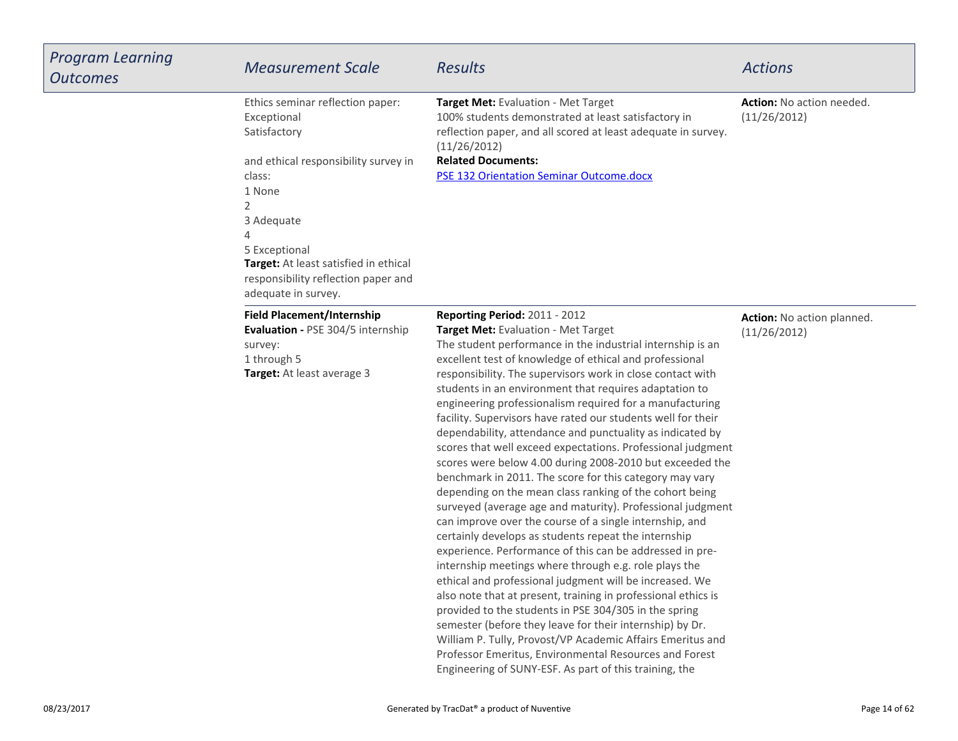| <b>Program Learning</b><br><b>Outcomes</b> | <b>Measurement Scale</b>                                                                                                                                                                                                                                                           | <b>Results</b>                                                                                                                                                                                                                                                                                                                                                                                                                                                                                                                                                                                                                                                                                                                                                                                                                                                                                                                                                                                                                                                                                                                                                                                                                                                                                                                                                                                                                                                                                           | <b>Actions</b>                             |
|--------------------------------------------|------------------------------------------------------------------------------------------------------------------------------------------------------------------------------------------------------------------------------------------------------------------------------------|----------------------------------------------------------------------------------------------------------------------------------------------------------------------------------------------------------------------------------------------------------------------------------------------------------------------------------------------------------------------------------------------------------------------------------------------------------------------------------------------------------------------------------------------------------------------------------------------------------------------------------------------------------------------------------------------------------------------------------------------------------------------------------------------------------------------------------------------------------------------------------------------------------------------------------------------------------------------------------------------------------------------------------------------------------------------------------------------------------------------------------------------------------------------------------------------------------------------------------------------------------------------------------------------------------------------------------------------------------------------------------------------------------------------------------------------------------------------------------------------------------|--------------------------------------------|
|                                            | Ethics seminar reflection paper:<br>Exceptional<br>Satisfactory<br>and ethical responsibility survey in<br>class:<br>1 None<br>2<br>3 Adequate<br>4<br>5 Exceptional<br><b>Target:</b> At least satisfied in ethical<br>responsibility reflection paper and<br>adequate in survey. | Target Met: Evaluation - Met Target<br>100% students demonstrated at least satisfactory in<br>reflection paper, and all scored at least adequate in survey.<br>(11/26/2012)<br><b>Related Documents:</b><br><b>PSE 132 Orientation Seminar Outcome.docx</b>                                                                                                                                                                                                                                                                                                                                                                                                                                                                                                                                                                                                                                                                                                                                                                                                                                                                                                                                                                                                                                                                                                                                                                                                                                              | Action: No action needed.<br>(11/26/2012)  |
|                                            | <b>Field Placement/Internship</b><br><b>Evaluation - PSE 304/5 internship</b><br>survey:<br>1 through 5<br>Target: At least average 3                                                                                                                                              | Reporting Period: 2011 - 2012<br>Target Met: Evaluation - Met Target<br>The student performance in the industrial internship is an<br>excellent test of knowledge of ethical and professional<br>responsibility. The supervisors work in close contact with<br>students in an environment that requires adaptation to<br>engineering professionalism required for a manufacturing<br>facility. Supervisors have rated our students well for their<br>dependability, attendance and punctuality as indicated by<br>scores that well exceed expectations. Professional judgment<br>scores were below 4.00 during 2008-2010 but exceeded the<br>benchmark in 2011. The score for this category may vary<br>depending on the mean class ranking of the cohort being<br>surveyed (average age and maturity). Professional judgment<br>can improve over the course of a single internship, and<br>certainly develops as students repeat the internship<br>experience. Performance of this can be addressed in pre-<br>internship meetings where through e.g. role plays the<br>ethical and professional judgment will be increased. We<br>also note that at present, training in professional ethics is<br>provided to the students in PSE 304/305 in the spring<br>semester (before they leave for their internship) by Dr.<br>William P. Tully, Provost/VP Academic Affairs Emeritus and<br>Professor Emeritus, Environmental Resources and Forest<br>Engineering of SUNY-ESF. As part of this training, the | Action: No action planned.<br>(11/26/2012) |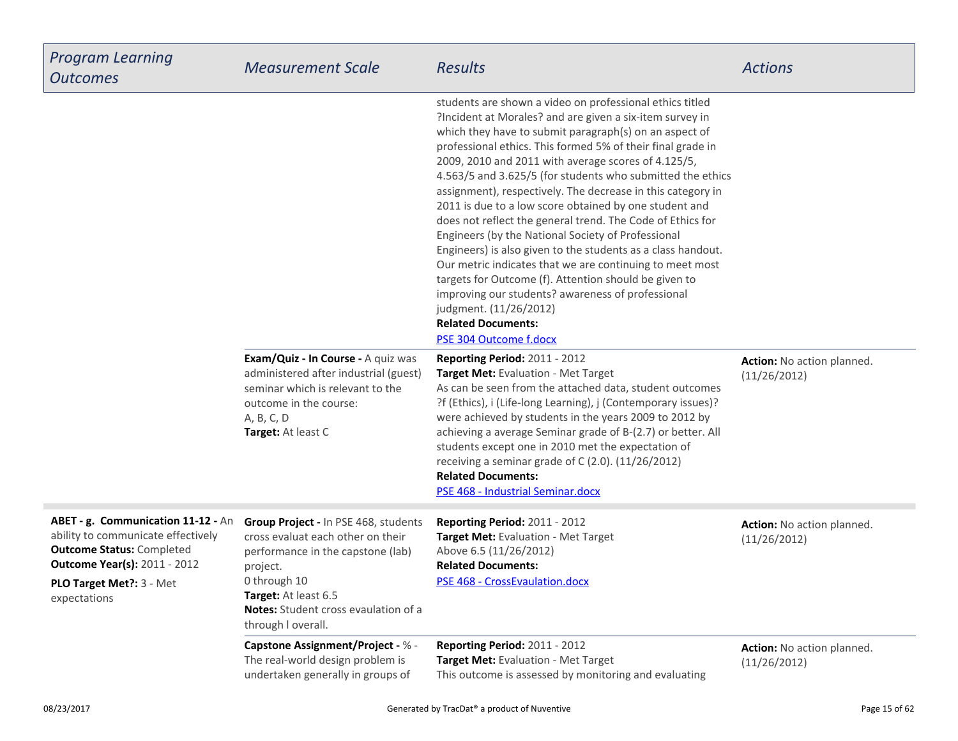| <b>Program Learning</b><br><b>Outcomes</b>                                                                                                                                                       | <b>Measurement Scale</b>                                                                                                                                                                                                         | <b>Results</b>                                                                                                                                                                                                                                                                                                                                                                                                                                                                                                                                                                                                                                                                                                                                                                                                                                                                                                                                                                     | <b>Actions</b>                             |
|--------------------------------------------------------------------------------------------------------------------------------------------------------------------------------------------------|----------------------------------------------------------------------------------------------------------------------------------------------------------------------------------------------------------------------------------|------------------------------------------------------------------------------------------------------------------------------------------------------------------------------------------------------------------------------------------------------------------------------------------------------------------------------------------------------------------------------------------------------------------------------------------------------------------------------------------------------------------------------------------------------------------------------------------------------------------------------------------------------------------------------------------------------------------------------------------------------------------------------------------------------------------------------------------------------------------------------------------------------------------------------------------------------------------------------------|--------------------------------------------|
|                                                                                                                                                                                                  | Exam/Quiz - In Course - A quiz was                                                                                                                                                                                               | students are shown a video on professional ethics titled<br>?Incident at Morales? and are given a six-item survey in<br>which they have to submit paragraph(s) on an aspect of<br>professional ethics. This formed 5% of their final grade in<br>2009, 2010 and 2011 with average scores of 4.125/5,<br>4.563/5 and 3.625/5 (for students who submitted the ethics<br>assignment), respectively. The decrease in this category in<br>2011 is due to a low score obtained by one student and<br>does not reflect the general trend. The Code of Ethics for<br>Engineers (by the National Society of Professional<br>Engineers) is also given to the students as a class handout.<br>Our metric indicates that we are continuing to meet most<br>targets for Outcome (f). Attention should be given to<br>improving our students? awareness of professional<br>judgment. (11/26/2012)<br><b>Related Documents:</b><br><b>PSE 304 Outcome f.docx</b><br>Reporting Period: 2011 - 2012 | Action: No action planned.                 |
|                                                                                                                                                                                                  | administered after industrial (guest)<br>seminar which is relevant to the<br>outcome in the course:<br>A, B, C, D<br>Target: At least C                                                                                          | Target Met: Evaluation - Met Target<br>As can be seen from the attached data, student outcomes<br>?f (Ethics), i (Life-long Learning), j (Contemporary issues)?<br>were achieved by students in the years 2009 to 2012 by<br>achieving a average Seminar grade of B-(2.7) or better. All<br>students except one in 2010 met the expectation of<br>receiving a seminar grade of C (2.0). (11/26/2012)<br><b>Related Documents:</b><br>PSE 468 - Industrial Seminar.docx                                                                                                                                                                                                                                                                                                                                                                                                                                                                                                             | (11/26/2012)                               |
| ABET - g. Communication 11-12 - An<br>ability to communicate effectively<br><b>Outcome Status: Completed</b><br><b>Outcome Year(s): 2011 - 2012</b><br>PLO Target Met ?: 3 - Met<br>expectations | Group Project - In PSE 468, students<br>cross evaluat each other on their<br>performance in the capstone (lab)<br>project.<br>0 through 10<br>Target: At least 6.5<br>Notes: Student cross evaulation of a<br>through I overall. | Reporting Period: 2011 - 2012<br>Target Met: Evaluation - Met Target<br>Above 6.5 (11/26/2012)<br><b>Related Documents:</b><br>PSE 468 - CrossEvaulation.docx                                                                                                                                                                                                                                                                                                                                                                                                                                                                                                                                                                                                                                                                                                                                                                                                                      | Action: No action planned.<br>(11/26/2012) |
|                                                                                                                                                                                                  | Capstone Assignment/Project - % -<br>The real-world design problem is<br>undertaken generally in groups of                                                                                                                       | Reporting Period: 2011 - 2012<br>Target Met: Evaluation - Met Target<br>This outcome is assessed by monitoring and evaluating                                                                                                                                                                                                                                                                                                                                                                                                                                                                                                                                                                                                                                                                                                                                                                                                                                                      | Action: No action planned.<br>(11/26/2012) |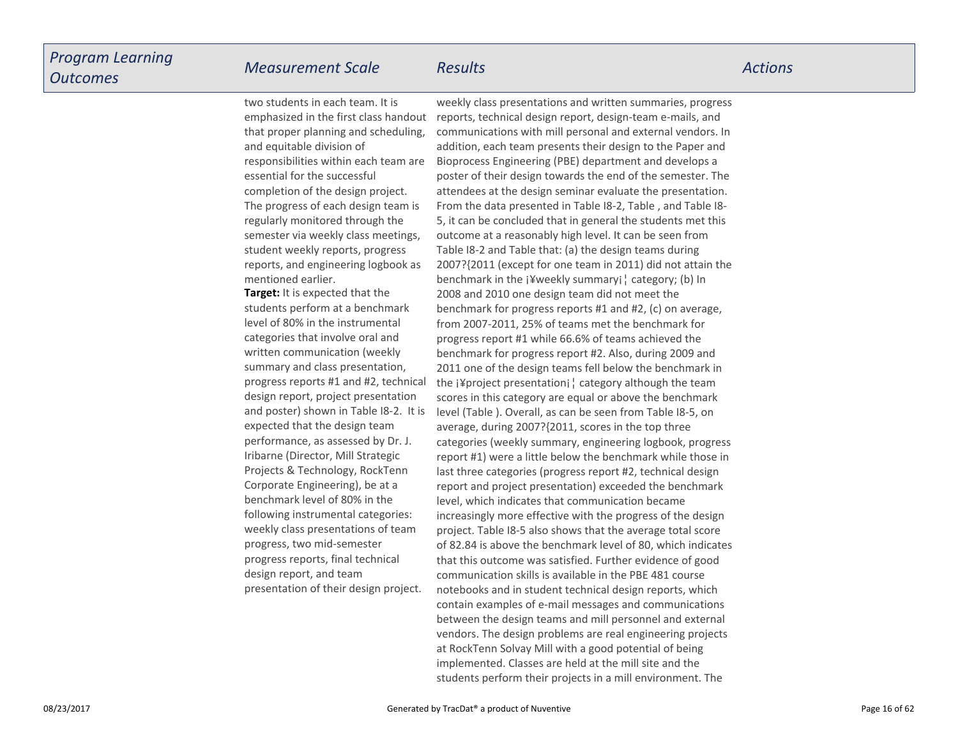two students in each team. It isemphasized in the first class handout

 *Measurement Scale Results Actions* weekly class presentations and written summaries, progress

**Target:** It is expected that the students perform at a benchmarklevel of 80% in the instrumentalcategories that involve oral and written communication (weekly summary and class presentation,progress reports #1 and #2, technicaldesign report, project presentation and poster) shown in Table I8-2. It isexpected that the design team performance, as assessed by Dr. J.Iribarne (Director, Mill Strategic Projects & Technology, RockTennCorporate Engineering), be at a benchmark level of 80% in the following instrumental categories:weekly class presentations of teamprogress, two mid-semesterprogress reports, final technicaldesign report, and team presentation of their design project.that proper planning and scheduling,and equitable division of responsibilities within each team areessential for the successfulcompletion of the design project.The progress of each design team isregularly monitored through the semester via weekly class meetings,student weekly reports, progress reports, and engineering logbook asmentioned earlier.

reports, technical design report, design-team e-mails, and communications with mill personal and external vendors. In addition, each team presents their design to the Paper andBioprocess Engineering (PBE) department and develops a poster of their design towards the end of the semester. The attendees at the design seminar evaluate the presentation.From the data presented in Table I8-2, Table , and Table I8-5, it can be concluded that in general the students met thisoutcome at a reasonably high level. It can be seen from Table I8-2 and Table that: (a) the design teams during 2007?{2011 (except for one team in 2011) did not attain thebenchmark in the ¡¥weekly summary¡¦ category; (b) In2008 and 2010 one design team did not meet the benchmark for progress reports #1 and #2, (c) on average,from 2007-2011, 25% of teams met the benchmark for progress report #1 while 66.6% of teams achieved the benchmark for progress report #2. Also, during 2009 and 2011 one of the design teams fell below the benchmark in the ¡¥project presentation¡¦ category although the team scores in this category are equal or above the benchmark level (Table ). Overall, as can be seen from Table I8-5, onaverage, during 2007?{2011, scores in the top three categories (weekly summary, engineering logbook, progressreport #1) were a little below the benchmark while those inlast three categories (progress report #2, technical design report and project presentation) exceeded the benchmarklevel, which indicates that communication became increasingly more effective with the progress of the design project. Table I8-5 also shows that the average total score of 82.84 is above the benchmark level of 80, which indicatesthat this outcome was satisfied. Further evidence of goodcommunication skills is available in the PBE 481 course notebooks and in student technical design reports, which contain examples of e-mail messages and communications between the design teams and mill personnel and externalvendors. The design problems are real engineering projectsat RockTenn Solvay Mill with a good potential of being implemented. Classes are held at the mill site and thestudents perform their projects in a mill environment. The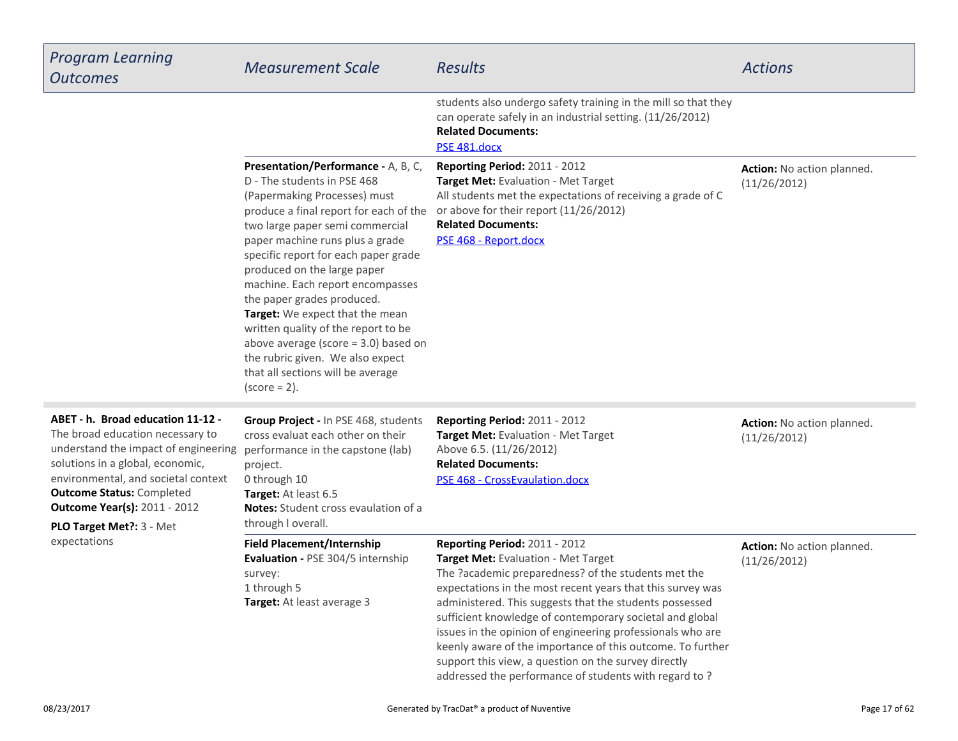| <b>Program Learning</b><br><b>Outcomes</b>                                                                                                                                                                                                                                                                       | <b>Measurement Scale</b>                                                                                                                                                                                                                                                                                                                                                                                                                                                                                                                                                    | <b>Results</b>                                                                                                                                                                                                                                                                                                                                                                                                                                                                                                                                                | <b>Actions</b>                             |
|------------------------------------------------------------------------------------------------------------------------------------------------------------------------------------------------------------------------------------------------------------------------------------------------------------------|-----------------------------------------------------------------------------------------------------------------------------------------------------------------------------------------------------------------------------------------------------------------------------------------------------------------------------------------------------------------------------------------------------------------------------------------------------------------------------------------------------------------------------------------------------------------------------|---------------------------------------------------------------------------------------------------------------------------------------------------------------------------------------------------------------------------------------------------------------------------------------------------------------------------------------------------------------------------------------------------------------------------------------------------------------------------------------------------------------------------------------------------------------|--------------------------------------------|
|                                                                                                                                                                                                                                                                                                                  |                                                                                                                                                                                                                                                                                                                                                                                                                                                                                                                                                                             | students also undergo safety training in the mill so that they<br>can operate safely in an industrial setting. (11/26/2012)<br><b>Related Documents:</b><br>PSE 481.docx                                                                                                                                                                                                                                                                                                                                                                                      |                                            |
|                                                                                                                                                                                                                                                                                                                  | Presentation/Performance - A, B, C,<br>D - The students in PSE 468<br>(Papermaking Processes) must<br>produce a final report for each of the<br>two large paper semi commercial<br>paper machine runs plus a grade<br>specific report for each paper grade<br>produced on the large paper<br>machine. Each report encompasses<br>the paper grades produced.<br>Target: We expect that the mean<br>written quality of the report to be<br>above average (score $=$ 3.0) based on<br>the rubric given. We also expect<br>that all sections will be average<br>$(score = 2)$ . | Reporting Period: 2011 - 2012<br>Target Met: Evaluation - Met Target<br>All students met the expectations of receiving a grade of C<br>or above for their report (11/26/2012)<br><b>Related Documents:</b><br>PSE 468 - Report.docx                                                                                                                                                                                                                                                                                                                           | Action: No action planned.<br>(11/26/2012) |
| ABET - h. Broad education 11-12 -<br>The broad education necessary to<br>understand the impact of engineering<br>solutions in a global, economic,<br>environmental, and societal context<br><b>Outcome Status: Completed</b><br><b>Outcome Year(s): 2011 - 2012</b><br>PLO Target Met ?: 3 - Met<br>expectations | Group Project - In PSE 468, students<br>cross evaluat each other on their<br>performance in the capstone (lab)<br>project.<br>0 through 10<br>Target: At least 6.5<br>Notes: Student cross evaulation of a<br>through I overall.                                                                                                                                                                                                                                                                                                                                            | Reporting Period: 2011 - 2012<br>Target Met: Evaluation - Met Target<br>Above 6.5. (11/26/2012)<br><b>Related Documents:</b><br>PSE 468 - CrossEvaulation.docx                                                                                                                                                                                                                                                                                                                                                                                                | Action: No action planned.<br>(11/26/2012) |
|                                                                                                                                                                                                                                                                                                                  | <b>Field Placement/Internship</b><br>Evaluation - PSE 304/5 internship<br>survey:<br>1 through 5<br>Target: At least average 3                                                                                                                                                                                                                                                                                                                                                                                                                                              | Reporting Period: 2011 - 2012<br>Target Met: Evaluation - Met Target<br>The ?academic preparedness? of the students met the<br>expectations in the most recent years that this survey was<br>administered. This suggests that the students possessed<br>sufficient knowledge of contemporary societal and global<br>issues in the opinion of engineering professionals who are<br>keenly aware of the importance of this outcome. To further<br>support this view, a question on the survey directly<br>addressed the performance of students with regard to? | Action: No action planned.<br>(11/26/2012) |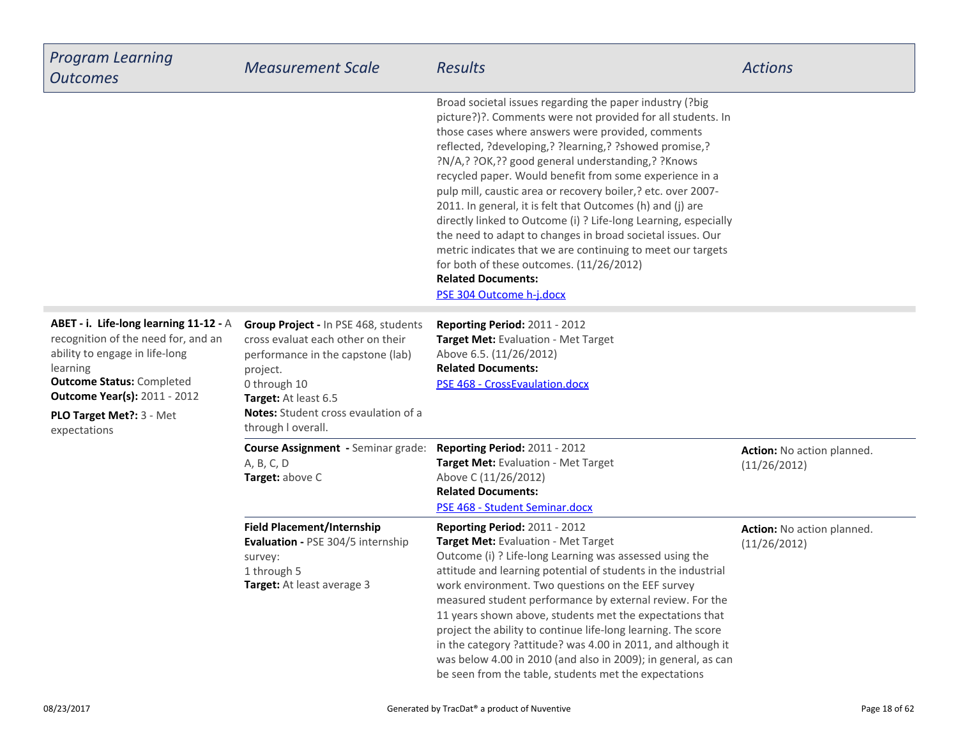| <b>Program Learning</b><br><b>Outcomes</b>                                                                                                                                                                                                          | <b>Measurement Scale</b>                                                                                                                                                                                                         | <b>Results</b>                                                                                                                                                                                                                                                                                                                                                                                                                                                                                                                                                                                                                                                                                                                                                                            | <b>Actions</b>                             |
|-----------------------------------------------------------------------------------------------------------------------------------------------------------------------------------------------------------------------------------------------------|----------------------------------------------------------------------------------------------------------------------------------------------------------------------------------------------------------------------------------|-------------------------------------------------------------------------------------------------------------------------------------------------------------------------------------------------------------------------------------------------------------------------------------------------------------------------------------------------------------------------------------------------------------------------------------------------------------------------------------------------------------------------------------------------------------------------------------------------------------------------------------------------------------------------------------------------------------------------------------------------------------------------------------------|--------------------------------------------|
|                                                                                                                                                                                                                                                     |                                                                                                                                                                                                                                  | Broad societal issues regarding the paper industry (?big<br>picture?)?. Comments were not provided for all students. In<br>those cases where answers were provided, comments<br>reflected, ?developing,? ?learning,? ?showed promise,?<br>?N/A,? ?OK,?? good general understanding,? ?Knows<br>recycled paper. Would benefit from some experience in a<br>pulp mill, caustic area or recovery boiler,? etc. over 2007-<br>2011. In general, it is felt that Outcomes (h) and (j) are<br>directly linked to Outcome (i) ? Life-long Learning, especially<br>the need to adapt to changes in broad societal issues. Our<br>metric indicates that we are continuing to meet our targets<br>for both of these outcomes. (11/26/2012)<br><b>Related Documents:</b><br>PSE 304 Outcome h-j.docx |                                            |
| ABET - i. Life-long learning 11-12 - A<br>recognition of the need for, and an<br>ability to engage in life-long<br>learning<br><b>Outcome Status: Completed</b><br><b>Outcome Year(s): 2011 - 2012</b><br>PLO Target Met ?: 3 - Met<br>expectations | Group Project - In PSE 468, students<br>cross evaluat each other on their<br>performance in the capstone (lab)<br>project.<br>0 through 10<br>Target: At least 6.5<br>Notes: Student cross evaulation of a<br>through I overall. | Reporting Period: 2011 - 2012<br>Target Met: Evaluation - Met Target<br>Above 6.5. (11/26/2012)<br><b>Related Documents:</b><br>PSE 468 - CrossEvaulation.docx                                                                                                                                                                                                                                                                                                                                                                                                                                                                                                                                                                                                                            |                                            |
|                                                                                                                                                                                                                                                     | Course Assignment - Seminar grade:<br>A, B, C, D<br>Target: above C                                                                                                                                                              | Reporting Period: 2011 - 2012<br>Target Met: Evaluation - Met Target<br>Above C (11/26/2012)<br><b>Related Documents:</b><br>PSE 468 - Student Seminar.docx                                                                                                                                                                                                                                                                                                                                                                                                                                                                                                                                                                                                                               | Action: No action planned.<br>(11/26/2012) |
|                                                                                                                                                                                                                                                     | <b>Field Placement/Internship</b><br>Evaluation - PSE 304/5 internship<br>survey:<br>1 through 5<br>Target: At least average 3                                                                                                   | <b>Reporting Period: 2011 - 2012</b><br>Target Met: Evaluation - Met Target<br>Outcome (i) ? Life-long Learning was assessed using the<br>attitude and learning potential of students in the industrial<br>work environment. Two questions on the EEF survey<br>measured student performance by external review. For the<br>11 years shown above, students met the expectations that<br>project the ability to continue life-long learning. The score<br>in the category ?attitude? was 4.00 in 2011, and although it<br>was below 4.00 in 2010 (and also in 2009); in general, as can<br>be seen from the table, students met the expectations                                                                                                                                           | Action: No action planned.<br>(11/26/2012) |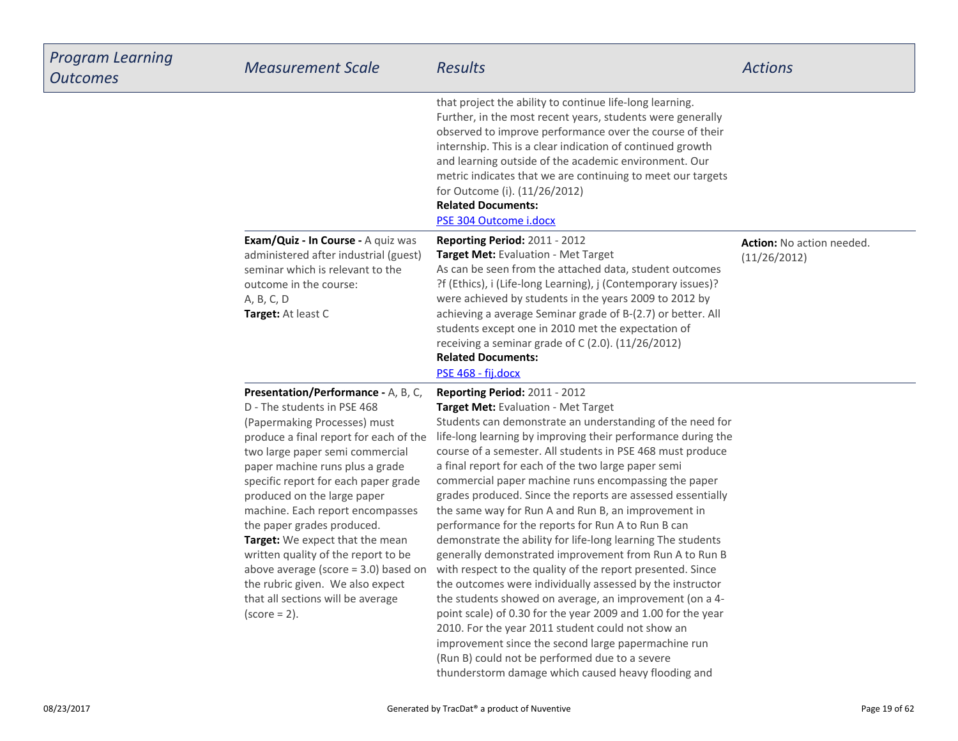| <b>Program Learning</b><br><b>Outcomes</b> | <b>Measurement Scale</b>                                                                                                                                                                                                                                                                                                                                                                                                                                                                                                                                                    | <b>Results</b>                                                                                                                                                                                                                                                                                                                                                                                                                                                                                                                                                                                                                                                                                                                                                                                                                                                                                                                                                                                                                                                                                                | <b>Actions</b>                                   |
|--------------------------------------------|-----------------------------------------------------------------------------------------------------------------------------------------------------------------------------------------------------------------------------------------------------------------------------------------------------------------------------------------------------------------------------------------------------------------------------------------------------------------------------------------------------------------------------------------------------------------------------|---------------------------------------------------------------------------------------------------------------------------------------------------------------------------------------------------------------------------------------------------------------------------------------------------------------------------------------------------------------------------------------------------------------------------------------------------------------------------------------------------------------------------------------------------------------------------------------------------------------------------------------------------------------------------------------------------------------------------------------------------------------------------------------------------------------------------------------------------------------------------------------------------------------------------------------------------------------------------------------------------------------------------------------------------------------------------------------------------------------|--------------------------------------------------|
|                                            |                                                                                                                                                                                                                                                                                                                                                                                                                                                                                                                                                                             | that project the ability to continue life-long learning.<br>Further, in the most recent years, students were generally<br>observed to improve performance over the course of their<br>internship. This is a clear indication of continued growth<br>and learning outside of the academic environment. Our<br>metric indicates that we are continuing to meet our targets<br>for Outcome (i). (11/26/2012)<br><b>Related Documents:</b><br>PSE 304 Outcome i.docx                                                                                                                                                                                                                                                                                                                                                                                                                                                                                                                                                                                                                                              |                                                  |
|                                            | Exam/Quiz - In Course - A quiz was<br>administered after industrial (guest)<br>seminar which is relevant to the<br>outcome in the course:<br>A, B, C, D<br>Target: At least C                                                                                                                                                                                                                                                                                                                                                                                               | Reporting Period: 2011 - 2012<br><b>Target Met: Evaluation - Met Target</b><br>As can be seen from the attached data, student outcomes<br>?f (Ethics), i (Life-long Learning), j (Contemporary issues)?<br>were achieved by students in the years 2009 to 2012 by<br>achieving a average Seminar grade of B-(2.7) or better. All<br>students except one in 2010 met the expectation of<br>receiving a seminar grade of C (2.0). (11/26/2012)<br><b>Related Documents:</b><br>PSE 468 - fij.docx                                                                                                                                                                                                                                                                                                                                                                                                                                                                                                                                                                                                               | <b>Action:</b> No action needed.<br>(11/26/2012) |
|                                            | Presentation/Performance - A, B, C,<br>D - The students in PSE 468<br>(Papermaking Processes) must<br>produce a final report for each of the<br>two large paper semi commercial<br>paper machine runs plus a grade<br>specific report for each paper grade<br>produced on the large paper<br>machine. Each report encompasses<br>the paper grades produced.<br>Target: We expect that the mean<br>written quality of the report to be<br>above average (score $=$ 3.0) based on<br>the rubric given. We also expect<br>that all sections will be average<br>$(score = 2)$ . | <b>Reporting Period: 2011 - 2012</b><br>Target Met: Evaluation - Met Target<br>Students can demonstrate an understanding of the need for<br>life-long learning by improving their performance during the<br>course of a semester. All students in PSE 468 must produce<br>a final report for each of the two large paper semi<br>commercial paper machine runs encompassing the paper<br>grades produced. Since the reports are assessed essentially<br>the same way for Run A and Run B, an improvement in<br>performance for the reports for Run A to Run B can<br>demonstrate the ability for life-long learning The students<br>generally demonstrated improvement from Run A to Run B<br>with respect to the quality of the report presented. Since<br>the outcomes were individually assessed by the instructor<br>the students showed on average, an improvement (on a 4-<br>point scale) of 0.30 for the year 2009 and 1.00 for the year<br>2010. For the year 2011 student could not show an<br>improvement since the second large papermachine run<br>Dun B) could not be norformed due to a covere |                                                  |

(Run B) could not be performed due to a severethunderstorm damage which caused heavy flooding and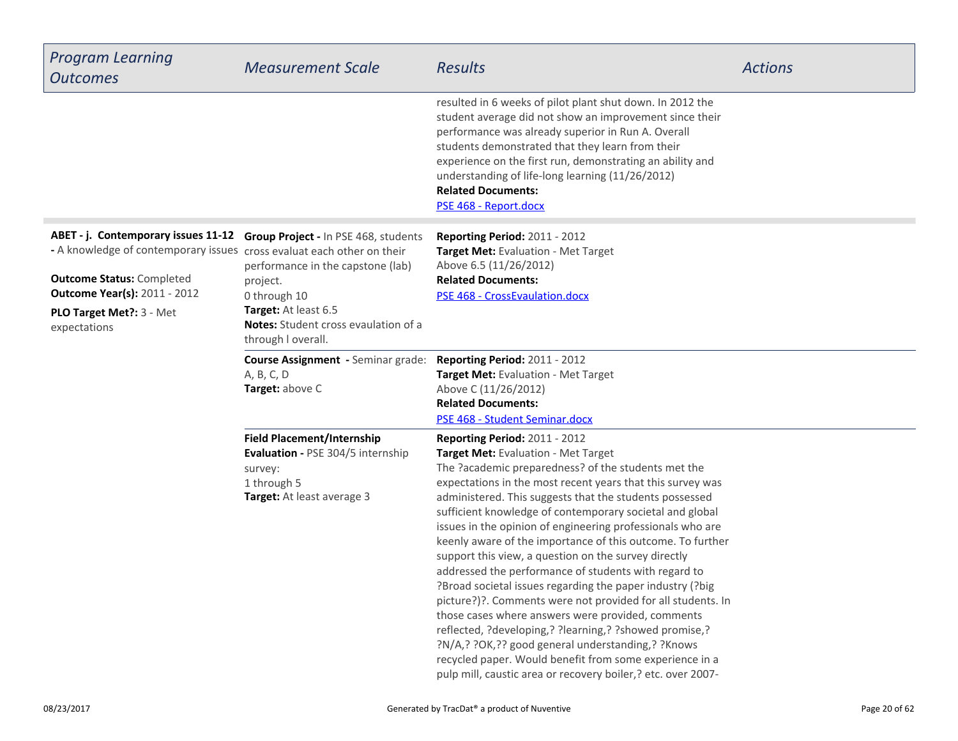| <b>Program Learning</b><br><b>Outcomes</b>                                                                                                                                                                                            | <b>Measurement Scale</b>                                                                                                                                                                           | <b>Results</b>                                                                                                                                                                                                                                                                                                                                                                                                                                                                                                                                                                                                                                                                                                                                                                                                                                                                                                                                                                           | <b>Actions</b> |
|---------------------------------------------------------------------------------------------------------------------------------------------------------------------------------------------------------------------------------------|----------------------------------------------------------------------------------------------------------------------------------------------------------------------------------------------------|------------------------------------------------------------------------------------------------------------------------------------------------------------------------------------------------------------------------------------------------------------------------------------------------------------------------------------------------------------------------------------------------------------------------------------------------------------------------------------------------------------------------------------------------------------------------------------------------------------------------------------------------------------------------------------------------------------------------------------------------------------------------------------------------------------------------------------------------------------------------------------------------------------------------------------------------------------------------------------------|----------------|
|                                                                                                                                                                                                                                       |                                                                                                                                                                                                    | resulted in 6 weeks of pilot plant shut down. In 2012 the<br>student average did not show an improvement since their<br>performance was already superior in Run A. Overall<br>students demonstrated that they learn from their<br>experience on the first run, demonstrating an ability and<br>understanding of life-long learning (11/26/2012)<br><b>Related Documents:</b><br>PSE 468 - Report.docx                                                                                                                                                                                                                                                                                                                                                                                                                                                                                                                                                                                    |                |
| ABET - j. Contemporary issues 11-12<br>- A knowledge of contemporary issues cross evaluat each other on their<br><b>Outcome Status: Completed</b><br><b>Outcome Year(s): 2011 - 2012</b><br>PLO Target Met ?: 3 - Met<br>expectations | Group Project - In PSE 468, students<br>performance in the capstone (lab)<br>project.<br>0 through 10<br>Target: At least 6.5<br><b>Notes:</b> Student cross evaulation of a<br>through I overall. | Reporting Period: 2011 - 2012<br>Target Met: Evaluation - Met Target<br>Above 6.5 (11/26/2012)<br><b>Related Documents:</b><br>PSE 468 - CrossEvaulation.docx                                                                                                                                                                                                                                                                                                                                                                                                                                                                                                                                                                                                                                                                                                                                                                                                                            |                |
|                                                                                                                                                                                                                                       | <b>Course Assignment - Seminar grade:</b><br>A, B, C, D<br>Target: above C                                                                                                                         | Reporting Period: 2011 - 2012<br>Target Met: Evaluation - Met Target<br>Above C (11/26/2012)<br><b>Related Documents:</b><br>PSE 468 - Student Seminar.docx                                                                                                                                                                                                                                                                                                                                                                                                                                                                                                                                                                                                                                                                                                                                                                                                                              |                |
|                                                                                                                                                                                                                                       | <b>Field Placement/Internship</b><br>Evaluation - PSE 304/5 internship<br>survey:<br>1 through 5<br>Target: At least average 3                                                                     | Reporting Period: 2011 - 2012<br>Target Met: Evaluation - Met Target<br>The ?academic preparedness? of the students met the<br>expectations in the most recent years that this survey was<br>administered. This suggests that the students possessed<br>sufficient knowledge of contemporary societal and global<br>issues in the opinion of engineering professionals who are<br>keenly aware of the importance of this outcome. To further<br>support this view, a question on the survey directly<br>addressed the performance of students with regard to<br>?Broad societal issues regarding the paper industry (?big)<br>picture?)?. Comments were not provided for all students. In<br>those cases where answers were provided, comments<br>reflected, ?developing,? ?learning,? ?showed promise,?<br>?N/A,? ?OK,?? good general understanding,? ?Knows<br>recycled paper. Would benefit from some experience in a<br>pulp mill, caustic area or recovery boiler,? etc. over 2007- |                |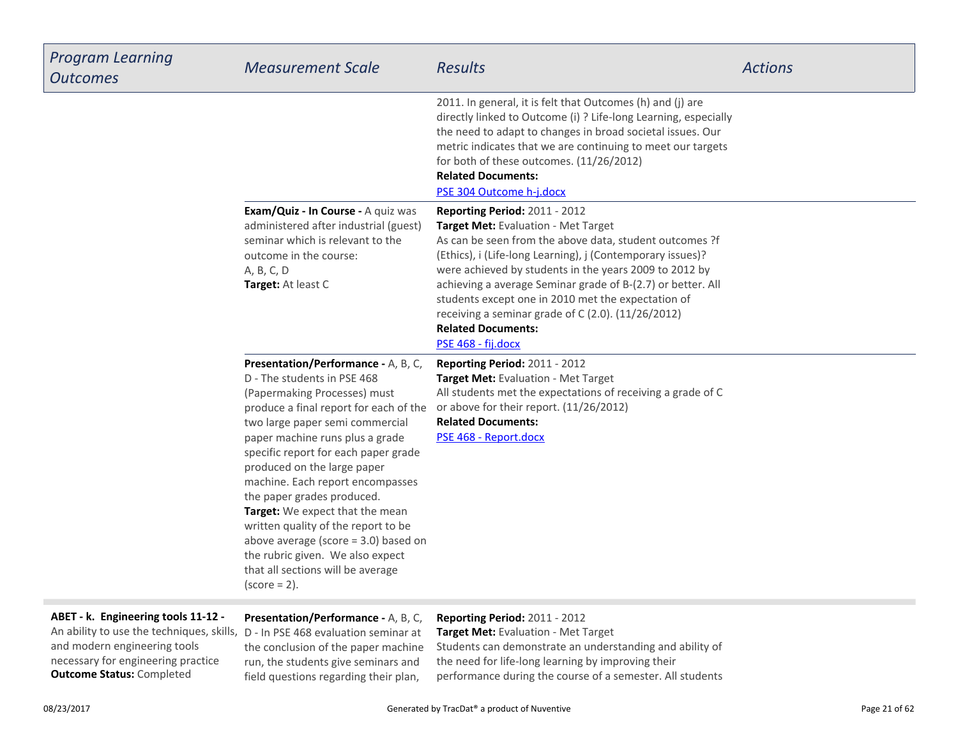| <b>Program Learning</b><br><b>Outcomes</b>                                                                                                            | <b>Measurement Scale</b>                                                                                                                                                                                                                                                                                                                                                                                                                                                                                                                                                    | <b>Results</b>                                                                                                                                                                                                                                                                                                                                                                                                                                                                        | <b>Actions</b> |
|-------------------------------------------------------------------------------------------------------------------------------------------------------|-----------------------------------------------------------------------------------------------------------------------------------------------------------------------------------------------------------------------------------------------------------------------------------------------------------------------------------------------------------------------------------------------------------------------------------------------------------------------------------------------------------------------------------------------------------------------------|---------------------------------------------------------------------------------------------------------------------------------------------------------------------------------------------------------------------------------------------------------------------------------------------------------------------------------------------------------------------------------------------------------------------------------------------------------------------------------------|----------------|
|                                                                                                                                                       |                                                                                                                                                                                                                                                                                                                                                                                                                                                                                                                                                                             | 2011. In general, it is felt that Outcomes (h) and (j) are<br>directly linked to Outcome (i) ? Life-long Learning, especially<br>the need to adapt to changes in broad societal issues. Our<br>metric indicates that we are continuing to meet our targets<br>for both of these outcomes. (11/26/2012)<br><b>Related Documents:</b><br>PSE 304 Outcome h-j.docx                                                                                                                       |                |
|                                                                                                                                                       | Exam/Quiz - In Course - A quiz was<br>administered after industrial (guest)<br>seminar which is relevant to the<br>outcome in the course:<br>A, B, C, D<br>Target: At least C                                                                                                                                                                                                                                                                                                                                                                                               | Reporting Period: 2011 - 2012<br>Target Met: Evaluation - Met Target<br>As can be seen from the above data, student outcomes ?f<br>(Ethics), i (Life-long Learning), j (Contemporary issues)?<br>were achieved by students in the years 2009 to 2012 by<br>achieving a average Seminar grade of B-(2.7) or better. All<br>students except one in 2010 met the expectation of<br>receiving a seminar grade of C (2.0). (11/26/2012)<br><b>Related Documents:</b><br>PSE 468 - fij.docx |                |
|                                                                                                                                                       | Presentation/Performance - A, B, C,<br>D - The students in PSE 468<br>(Papermaking Processes) must<br>produce a final report for each of the<br>two large paper semi commercial<br>paper machine runs plus a grade<br>specific report for each paper grade<br>produced on the large paper<br>machine. Each report encompasses<br>the paper grades produced.<br>Target: We expect that the mean<br>written quality of the report to be<br>above average (score $=$ 3.0) based on<br>the rubric given. We also expect<br>that all sections will be average<br>$(score = 2)$ . | Reporting Period: 2011 - 2012<br>Target Met: Evaluation - Met Target<br>All students met the expectations of receiving a grade of C<br>or above for their report. (11/26/2012)<br><b>Related Documents:</b><br>PSE 468 - Report.docx                                                                                                                                                                                                                                                  |                |
| ABET - k. Engineering tools 11-12 -<br>An ability to use the techniques, skills, D - In PSE 468 evaluation seminar at<br>and modern engineering tools | Presentation/Performance - A, B, C,<br>the conclusion of the paper machine                                                                                                                                                                                                                                                                                                                                                                                                                                                                                                  | Reporting Period: 2011 - 2012<br>Target Met: Evaluation - Met Target<br>Students can demonstrate an understanding and ability of                                                                                                                                                                                                                                                                                                                                                      |                |

**Outcome Status:** Completedand modern engineering toolsnecessary for engineering practice the conclusion of the paper machine run, the students give seminars andfield questions regarding their plan,

the need for life-long learning by improving their

performance during the course of a semester. All students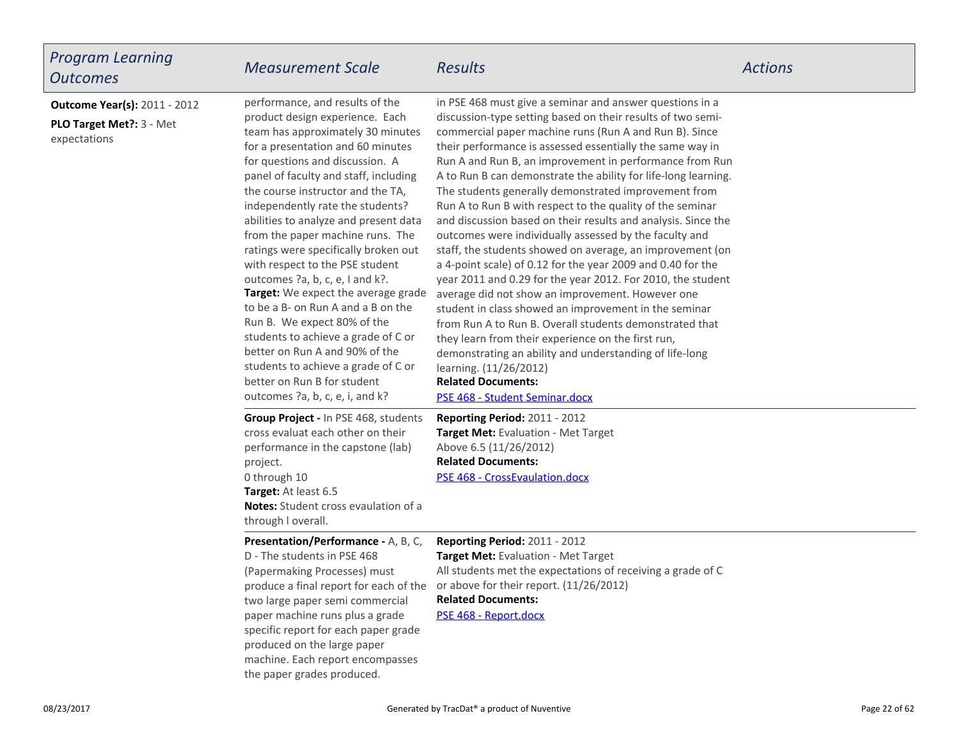| <b>Program Learning</b><br><b>Outcomes</b>                                       | <b>Measurement Scale</b>                                                                                                                                                                                                                                                                                                                                                                                                                                                                                                                                                                                                                                                                                                                                                                   | Results                                                                                                                                                                                                                                                                                                                                                                                                                                                                                                                                                                                                                                                                                                                                                                                                                                                                                                                                                                                                                                                                                                                                                                                                  | <b>Actions</b> |
|----------------------------------------------------------------------------------|--------------------------------------------------------------------------------------------------------------------------------------------------------------------------------------------------------------------------------------------------------------------------------------------------------------------------------------------------------------------------------------------------------------------------------------------------------------------------------------------------------------------------------------------------------------------------------------------------------------------------------------------------------------------------------------------------------------------------------------------------------------------------------------------|----------------------------------------------------------------------------------------------------------------------------------------------------------------------------------------------------------------------------------------------------------------------------------------------------------------------------------------------------------------------------------------------------------------------------------------------------------------------------------------------------------------------------------------------------------------------------------------------------------------------------------------------------------------------------------------------------------------------------------------------------------------------------------------------------------------------------------------------------------------------------------------------------------------------------------------------------------------------------------------------------------------------------------------------------------------------------------------------------------------------------------------------------------------------------------------------------------|----------------|
| <b>Outcome Year(s): 2011 - 2012</b><br>PLO Target Met ?: 3 - Met<br>expectations | performance, and results of the<br>product design experience. Each<br>team has approximately 30 minutes<br>for a presentation and 60 minutes<br>for questions and discussion. A<br>panel of faculty and staff, including<br>the course instructor and the TA,<br>independently rate the students?<br>abilities to analyze and present data<br>from the paper machine runs. The<br>ratings were specifically broken out<br>with respect to the PSE student<br>outcomes ?a, b, c, e, I and k?.<br>Target: We expect the average grade<br>to be a B- on Run A and a B on the<br>Run B. We expect 80% of the<br>students to achieve a grade of C or<br>better on Run A and 90% of the<br>students to achieve a grade of C or<br>better on Run B for student<br>outcomes ?a, b, c, e, i, and k? | in PSE 468 must give a seminar and answer questions in a<br>discussion-type setting based on their results of two semi-<br>commercial paper machine runs (Run A and Run B). Since<br>their performance is assessed essentially the same way in<br>Run A and Run B, an improvement in performance from Run<br>A to Run B can demonstrate the ability for life-long learning.<br>The students generally demonstrated improvement from<br>Run A to Run B with respect to the quality of the seminar<br>and discussion based on their results and analysis. Since the<br>outcomes were individually assessed by the faculty and<br>staff, the students showed on average, an improvement (on<br>a 4-point scale) of 0.12 for the year 2009 and 0.40 for the<br>year 2011 and 0.29 for the year 2012. For 2010, the student<br>average did not show an improvement. However one<br>student in class showed an improvement in the seminar<br>from Run A to Run B. Overall students demonstrated that<br>they learn from their experience on the first run,<br>demonstrating an ability and understanding of life-long<br>learning. (11/26/2012)<br><b>Related Documents:</b><br>PSE 468 - Student Seminar.docx |                |
|                                                                                  | Group Project - In PSE 468, students<br>cross evaluat each other on their<br>performance in the capstone (lab)<br>project.<br>0 through 10<br>Target: At least 6.5<br><b>Notes:</b> Student cross evaulation of a<br>through I overall.                                                                                                                                                                                                                                                                                                                                                                                                                                                                                                                                                    | <b>Reporting Period: 2011 - 2012</b><br>Target Met: Evaluation - Met Target<br>Above 6.5 (11/26/2012)<br><b>Related Documents:</b><br>PSE 468 - CrossEvaulation.docx                                                                                                                                                                                                                                                                                                                                                                                                                                                                                                                                                                                                                                                                                                                                                                                                                                                                                                                                                                                                                                     |                |
|                                                                                  | <b>Presentation/Performance - A, B, C,</b><br>D - The students in PSE 468<br>(Papermaking Processes) must<br>two large paper semi commercial<br>paper machine runs plus a grade<br>specific report for each paper grade<br>produced on the large paper<br>machine. Each report encompasses<br>the paper grades produced.                                                                                                                                                                                                                                                                                                                                                                                                                                                                   | Reporting Period: 2011 - 2012<br>Target Met: Evaluation - Met Target<br>All students met the expectations of receiving a grade of C<br>produce a final report for each of the or above for their report. (11/26/2012)<br><b>Related Documents:</b><br>PSE 468 - Report.docx                                                                                                                                                                                                                                                                                                                                                                                                                                                                                                                                                                                                                                                                                                                                                                                                                                                                                                                              |                |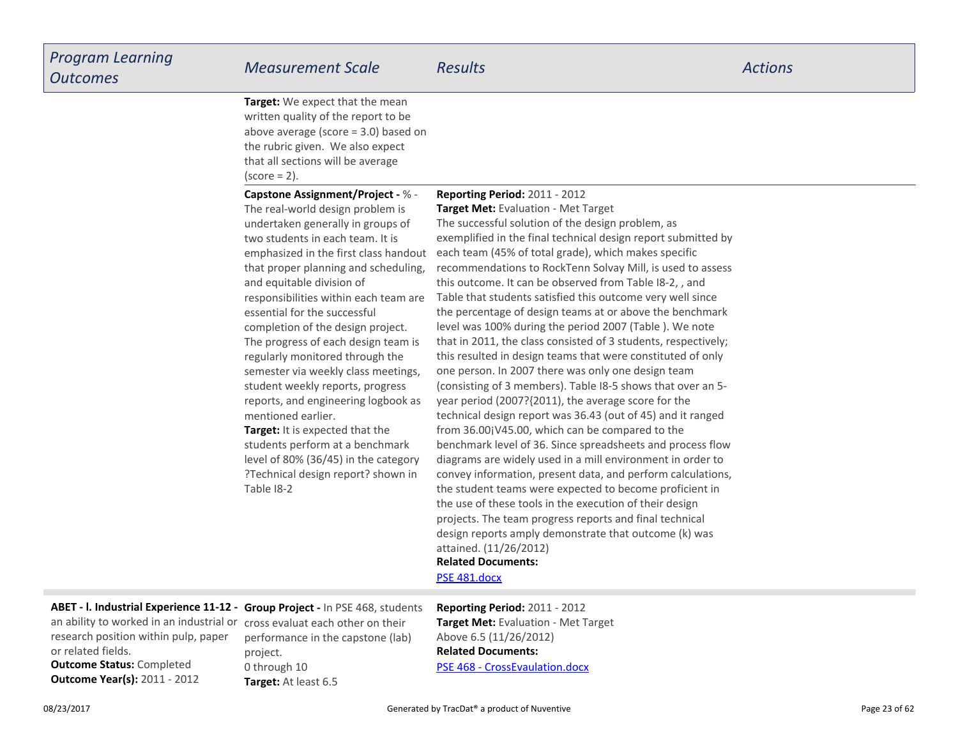**Target:** We expect that the mean written quality of the report to be above average (score = 3.0) based onthe rubric given. We also expectthat all sections will be average $(score = 2)$ .

**Capstone Assignment/Project -** % -

**Reporting Period:** 2011 - 2012

**Target:** It is expected that theThe real-world design problem is undertaken generally in groups oftwo students in each team. It is emphasized in the first class handoutthat proper planning and scheduling,and equitable division ofresponsibilities within each team areessential for the successfulcompletion of the design project.The progress of each design team isregularly monitored through the semester via weekly class meetings,student weekly reports, progress reports, and engineering logbook asmentioned earlier.

 students perform at a benchmark level of 80% (36/45) in the category ?Technical design report? shown inTable I8-2

**Related Documents: Target Met:** Evaluation - Met Target The successful solution of the design problem, as exemplified in the final technical design report submitted byeach team (45% of total grade), which makes specific recommendations to RockTenn Solvay Mill, is used to assessthis outcome. It can be observed from Table I8-2, , and Table that students satisfied this outcome very well since the percentage of design teams at or above the benchmarklevel was 100% during the period 2007 (Table ). We note that in 2011, the class consisted of 3 students, respectively;this resulted in design teams that were constituted of onlyone person. In 2007 there was only one design team (consisting of 3 members). Table I8-5 shows that over an 5year period (2007?{2011), the average score for the technical design report was 36.43 (out of 45) and it rangedfrom 36.00¡V45.00, which can be compared to the benchmark level of 36. Since spreadsheets and process flow diagrams are widely used in a mill environment in order to convey information, present data, and perform calculations,the student teams were expected to become proficient inthe use of these tools in the execution of their design projects. The team progress reports and final technicaldesign reports amply demonstrate that outcome (k) wasattained. (11/26/2012)

[PSE 481.docx](https://esf.tracdat.com:443/tracdat/viewDocument?y=gTPVZnbQI4Fe)

**ABET - l. Industrial Experience 11-12 - Group Project -** In PSE 468, students

**Outcome Status:** Completed an ability to worked in an industrial orresearch position within pulp, paperor related fields.

**Outcome Year(s):** 2011 - 2012

**Target:** At least 6.5 cross evaluat each other on their performance in the capstone (lab)project.0 through 10

**Related Documents:**[PSE 468 - CrossEvaulation.docx](https://esf.tracdat.com:443/tracdat/viewDocument?y=Z3nfQ4j4xLDL) **Reporting Period:** 2011 - 2012 **Target Met:** Evaluation - Met TargetAbove 6.5 (11/26/2012)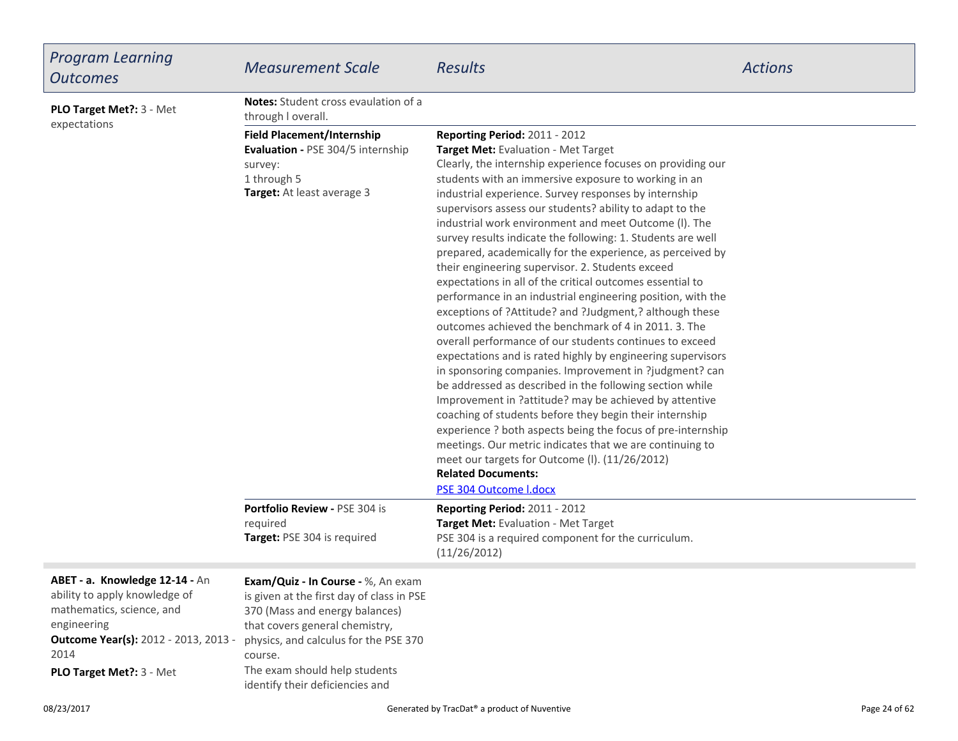| <b>Program Learning</b><br><b>Outcomes</b>                                                                                                                                                      | <b>Measurement Scale</b>                                                                                                                                                                                                                                                    | <b>Results</b>                                                                                                                                                                                                                                                                                                                                                                                                                                                                                                                                                                                                                                                                                                                                                                                                                                                                                                                                                                                                                                                                                                                                                                                                                                                                                                                                                                                                            | <b>Actions</b> |
|-------------------------------------------------------------------------------------------------------------------------------------------------------------------------------------------------|-----------------------------------------------------------------------------------------------------------------------------------------------------------------------------------------------------------------------------------------------------------------------------|---------------------------------------------------------------------------------------------------------------------------------------------------------------------------------------------------------------------------------------------------------------------------------------------------------------------------------------------------------------------------------------------------------------------------------------------------------------------------------------------------------------------------------------------------------------------------------------------------------------------------------------------------------------------------------------------------------------------------------------------------------------------------------------------------------------------------------------------------------------------------------------------------------------------------------------------------------------------------------------------------------------------------------------------------------------------------------------------------------------------------------------------------------------------------------------------------------------------------------------------------------------------------------------------------------------------------------------------------------------------------------------------------------------------------|----------------|
| PLO Target Met ?: 3 - Met                                                                                                                                                                       | <b>Notes:</b> Student cross evaulation of a<br>through I overall.                                                                                                                                                                                                           |                                                                                                                                                                                                                                                                                                                                                                                                                                                                                                                                                                                                                                                                                                                                                                                                                                                                                                                                                                                                                                                                                                                                                                                                                                                                                                                                                                                                                           |                |
| expectations                                                                                                                                                                                    | <b>Field Placement/Internship</b><br>Evaluation - PSE 304/5 internship<br>survey:<br>1 through 5<br>Target: At least average 3                                                                                                                                              | <b>Reporting Period: 2011 - 2012</b><br>Target Met: Evaluation - Met Target<br>Clearly, the internship experience focuses on providing our<br>students with an immersive exposure to working in an<br>industrial experience. Survey responses by internship<br>supervisors assess our students? ability to adapt to the<br>industrial work environment and meet Outcome (I). The<br>survey results indicate the following: 1. Students are well<br>prepared, academically for the experience, as perceived by<br>their engineering supervisor. 2. Students exceed<br>expectations in all of the critical outcomes essential to<br>performance in an industrial engineering position, with the<br>exceptions of ?Attitude? and ?Judgment,? although these<br>outcomes achieved the benchmark of 4 in 2011. 3. The<br>overall performance of our students continues to exceed<br>expectations and is rated highly by engineering supervisors<br>in sponsoring companies. Improvement in ?judgment? can<br>be addressed as described in the following section while<br>Improvement in ?attitude? may be achieved by attentive<br>coaching of students before they begin their internship<br>experience ? both aspects being the focus of pre-internship<br>meetings. Our metric indicates that we are continuing to<br>meet our targets for Outcome (I). (11/26/2012)<br><b>Related Documents:</b><br>PSE 304 Outcome I.docx |                |
|                                                                                                                                                                                                 | Portfolio Review - PSE 304 is<br>required<br>Target: PSE 304 is required                                                                                                                                                                                                    | <b>Reporting Period: 2011 - 2012</b><br>Target Met: Evaluation - Met Target<br>PSE 304 is a required component for the curriculum.<br>(11/26/2012)                                                                                                                                                                                                                                                                                                                                                                                                                                                                                                                                                                                                                                                                                                                                                                                                                                                                                                                                                                                                                                                                                                                                                                                                                                                                        |                |
| ABET - a. Knowledge 12-14 - An<br>ability to apply knowledge of<br>mathematics, science, and<br>engineering<br><b>Outcome Year(s):</b> 2012 - 2013, 2013 -<br>2014<br>PLO Target Met ?: 3 - Met | Exam/Quiz - In Course - %, An exam<br>is given at the first day of class in PSE<br>370 (Mass and energy balances)<br>that covers general chemistry,<br>physics, and calculus for the PSE 370<br>course.<br>The exam should help students<br>identify their deficiencies and |                                                                                                                                                                                                                                                                                                                                                                                                                                                                                                                                                                                                                                                                                                                                                                                                                                                                                                                                                                                                                                                                                                                                                                                                                                                                                                                                                                                                                           |                |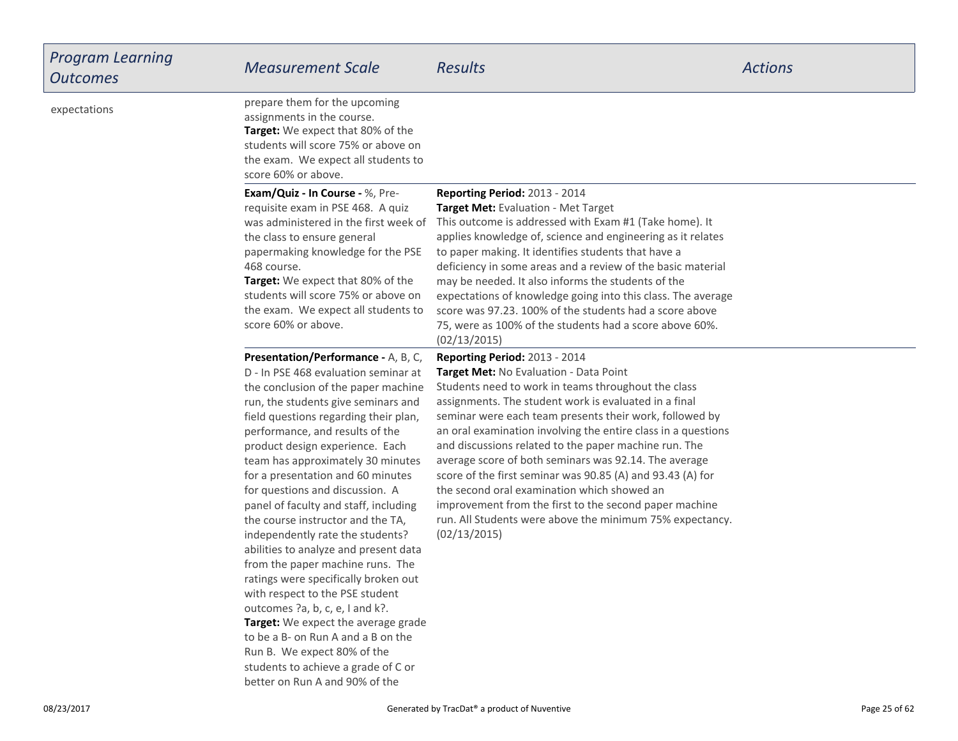| <b>Program Learning</b><br><b>Outcomes</b> | <b>Measurement Scale</b>                                                                                                                                                                                                                                                                                                                                                                                                                                                                                                                                                                                                                                                                                                                                                                                                                                                                | <b>Results</b>                                                                                                                                                                                                                                                                                                                                                                                                                                                                                                                                                                                                                                                                           | <b>Actions</b> |
|--------------------------------------------|-----------------------------------------------------------------------------------------------------------------------------------------------------------------------------------------------------------------------------------------------------------------------------------------------------------------------------------------------------------------------------------------------------------------------------------------------------------------------------------------------------------------------------------------------------------------------------------------------------------------------------------------------------------------------------------------------------------------------------------------------------------------------------------------------------------------------------------------------------------------------------------------|------------------------------------------------------------------------------------------------------------------------------------------------------------------------------------------------------------------------------------------------------------------------------------------------------------------------------------------------------------------------------------------------------------------------------------------------------------------------------------------------------------------------------------------------------------------------------------------------------------------------------------------------------------------------------------------|----------------|
| expectations                               | prepare them for the upcoming<br>assignments in the course.<br>Target: We expect that 80% of the<br>students will score 75% or above on<br>the exam. We expect all students to<br>score 60% or above.                                                                                                                                                                                                                                                                                                                                                                                                                                                                                                                                                                                                                                                                                   |                                                                                                                                                                                                                                                                                                                                                                                                                                                                                                                                                                                                                                                                                          |                |
|                                            | Exam/Quiz - In Course - %, Pre-<br>requisite exam in PSE 468. A quiz<br>was administered in the first week of<br>the class to ensure general<br>papermaking knowledge for the PSE<br>468 course.<br>Target: We expect that 80% of the<br>students will score 75% or above on<br>the exam. We expect all students to<br>score 60% or above.                                                                                                                                                                                                                                                                                                                                                                                                                                                                                                                                              | Reporting Period: 2013 - 2014<br>Target Met: Evaluation - Met Target<br>This outcome is addressed with Exam #1 (Take home). It<br>applies knowledge of, science and engineering as it relates<br>to paper making. It identifies students that have a<br>deficiency in some areas and a review of the basic material<br>may be needed. It also informs the students of the<br>expectations of knowledge going into this class. The average<br>score was 97.23. 100% of the students had a score above<br>75, were as 100% of the students had a score above 60%.<br>(02/13/2015)                                                                                                          |                |
|                                            | Presentation/Performance - A, B, C,<br>D - In PSE 468 evaluation seminar at<br>the conclusion of the paper machine<br>run, the students give seminars and<br>field questions regarding their plan,<br>performance, and results of the<br>product design experience. Each<br>team has approximately 30 minutes<br>for a presentation and 60 minutes<br>for questions and discussion. A<br>panel of faculty and staff, including<br>the course instructor and the TA,<br>independently rate the students?<br>abilities to analyze and present data<br>from the paper machine runs. The<br>ratings were specifically broken out<br>with respect to the PSE student<br>outcomes ?a, b, c, e, I and k?.<br>Target: We expect the average grade<br>to be a B- on Run A and a B on the<br>Run B. We expect 80% of the<br>students to achieve a grade of C or<br>better on Run A and 90% of the | Reporting Period: 2013 - 2014<br>Target Met: No Evaluation - Data Point<br>Students need to work in teams throughout the class<br>assignments. The student work is evaluated in a final<br>seminar were each team presents their work, followed by<br>an oral examination involving the entire class in a questions<br>and discussions related to the paper machine run. The<br>average score of both seminars was 92.14. The average<br>score of the first seminar was 90.85 (A) and 93.43 (A) for<br>the second oral examination which showed an<br>improvement from the first to the second paper machine<br>run. All Students were above the minimum 75% expectancy.<br>(02/13/2015) |                |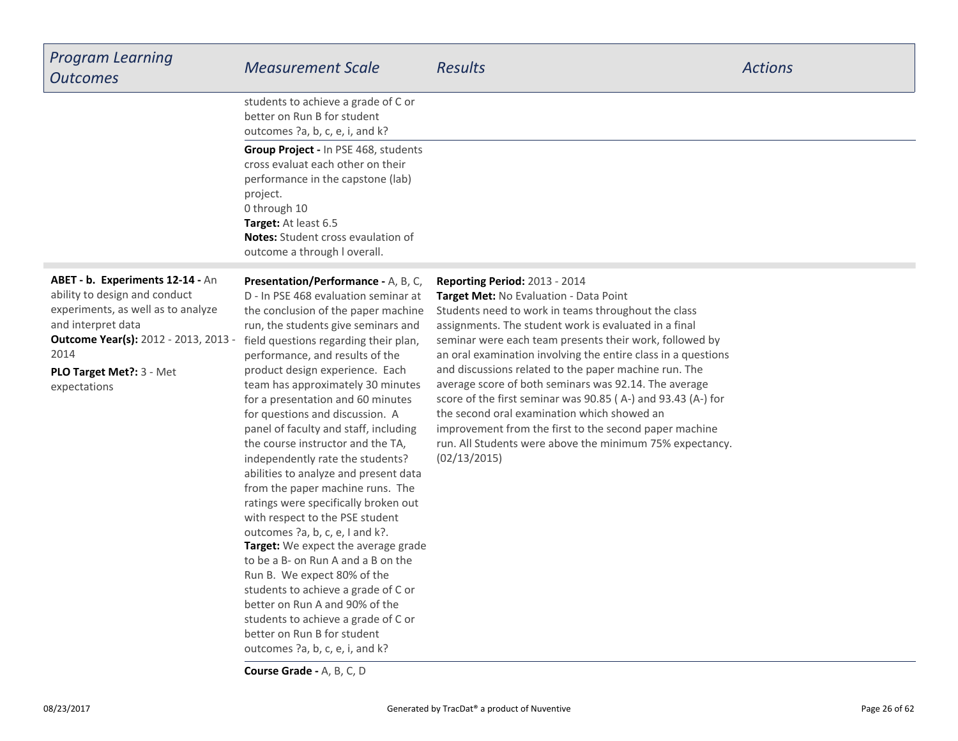| <b>Program Learning</b><br><b>Outcomes</b>                                                                                                                                                                                        | <b>Measurement Scale</b>                                                                                                                                                                                                                                                                                                                                                                                                                                                                                                                                                                                                                                                                                                                                                                                                                                                                                                                                                                         | <b>Results</b>                                                                                                                                                                                                                                                                                                                                                                                                                                                                                                                                                                                                                                                                             | <b>Actions</b> |
|-----------------------------------------------------------------------------------------------------------------------------------------------------------------------------------------------------------------------------------|--------------------------------------------------------------------------------------------------------------------------------------------------------------------------------------------------------------------------------------------------------------------------------------------------------------------------------------------------------------------------------------------------------------------------------------------------------------------------------------------------------------------------------------------------------------------------------------------------------------------------------------------------------------------------------------------------------------------------------------------------------------------------------------------------------------------------------------------------------------------------------------------------------------------------------------------------------------------------------------------------|--------------------------------------------------------------------------------------------------------------------------------------------------------------------------------------------------------------------------------------------------------------------------------------------------------------------------------------------------------------------------------------------------------------------------------------------------------------------------------------------------------------------------------------------------------------------------------------------------------------------------------------------------------------------------------------------|----------------|
|                                                                                                                                                                                                                                   | students to achieve a grade of C or<br>better on Run B for student<br>outcomes ?a, b, c, e, i, and k?                                                                                                                                                                                                                                                                                                                                                                                                                                                                                                                                                                                                                                                                                                                                                                                                                                                                                            |                                                                                                                                                                                                                                                                                                                                                                                                                                                                                                                                                                                                                                                                                            |                |
|                                                                                                                                                                                                                                   | Group Project - In PSE 468, students<br>cross evaluat each other on their<br>performance in the capstone (lab)<br>project.<br>0 through 10<br>Target: At least 6.5<br><b>Notes:</b> Student cross evaulation of<br>outcome a through I overall.                                                                                                                                                                                                                                                                                                                                                                                                                                                                                                                                                                                                                                                                                                                                                  |                                                                                                                                                                                                                                                                                                                                                                                                                                                                                                                                                                                                                                                                                            |                |
| ABET - b. Experiments 12-14 - An<br>ability to design and conduct<br>experiments, as well as to analyze<br>and interpret data<br><b>Outcome Year(s): 2012 - 2013, 2013 -</b><br>2014<br>PLO Target Met ?: 3 - Met<br>expectations | Presentation/Performance - A, B, C,<br>D - In PSE 468 evaluation seminar at<br>the conclusion of the paper machine<br>run, the students give seminars and<br>field questions regarding their plan,<br>performance, and results of the<br>product design experience. Each<br>team has approximately 30 minutes<br>for a presentation and 60 minutes<br>for questions and discussion. A<br>panel of faculty and staff, including<br>the course instructor and the TA,<br>independently rate the students?<br>abilities to analyze and present data<br>from the paper machine runs. The<br>ratings were specifically broken out<br>with respect to the PSE student<br>outcomes ?a, b, c, e, I and k?.<br>Target: We expect the average grade<br>to be a B- on Run A and a B on the<br>Run B. We expect 80% of the<br>students to achieve a grade of C or<br>better on Run A and 90% of the<br>students to achieve a grade of C or<br>better on Run B for student<br>outcomes ?a, b, c, e, i, and k? | Reporting Period: 2013 - 2014<br>Target Met: No Evaluation - Data Point<br>Students need to work in teams throughout the class<br>assignments. The student work is evaluated in a final<br>seminar were each team presents their work, followed by<br>an oral examination involving the entire class in a questions<br>and discussions related to the paper machine run. The<br>average score of both seminars was 92.14. The average<br>score of the first seminar was 90.85 (A-) and 93.43 (A-) for<br>the second oral examination which showed an<br>improvement from the first to the second paper machine<br>run. All Students were above the minimum 75% expectancy.<br>(02/13/2015) |                |

**Course Grade -** A, B, C, D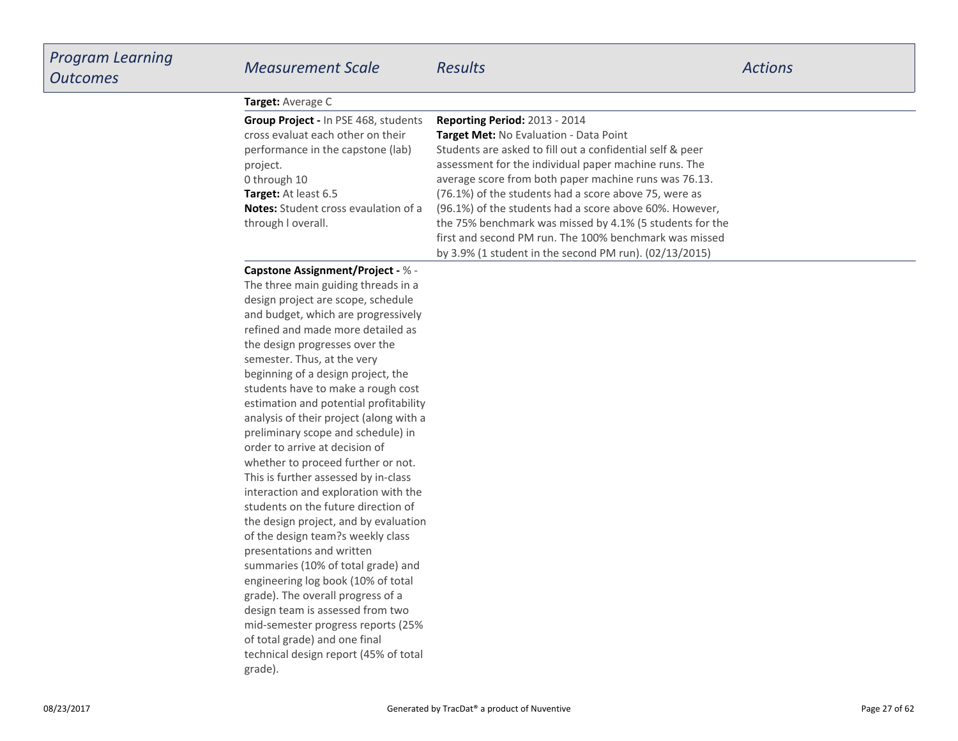| <b>Target:</b> Average C                    |                                                           |  |
|---------------------------------------------|-----------------------------------------------------------|--|
| Group Project - In PSE 468, students        | <b>Reporting Period: 2013 - 2014</b>                      |  |
| cross evaluat each other on their           | <b>Target Met: No Evaluation - Data Point</b>             |  |
| performance in the capstone (lab)           | Students are asked to fill out a confidential self & peer |  |
| project.                                    | assessment for the individual paper machine runs. The     |  |
| 0 through 10                                | average score from both paper machine runs was 76.13.     |  |
| <b>Target:</b> At least 6.5                 | (76.1%) of the students had a score above 75, were as     |  |
| <b>Notes:</b> Student cross evaulation of a | (96.1%) of the students had a score above 60%. However,   |  |
| through I overall.                          | the 75% benchmark was missed by 4.1% (5 students for the  |  |
|                                             | first and second PM run. The 100% benchmark was missed    |  |
|                                             | by 3.9% (1 student in the second PM run). (02/13/2015)    |  |

#### **Capstone Assignment/Project -** % -

 The three main guiding threads in a design project are scope, schedule and budget, which are progressively refined and made more detailed asthe design progresses over thesemester. Thus, at the very beginning of a design project, the students have to make a rough cost estimation and potential profitability analysis of their project (along with apreliminary scope and schedule) inorder to arrive at decision ofwhether to proceed further or not.This is further assessed by in-class interaction and exploration with the students on the future direction of the design project, and by evaluationof the design team?s weekly classpresentations and written summaries (10% of total grade) and engineering log book (10% of totalgrade). The overall progress of a design team is assessed from two mid-semester progress reports (25%of total grade) and one finaltechnical design report (45% of totalgrade).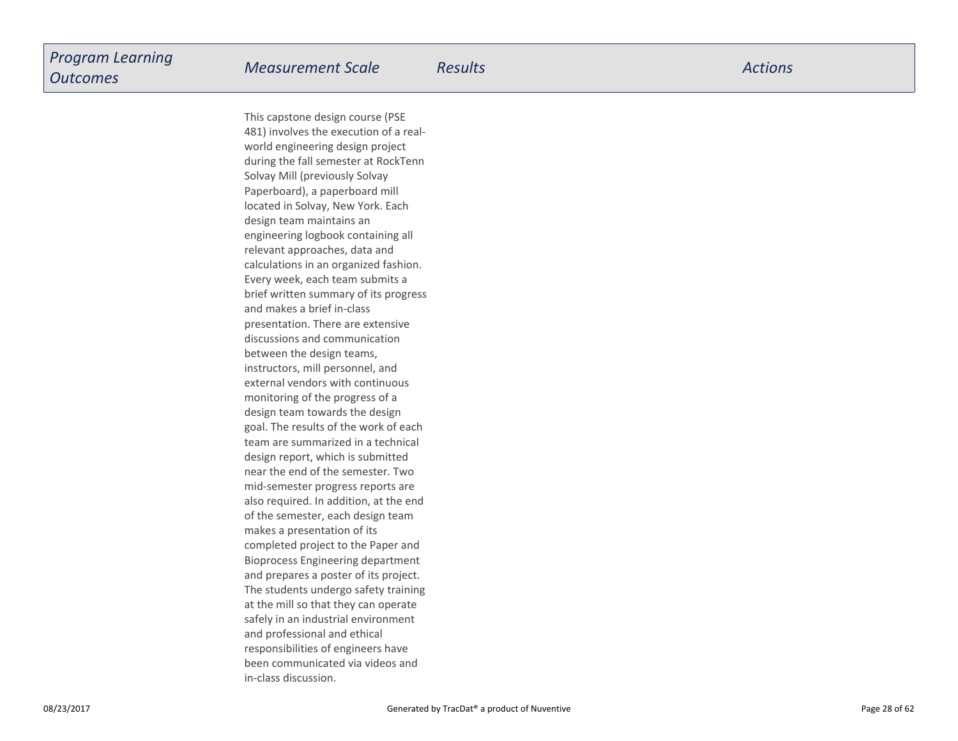This capstone design course (PSE 481) involves the execution of a realworld engineering design project during the fall semester at RockTennSolvay Mill (previously Solvay Paperboard), a paperboard milllocated in Solvay, New York. Eachdesign team maintains an engineering logbook containing allrelevant approaches, data and calculations in an organized fashion.Every week, each team submits a brief written summary of its progressand makes a brief in-class presentation. There are extensivediscussions and communicationbetween the design teams,instructors, mill personnel, and external vendors with continuousmonitoring of the progress of a design team towards the design goal. The results of the work of each team are summarized in a technicaldesign report, which is submitted near the end of the semester. Two mid-semester progress reports are also required. In addition, at the endof the semester, each design teammakes a presentation of its completed project to the Paper and Bioprocess Engineering departmentand prepares a poster of its project.The students undergo safety trainingat the mill so that they can operate safely in an industrial environmentand professional and ethicalresponsibilities of engineers have been communicated via videos andin-class discussion.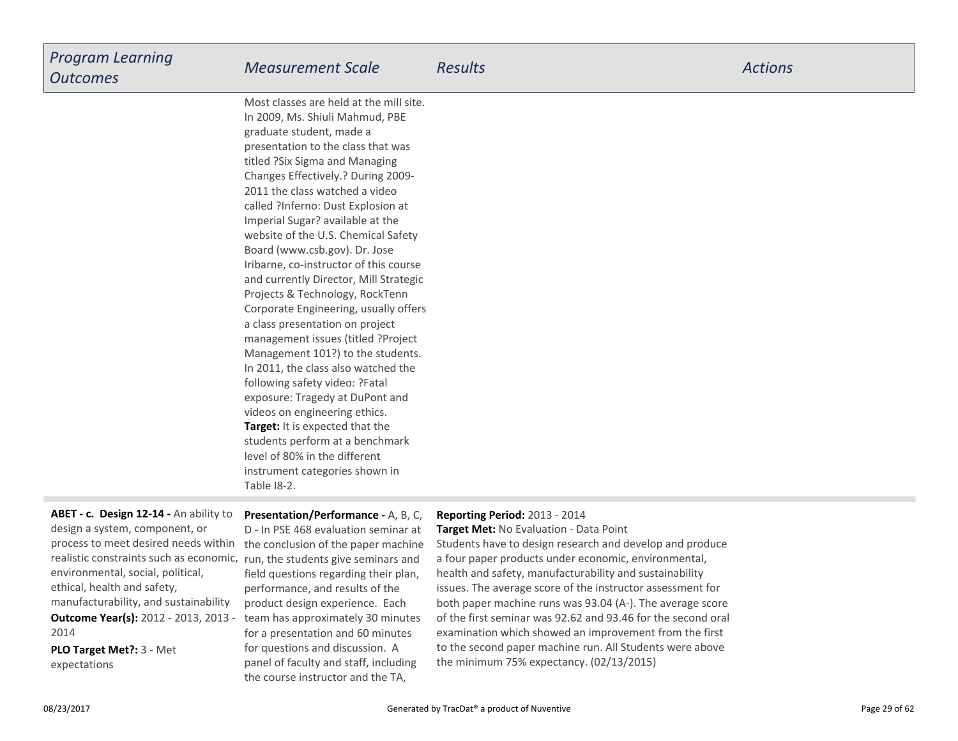| <b>Program Learning</b><br><b>Outcomes</b> | <b>Measurement Scale</b>                | Results | <b>Actions</b> |
|--------------------------------------------|-----------------------------------------|---------|----------------|
|                                            | Most classes are held at the mill site. |         |                |

**Target:** It is expected that the students perform at a benchmarklevel of 80% in the different instrument categories shown inTable I8-2.In 2009, Ms. Shiuli Mahmud, PBEgraduate student, made a presentation to the class that wastitled ?Six Sigma and Managing Changes Effectively.? During 2009-2011 the class watched a video called ?Inferno: Dust Explosion atImperial Sugar? available at the website of the U.S. Chemical SafetyBoard (www.csb.gov). Dr. Jose Iribarne, co-instructor of this course and currently Director, Mill StrategicProjects & Technology, RockTenn Corporate Engineering, usually offersa class presentation on project management issues (titled ?Project Management 101?) to the students.In 2011, the class also watched thefollowing safety video: ?Fatalexposure: Tragedy at DuPont andvideos on engineering ethics.

## process to meet desired needs within the conclusion of the paper machine **Outcome Year(s):** 2012 - 2013, 2013 - 2014**ABET - c. Design 12-14 -** An ability todesign a system, component, or realistic constraints such as economic,environmental, social, political,ethical, health and safety,manufacturability, and sustainability

**PLO Target Met?:** 3 - Metexpectations

**Presentation/Performance -** A, B, C,D - In PSE 468 evaluation seminar at run, the students give seminars and field questions regarding their plan,performance, and results of the product design experience. Each team has approximately 30 minutesfor a presentation and 60 minutesfor questions and discussion. A panel of faculty and staff, includingthe course instructor and the TA,

#### **Reporting Period:** 2013 - 2014

 **Target Met:** No Evaluation - Data PointStudents have to design research and develop and producea four paper products under economic, environmental,health and safety, manufacturability and sustainability issues. The average score of the instructor assessment for both paper machine runs was 93.04 (A-). The average score of the first seminar was 92.62 and 93.46 for the second oralexamination which showed an improvement from the first to the second paper machine run. All Students were abovethe minimum 75% expectancy. (02/13/2015)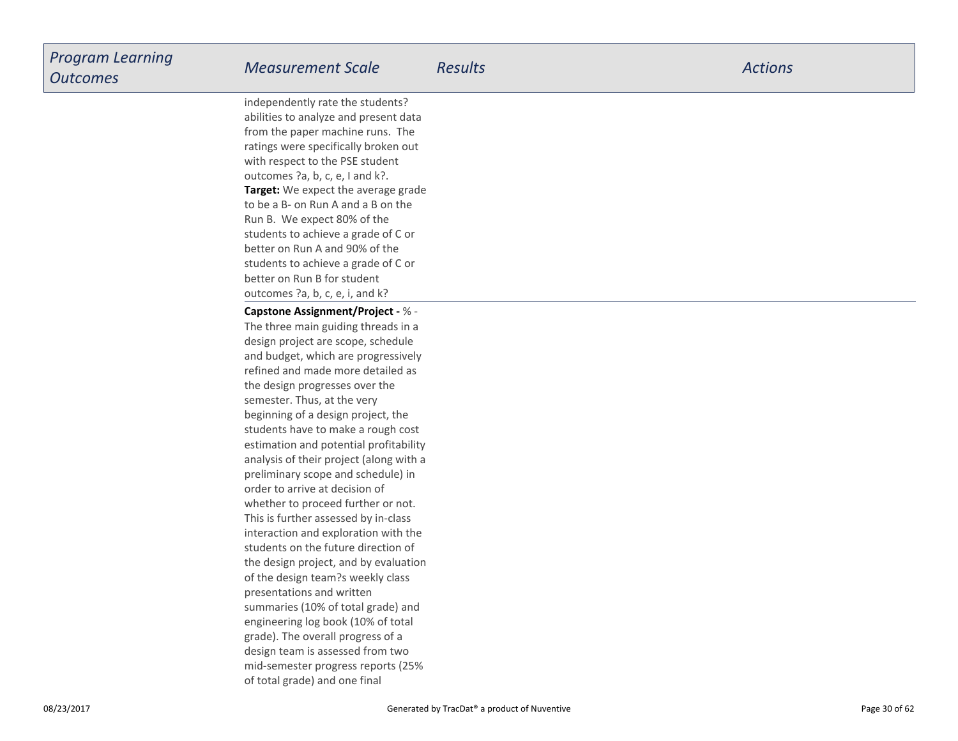**Target:** We expect the average gradeto be a B- on Run A and a B on theRun B. We expect 80% of the students to achieve a grade of C orbetter on Run A and 90% of the students to achieve a grade of C orbetter on Run B for student outcomes ?a, b, c, e, i, and k?independently rate the students? abilities to analyze and present data from the paper machine runs. The ratings were specifically broken outwith respect to the PSE studentoutcomes ?a, b, c, e, I and k?.

**Capstone Assignment/Project -** % - The three main guiding threads in a design project are scope, schedule and budget, which are progressively refined and made more detailed asthe design progresses over thesemester. Thus, at the very beginning of a design project, the students have to make a rough cost estimation and potential profitability analysis of their project (along with apreliminary scope and schedule) inorder to arrive at decision of whether to proceed further or not.This is further assessed by in-class interaction and exploration with the students on the future direction of the design project, and by evaluationof the design team?s weekly classpresentations and written summaries (10% of total grade) and engineering log book (10% of totalgrade). The overall progress of a design team is assessed from two mid-semester progress reports (25%of total grade) and one final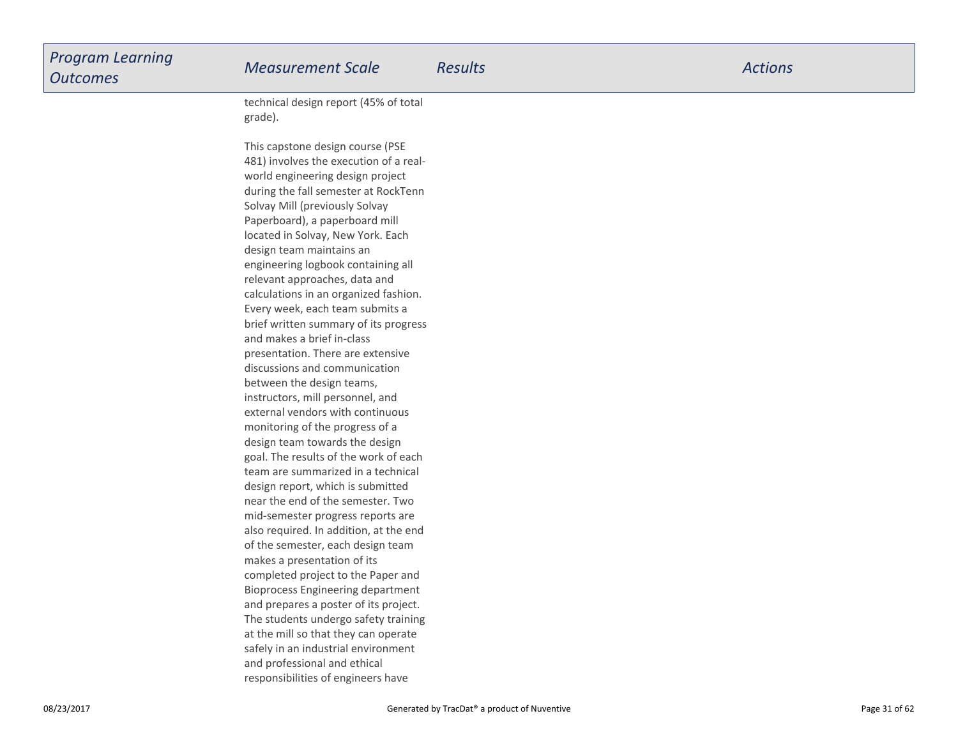| <b>Program Learning</b> |
|-------------------------|
| <b>Outcomes</b>         |

technical design report (45% of totalgrade).

This capstone design course (PSE 481) involves the execution of a realworld engineering design project during the fall semester at RockTennSolvay Mill (previously Solvay Paperboard), a paperboard milllocated in Solvay, New York. Eachdesign team maintains an engineering logbook containing allrelevant approaches, data and calculations in an organized fashion.Every week, each team submits a brief written summary of its progressand makes a brief in-class presentation. There are extensivediscussions and communicationbetween the design teams,instructors, mill personnel, and external vendors with continuousmonitoring of the progress of a design team towards the design goal. The results of the work of each team are summarized in a technicaldesign report, which is submitted near the end of the semester. Two mid-semester progress reports are also required. In addition, at the endof the semester, each design teammakes a presentation of its completed project to the Paper and Bioprocess Engineering department and prepares a poster of its project.The students undergo safety trainingat the mill so that they can operate safely in an industrial environmentand professional and ethicalresponsibilities of engineers have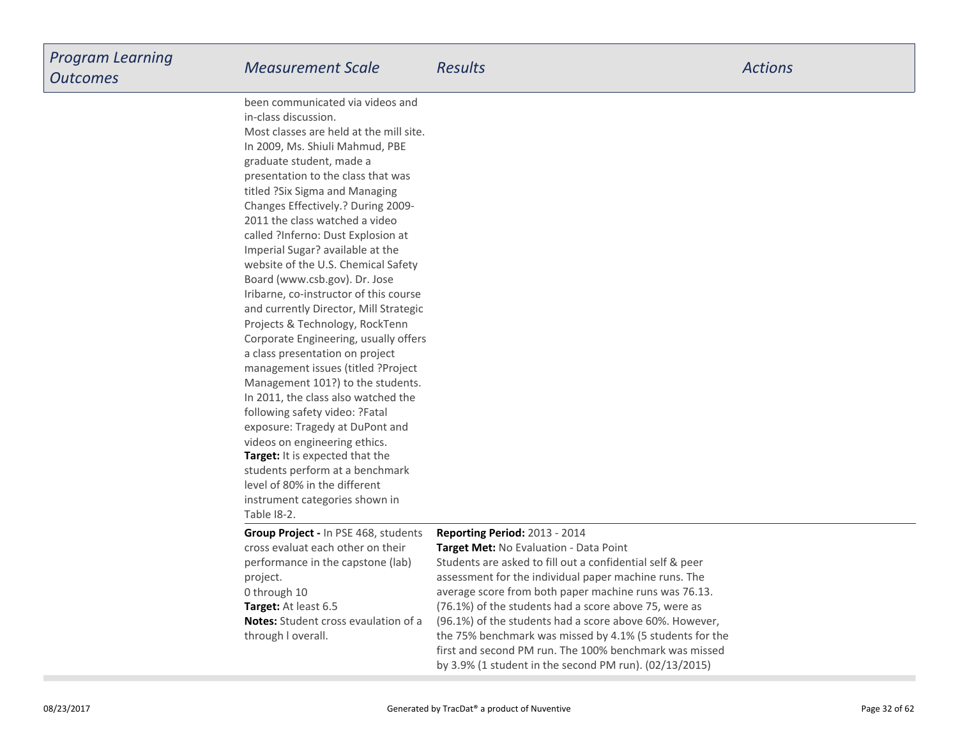| <b>Program Learning</b><br><b>Outcomes</b> | <b>Measurement Scale</b>                                 | <b>Results</b> | <b>Actions</b> |
|--------------------------------------------|----------------------------------------------------------|----------------|----------------|
|                                            | been communicated via videos and<br>in-class discussion. |                |                |
|                                            | Most classes are held at the mill site.                  |                |                |
|                                            | In 2009, Ms. Shiuli Mahmud, PBE                          |                |                |
|                                            | graduate student, made a                                 |                |                |
|                                            | presentation to the class that was                       |                |                |

**Target:** It is expected that the students perform at a benchmarklevel of 80% in the differentinstrument categories shown inTable I8-2.titled ?Six Sigma and Managing Changes Effectively.? During 2009-2011 the class watched a video called ?Inferno: Dust Explosion atImperial Sugar? available at the website of the U.S. Chemical SafetyBoard (www.csb.gov). Dr. Jose Iribarne, co-instructor of this course and currently Director, Mill StrategicProjects & Technology, RockTenn Corporate Engineering, usually offersa class presentation on project management issues (titled ?Project Management 101?) to the students.In 2011, the class also watched thefollowing safety video: ?Fatalexposure: Tragedy at DuPont andvideos on engineering ethics.

**Target:** At least 6.5

project.0 through 10

through l overall.

**Notes:** Student cross evaulation of a

**Group Project -** In PSE 468, studentscross evaluat each other on theirperformance in the capstone (lab)

#### **Reporting Period:** 2013 - 2014

 **Target Met:** No Evaluation - Data Point Students are asked to fill out a confidential self & peer assessment for the individual paper machine runs. The average score from both paper machine runs was 76.13.(76.1%) of the students had a score above 75, were as (96.1%) of the students had a score above 60%. However,the 75% benchmark was missed by 4.1% (5 students for the first and second PM run. The 100% benchmark was missedby 3.9% (1 student in the second PM run). (02/13/2015)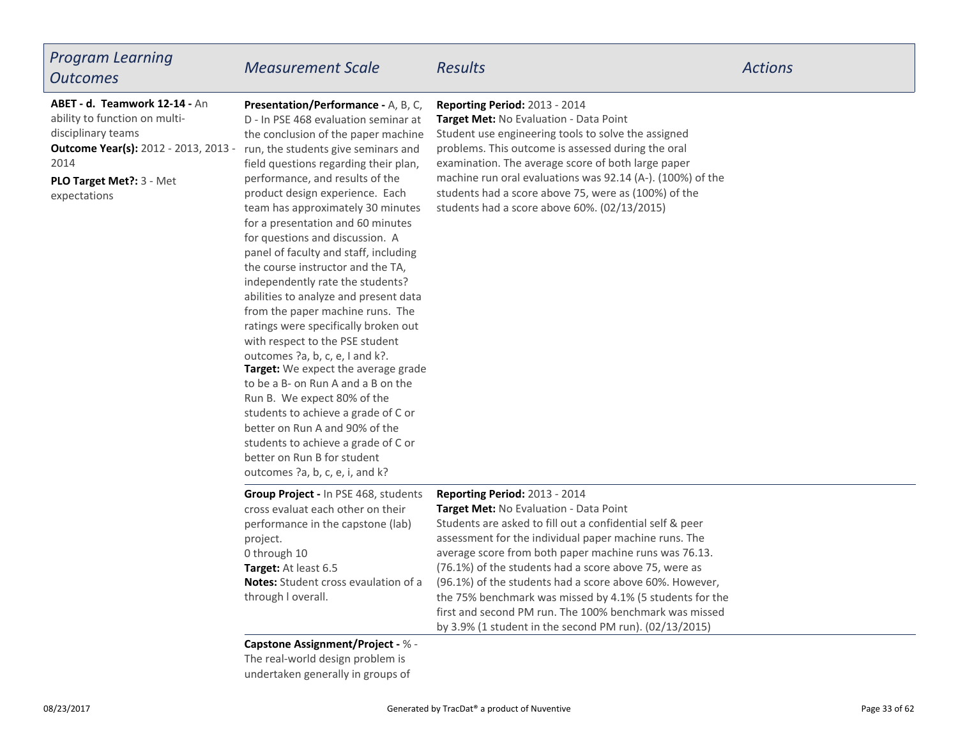# *Program LearningOutcomes*

# *Measurement Scale Results Actions*

**PLO Target Met?:** 3 - Met**Outcome Year(s):** 2012 - 2013, 2013 - 2014**ABET - d. Teamwork 12-14 -** Anability to function on multidisciplinary teams

expectations

**Target:** We expect the average grade to be a B- on Run A and a B on theRun B. We expect 80% of the students to achieve a grade of C orbetter on Run A and 90% of the students to achieve a grade of C orbetter on Run B for studentoutcomes ?a, b, c, e, i, and k?**Presentation/Performance -** A, B, C,D - In PSE 468 evaluation seminar at the conclusion of the paper machine run, the students give seminars and field questions regarding their plan,performance, and results of the product design experience. Each team has approximately 30 minutesfor a presentation and 60 minutesfor questions and discussion. A panel of faculty and staff, includingthe course instructor and the TA,independently rate the students? abilities to analyze and present data from the paper machine runs. The ratings were specifically broken outwith respect to the PSE studentoutcomes ?a, b, c, e, I and k?.

### **Reporting Period:** 2013 - 2014

 **Target Met:** No Evaluation - Data Point Student use engineering tools to solve the assigned problems. This outcome is assessed during the oralexamination. The average score of both large paper machine run oral evaluations was 92.14 (A-). (100%) of thestudents had a score above 75, were as (100%) of thestudents had a score above 60%. (02/13/2015)

#### **Reporting Period:** 2013 - 2014**Group Project -** In PSE 468, students

**Target:** At least 6.5 **Notes:** Student cross evaulation of a **Target Met:** No Evaluation - Data Point Students are asked to fill out a confidential self & peer assessment for the individual paper machine runs. The average score from both paper machine runs was 76.13.(76.1%) of the students had a score above 75, were as (96.1%) of the students had a score above 60%. However,the 75% benchmark was missed by 4.1% (5 students for the first and second PM run. The 100% benchmark was missedby 3.9% (1 student in the second PM run). (02/13/2015)through l overall.cross evaluat each other on their performance in the capstone (lab)project.0 through 10

#### **Capstone Assignment/Project -** % -

The real-world design problem isundertaken generally in groups of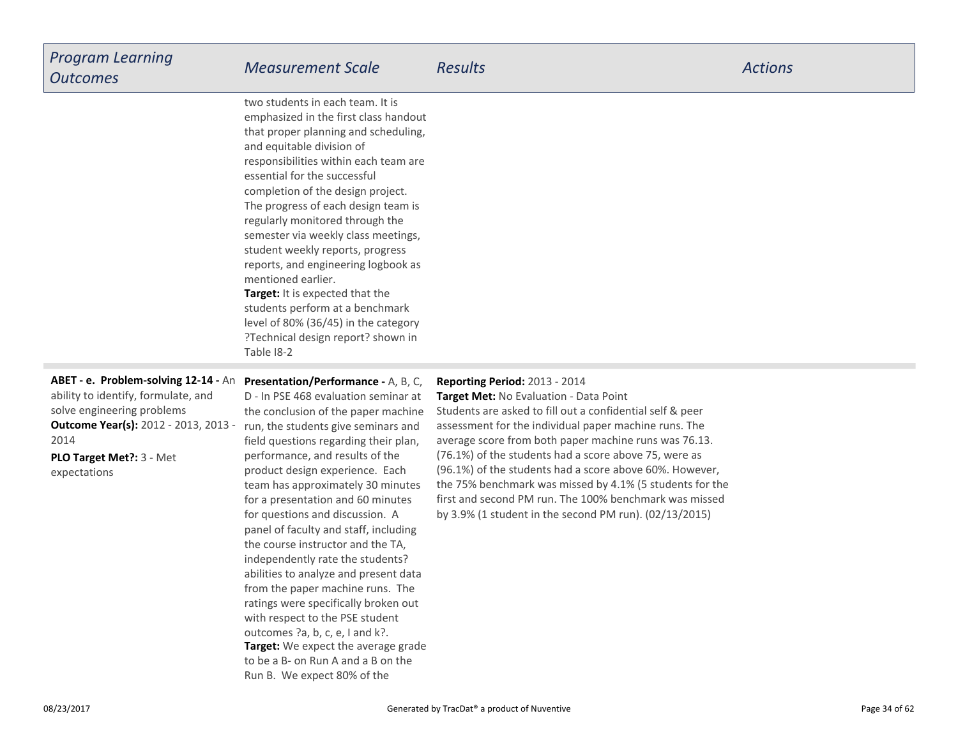| <b>Program Learning</b><br><b>Outcomes</b>                                                                                                                                                                    | <b>Measurement Scale</b>                                                                                                                                                                                                                                                                                                                                                                                                                                                                                                                                                                                                                         | <b>Results</b>                                                                                                                                                                                                                                                                                                                                                                                                                                                                                                                                             | <b>Actions</b> |
|---------------------------------------------------------------------------------------------------------------------------------------------------------------------------------------------------------------|--------------------------------------------------------------------------------------------------------------------------------------------------------------------------------------------------------------------------------------------------------------------------------------------------------------------------------------------------------------------------------------------------------------------------------------------------------------------------------------------------------------------------------------------------------------------------------------------------------------------------------------------------|------------------------------------------------------------------------------------------------------------------------------------------------------------------------------------------------------------------------------------------------------------------------------------------------------------------------------------------------------------------------------------------------------------------------------------------------------------------------------------------------------------------------------------------------------------|----------------|
|                                                                                                                                                                                                               | two students in each team. It is<br>emphasized in the first class handout<br>that proper planning and scheduling,<br>and equitable division of<br>responsibilities within each team are<br>essential for the successful<br>completion of the design project.<br>The progress of each design team is<br>regularly monitored through the<br>semester via weekly class meetings,<br>student weekly reports, progress<br>reports, and engineering logbook as<br>mentioned earlier.<br>Target: It is expected that the<br>students perform at a benchmark<br>level of 80% (36/45) in the category<br>?Technical design report? shown in<br>Table 18-2 |                                                                                                                                                                                                                                                                                                                                                                                                                                                                                                                                                            |                |
| ABET - e. Problem-solving 12-14 - An<br>ability to identify, formulate, and<br>solve engineering problems<br><b>Outcome Year(s): 2012 - 2013, 2013 -</b><br>2014<br>PLO Target Met ?: 3 - Met<br>expectations | Presentation/Performance - A, B, C,<br>D - In PSE 468 evaluation seminar at<br>the conclusion of the paper machine<br>run, the students give seminars and<br>field questions regarding their plan,<br>performance, and results of the<br>product design experience. Each<br>team has approximately 30 minutes<br>for a presentation and 60 minutes<br>for questions and discussion. A<br>panel of faculty and staff, including<br>the course instructor and the TA,<br>independently rate the students?                                                                                                                                          | Reporting Period: 2013 - 2014<br>Target Met: No Evaluation - Data Point<br>Students are asked to fill out a confidential self & peer<br>assessment for the individual paper machine runs. The<br>average score from both paper machine runs was 76.13.<br>(76.1%) of the students had a score above 75, were as<br>(96.1%) of the students had a score above 60%. However,<br>the 75% benchmark was missed by 4.1% (5 students for the<br>first and second PM run. The 100% benchmark was missed<br>by 3.9% (1 student in the second PM run). (02/13/2015) |                |

**Target:** We expect the average grade to be a B- on Run A and a B on theRun B. We expect 80% of the

 abilities to analyze and present data from the paper machine runs. The ratings were specifically broken outwith respect to the PSE studentoutcomes ?a, b, c, e, I and k?.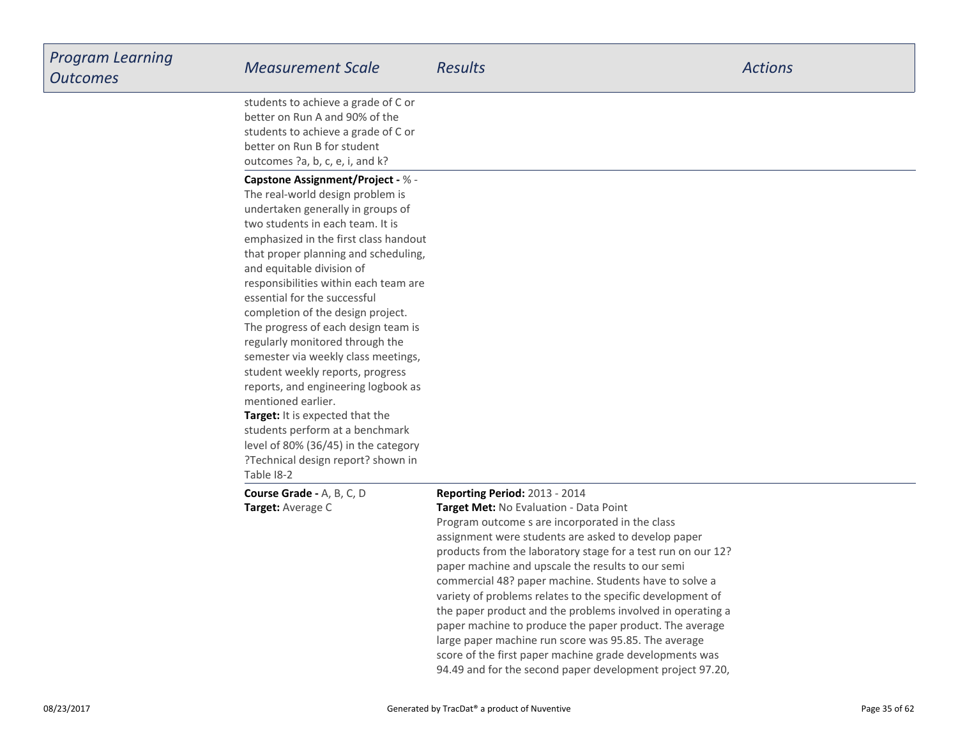| Program Learning<br><b>Outcomes</b> | <b>Measurement Scale</b>                                                                                                                                                                                                                                                                                                                                                                                                                                                                                                                                                                                                                                                                                                                                              | <b>Results</b>                                                                                                                                                                                                                                                                                                                                                                                                                                                                                                                                                                                                                                                                                                                          | <b>Actions</b> |
|-------------------------------------|-----------------------------------------------------------------------------------------------------------------------------------------------------------------------------------------------------------------------------------------------------------------------------------------------------------------------------------------------------------------------------------------------------------------------------------------------------------------------------------------------------------------------------------------------------------------------------------------------------------------------------------------------------------------------------------------------------------------------------------------------------------------------|-----------------------------------------------------------------------------------------------------------------------------------------------------------------------------------------------------------------------------------------------------------------------------------------------------------------------------------------------------------------------------------------------------------------------------------------------------------------------------------------------------------------------------------------------------------------------------------------------------------------------------------------------------------------------------------------------------------------------------------------|----------------|
|                                     | students to achieve a grade of C or<br>better on Run A and 90% of the<br>students to achieve a grade of C or<br>better on Run B for student<br>outcomes ?a, b, c, e, i, and k?                                                                                                                                                                                                                                                                                                                                                                                                                                                                                                                                                                                        |                                                                                                                                                                                                                                                                                                                                                                                                                                                                                                                                                                                                                                                                                                                                         |                |
|                                     | <b>Capstone Assignment/Project - % -</b><br>The real-world design problem is<br>undertaken generally in groups of<br>two students in each team. It is<br>emphasized in the first class handout<br>that proper planning and scheduling,<br>and equitable division of<br>responsibilities within each team are<br>essential for the successful<br>completion of the design project.<br>The progress of each design team is<br>regularly monitored through the<br>semester via weekly class meetings,<br>student weekly reports, progress<br>reports, and engineering logbook as<br>mentioned earlier.<br>Target: It is expected that the<br>students perform at a benchmark<br>level of 80% (36/45) in the category<br>?Technical design report? shown in<br>Table 18-2 |                                                                                                                                                                                                                                                                                                                                                                                                                                                                                                                                                                                                                                                                                                                                         |                |
|                                     | <b>Course Grade - A, B, C, D</b><br>Target: Average C                                                                                                                                                                                                                                                                                                                                                                                                                                                                                                                                                                                                                                                                                                                 | Reporting Period: 2013 - 2014<br>Target Met: No Evaluation - Data Point<br>Program outcome s are incorporated in the class<br>assignment were students are asked to develop paper<br>products from the laboratory stage for a test run on our 12?<br>paper machine and upscale the results to our semi<br>commercial 48? paper machine. Students have to solve a<br>variety of problems relates to the specific development of<br>the paper product and the problems involved in operating a<br>paper machine to produce the paper product. The average<br>large paper machine run score was 95.85. The average<br>score of the first paper machine grade developments was<br>94.49 and for the second paper development project 97.20, |                |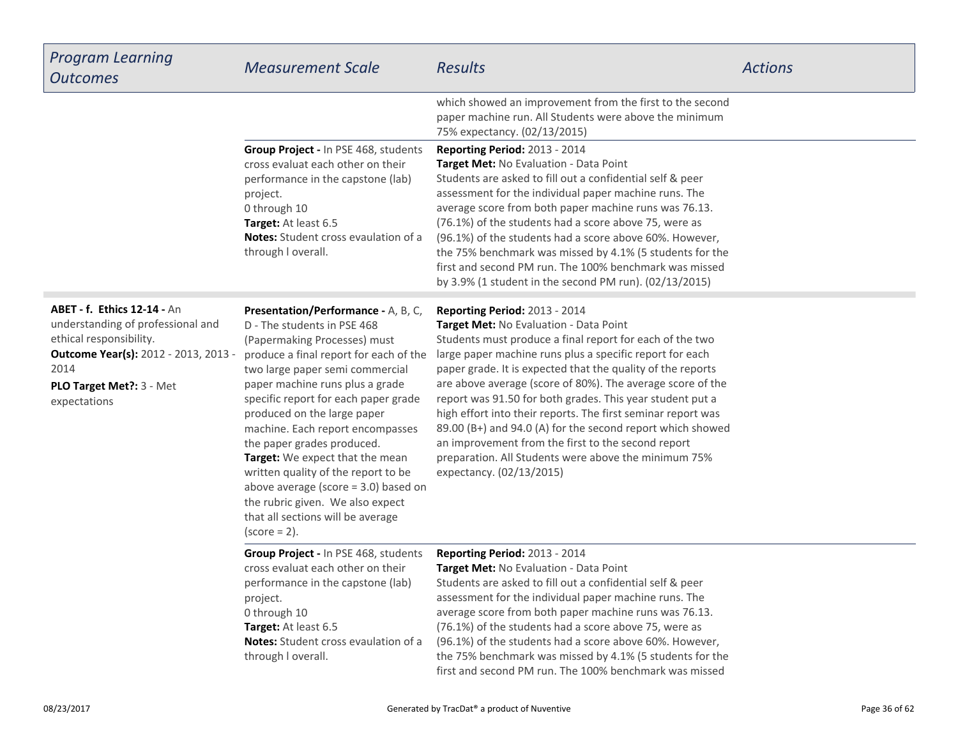| <b>Program Learning</b><br><b>Outcomes</b>                                                                                                                                                             | <b>Measurement Scale</b>                                                                                                                                                                                                                                                                                                                                                                                                                                                                                                                                                    | <b>Results</b>                                                                                                                                                                                                                                                                                                                                                                                                                                                                                                                                                                                                                                                           | <b>Actions</b> |
|--------------------------------------------------------------------------------------------------------------------------------------------------------------------------------------------------------|-----------------------------------------------------------------------------------------------------------------------------------------------------------------------------------------------------------------------------------------------------------------------------------------------------------------------------------------------------------------------------------------------------------------------------------------------------------------------------------------------------------------------------------------------------------------------------|--------------------------------------------------------------------------------------------------------------------------------------------------------------------------------------------------------------------------------------------------------------------------------------------------------------------------------------------------------------------------------------------------------------------------------------------------------------------------------------------------------------------------------------------------------------------------------------------------------------------------------------------------------------------------|----------------|
|                                                                                                                                                                                                        |                                                                                                                                                                                                                                                                                                                                                                                                                                                                                                                                                                             | which showed an improvement from the first to the second<br>paper machine run. All Students were above the minimum<br>75% expectancy. (02/13/2015)                                                                                                                                                                                                                                                                                                                                                                                                                                                                                                                       |                |
|                                                                                                                                                                                                        | Group Project - In PSE 468, students<br>cross evaluat each other on their<br>performance in the capstone (lab)<br>project.<br>0 through 10<br>Target: At least 6.5<br><b>Notes:</b> Student cross evaulation of a<br>through I overall.                                                                                                                                                                                                                                                                                                                                     | Reporting Period: 2013 - 2014<br>Target Met: No Evaluation - Data Point<br>Students are asked to fill out a confidential self & peer<br>assessment for the individual paper machine runs. The<br>average score from both paper machine runs was 76.13.<br>(76.1%) of the students had a score above 75, were as<br>(96.1%) of the students had a score above 60%. However,<br>the 75% benchmark was missed by 4.1% (5 students for the<br>first and second PM run. The 100% benchmark was missed<br>by 3.9% (1 student in the second PM run). (02/13/2015)                                                                                                               |                |
| <b>ABET - f. Ethics 12-14 - An</b><br>understanding of professional and<br>ethical responsibility.<br><b>Outcome Year(s):</b> 2012 - 2013, 2013 -<br>2014<br>PLO Target Met ?: 3 - Met<br>expectations | Presentation/Performance - A, B, C,<br>D - The students in PSE 468<br>(Papermaking Processes) must<br>produce a final report for each of the<br>two large paper semi commercial<br>paper machine runs plus a grade<br>specific report for each paper grade<br>produced on the large paper<br>machine. Each report encompasses<br>the paper grades produced.<br>Target: We expect that the mean<br>written quality of the report to be<br>above average (score $=$ 3.0) based on<br>the rubric given. We also expect<br>that all sections will be average<br>$(score = 2)$ . | <b>Reporting Period: 2013 - 2014</b><br>Target Met: No Evaluation - Data Point<br>Students must produce a final report for each of the two<br>large paper machine runs plus a specific report for each<br>paper grade. It is expected that the quality of the reports<br>are above average (score of 80%). The average score of the<br>report was 91.50 for both grades. This year student put a<br>high effort into their reports. The first seminar report was<br>89.00 (B+) and 94.0 (A) for the second report which showed<br>an improvement from the first to the second report<br>preparation. All Students were above the minimum 75%<br>expectancy. (02/13/2015) |                |
|                                                                                                                                                                                                        | Group Project - In PSE 468, students<br>cross evaluat each other on their<br>performance in the capstone (lab)<br>project.<br>0 through 10<br>Target: At least 6.5<br><b>Notes:</b> Student cross evaulation of a<br>through I overall.                                                                                                                                                                                                                                                                                                                                     | Reporting Period: 2013 - 2014<br>Target Met: No Evaluation - Data Point<br>Students are asked to fill out a confidential self & peer<br>assessment for the individual paper machine runs. The<br>average score from both paper machine runs was 76.13.<br>(76.1%) of the students had a score above 75, were as<br>(96.1%) of the students had a score above 60%. However,<br>the 75% benchmark was missed by 4.1% (5 students for the<br>first and second PM run. The 100% benchmark was missed                                                                                                                                                                         |                |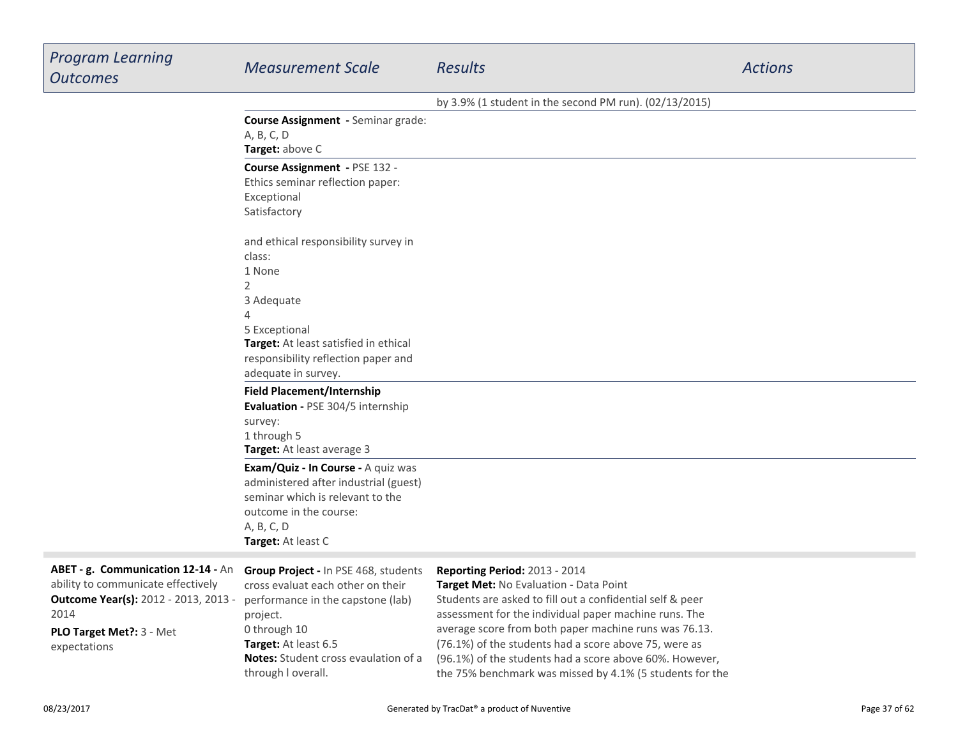| <b>Program Learning</b><br><b>Outcomes</b>                                                                                                                                   | <b>Measurement Scale</b>                                                                                                                                                                                                         | Results                                                                                                                                                                                                                                                                                                                                                                                                                                       | <b>Actions</b> |
|------------------------------------------------------------------------------------------------------------------------------------------------------------------------------|----------------------------------------------------------------------------------------------------------------------------------------------------------------------------------------------------------------------------------|-----------------------------------------------------------------------------------------------------------------------------------------------------------------------------------------------------------------------------------------------------------------------------------------------------------------------------------------------------------------------------------------------------------------------------------------------|----------------|
|                                                                                                                                                                              |                                                                                                                                                                                                                                  | by 3.9% (1 student in the second PM run). (02/13/2015)                                                                                                                                                                                                                                                                                                                                                                                        |                |
|                                                                                                                                                                              | Course Assignment - Seminar grade:<br>A, B, C, D<br>Target: above C                                                                                                                                                              |                                                                                                                                                                                                                                                                                                                                                                                                                                               |                |
|                                                                                                                                                                              | Course Assignment - PSE 132 -<br>Ethics seminar reflection paper:<br>Exceptional<br>Satisfactory                                                                                                                                 |                                                                                                                                                                                                                                                                                                                                                                                                                                               |                |
|                                                                                                                                                                              | and ethical responsibility survey in<br>class:<br>1 None<br>2<br>3 Adequate<br>5 Exceptional<br>Target: At least satisfied in ethical<br>responsibility reflection paper and<br>adequate in survey.                              |                                                                                                                                                                                                                                                                                                                                                                                                                                               |                |
|                                                                                                                                                                              | <b>Field Placement/Internship</b><br>Evaluation - PSE 304/5 internship<br>survey:<br>1 through 5<br>Target: At least average 3                                                                                                   |                                                                                                                                                                                                                                                                                                                                                                                                                                               |                |
|                                                                                                                                                                              | Exam/Quiz - In Course - A quiz was<br>administered after industrial (guest)<br>seminar which is relevant to the<br>outcome in the course:<br>A, B, C, D<br>Target: At least C                                                    |                                                                                                                                                                                                                                                                                                                                                                                                                                               |                |
| ABET - g. Communication 12-14 - An<br>ability to communicate effectively<br><b>Outcome Year(s):</b> 2012 - 2013, 2013 -<br>2014<br>PLO Target Met ?: 3 - Met<br>expectations | Group Project - In PSE 468, students<br>cross evaluat each other on their<br>performance in the capstone (lab)<br>project.<br>0 through 10<br>Target: At least 6.5<br>Notes: Student cross evaulation of a<br>through I overall. | Reporting Period: 2013 - 2014<br><b>Target Met: No Evaluation - Data Point</b><br>Students are asked to fill out a confidential self & peer<br>assessment for the individual paper machine runs. The<br>average score from both paper machine runs was 76.13.<br>(76.1%) of the students had a score above 75, were as<br>(96.1%) of the students had a score above 60%. However,<br>the 75% benchmark was missed by 4.1% (5 students for the |                |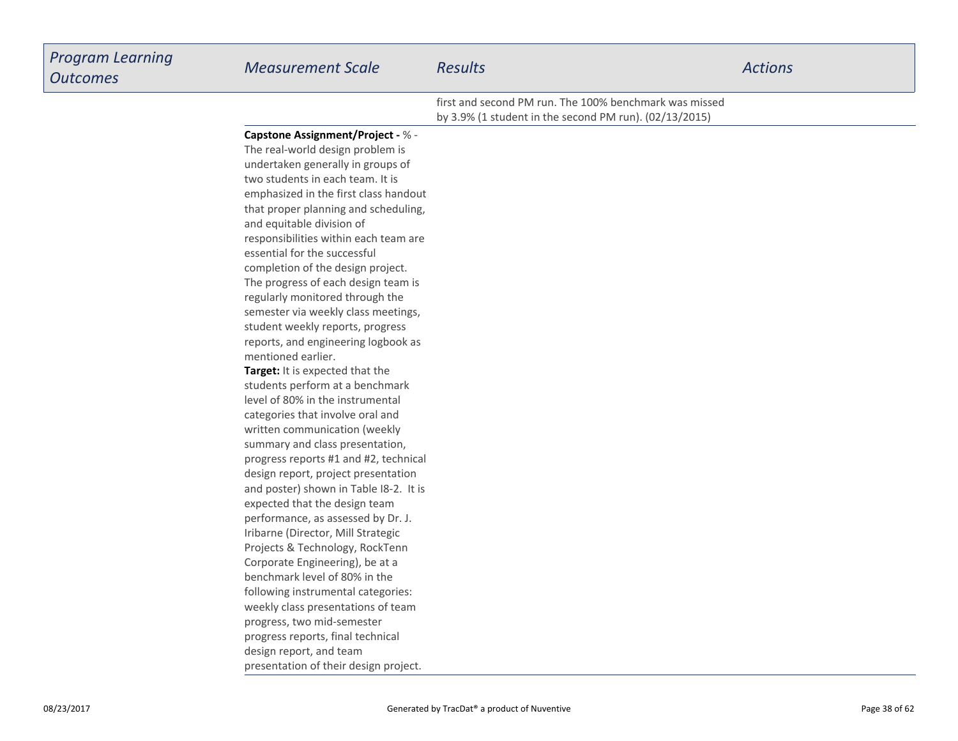## *Program LearningOutcomes Measurement Scale Results Actions* first and second PM run. The 100% benchmark was missedby 3.9% (1 student in the second PM run). (02/13/2015)**Capstone Assignment/Project -** % -The real-world design problem isundertaken generally in groups of

**Target:** It is expected that the students perform at a benchmarklevel of 80% in the instrumentalcategories that involve oral and written communication (weekly summary and class presentation,progress reports #1 and #2, technicaldesign report, project presentation and poster) shown in Table I8-2. It isexpected that the design team performance, as assessed by Dr. J.Iribarne (Director, Mill Strategic Projects & Technology, RockTennCorporate Engineering), be at a benchmark level of 80% in the following instrumental categories:weekly class presentations of teamprogress, two mid-semester emphasized in the first class handoutthat proper planning and scheduling,and equitable division of responsibilities within each team areessential for the successfulcompletion of the design project.The progress of each design team isregularly monitored through the semester via weekly class meetings,student weekly reports, progress reports, and engineering logbook asmentioned earlier.

two students in each team. It is

 progress reports, final technicaldesign report, and teampresentation of their design project.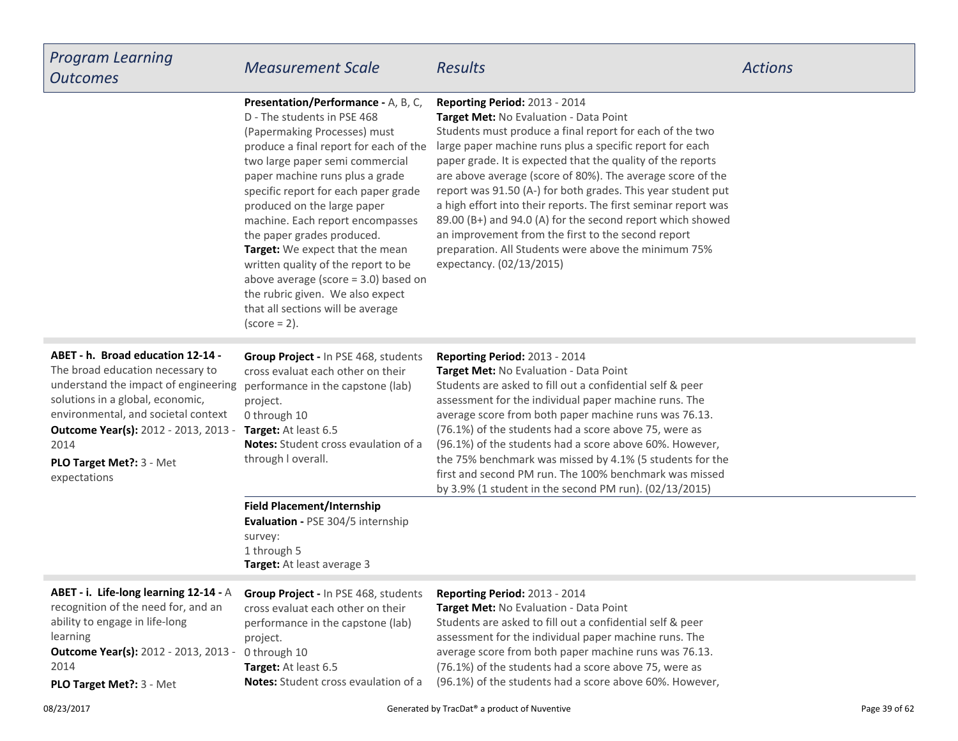| <b>Program Learning</b><br><b>Outcomes</b>                                                                                                                                                                                                                                            | <b>Measurement Scale</b>                                                                                                                                                                                                                                                                                                                                                                                                                                                                                                                                                    | <b>Results</b>                                                                                                                                                                                                                                                                                                                                                                                                                                                                                                                                                                                                                                                         | <b>Actions</b> |
|---------------------------------------------------------------------------------------------------------------------------------------------------------------------------------------------------------------------------------------------------------------------------------------|-----------------------------------------------------------------------------------------------------------------------------------------------------------------------------------------------------------------------------------------------------------------------------------------------------------------------------------------------------------------------------------------------------------------------------------------------------------------------------------------------------------------------------------------------------------------------------|------------------------------------------------------------------------------------------------------------------------------------------------------------------------------------------------------------------------------------------------------------------------------------------------------------------------------------------------------------------------------------------------------------------------------------------------------------------------------------------------------------------------------------------------------------------------------------------------------------------------------------------------------------------------|----------------|
|                                                                                                                                                                                                                                                                                       | Presentation/Performance - A, B, C,<br>D - The students in PSE 468<br>(Papermaking Processes) must<br>produce a final report for each of the<br>two large paper semi commercial<br>paper machine runs plus a grade<br>specific report for each paper grade<br>produced on the large paper<br>machine. Each report encompasses<br>the paper grades produced.<br>Target: We expect that the mean<br>written quality of the report to be<br>above average (score $=$ 3.0) based on<br>the rubric given. We also expect<br>that all sections will be average<br>$(score = 2)$ . | Reporting Period: 2013 - 2014<br>Target Met: No Evaluation - Data Point<br>Students must produce a final report for each of the two<br>large paper machine runs plus a specific report for each<br>paper grade. It is expected that the quality of the reports<br>are above average (score of 80%). The average score of the<br>report was 91.50 (A-) for both grades. This year student put<br>a high effort into their reports. The first seminar report was<br>89.00 (B+) and 94.0 (A) for the second report which showed<br>an improvement from the first to the second report<br>preparation. All Students were above the minimum 75%<br>expectancy. (02/13/2015) |                |
| ABET - h. Broad education 12-14 -<br>The broad education necessary to<br>understand the impact of engineering<br>solutions in a global, economic,<br>environmental, and societal context<br>Outcome Year(s): 2012 - 2013, 2013 -<br>2014<br>PLO Target Met ?: 3 - Met<br>expectations | Group Project - In PSE 468, students<br>cross evaluat each other on their<br>performance in the capstone (lab)<br>project.<br>0 through 10<br>Target: At least 6.5<br><b>Notes:</b> Student cross evaulation of a<br>through I overall.                                                                                                                                                                                                                                                                                                                                     | <b>Reporting Period: 2013 - 2014</b><br>Target Met: No Evaluation - Data Point<br>Students are asked to fill out a confidential self & peer<br>assessment for the individual paper machine runs. The<br>average score from both paper machine runs was 76.13.<br>(76.1%) of the students had a score above 75, were as<br>(96.1%) of the students had a score above 60%. However,<br>the 75% benchmark was missed by 4.1% (5 students for the<br>first and second PM run. The 100% benchmark was missed<br>by 3.9% (1 student in the second PM run). (02/13/2015)                                                                                                      |                |
|                                                                                                                                                                                                                                                                                       | <b>Field Placement/Internship</b><br>Evaluation - PSE 304/5 internship<br>survey:<br>1 through 5<br>Target: At least average 3                                                                                                                                                                                                                                                                                                                                                                                                                                              |                                                                                                                                                                                                                                                                                                                                                                                                                                                                                                                                                                                                                                                                        |                |
| ABET - i. Life-long learning 12-14 - A<br>recognition of the need for, and an<br>ability to engage in life-long<br>learning<br>Outcome Year(s): 2012 - 2013, 2013 -<br>2014<br>PLO Target Met ?: 3 - Met                                                                              | <b>Group Project - In PSE 468, students</b><br>cross evaluat each other on their<br>performance in the capstone (lab)<br>project.<br>0 through 10<br>Target: At least 6.5<br><b>Notes:</b> Student cross evaulation of a                                                                                                                                                                                                                                                                                                                                                    | <b>Reporting Period: 2013 - 2014</b><br>Target Met: No Evaluation - Data Point<br>Students are asked to fill out a confidential self & peer<br>assessment for the individual paper machine runs. The<br>average score from both paper machine runs was 76.13.<br>(76.1%) of the students had a score above 75, were as<br>(96.1%) of the students had a score above 60%. However,                                                                                                                                                                                                                                                                                      |                |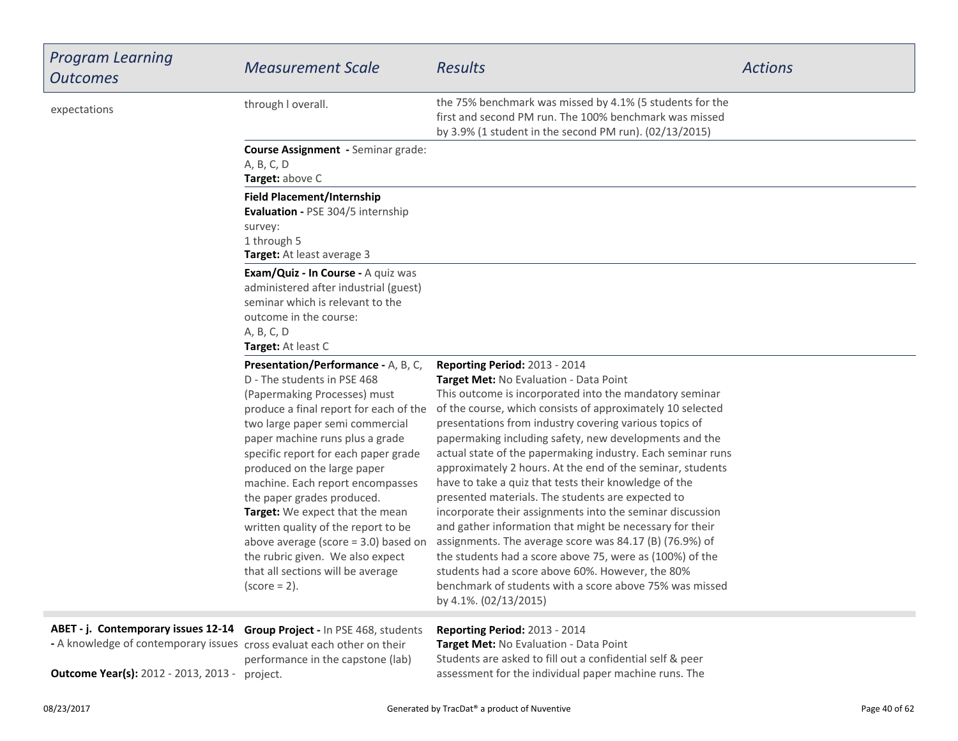| <b>Program Learning</b><br><b>Outcomes</b>                                                                                                                                                                 | <b>Measurement Scale</b>                                                                                                                                                                                                                                                                                                                                                                                                                                                                                                                                                    | <b>Results</b>                                                                                                                                                                                                                                                                                                                                                                                                                                                                                                                                                                                                                                                                                                                                                                                                                                                                                                                                                 | <b>Actions</b> |
|------------------------------------------------------------------------------------------------------------------------------------------------------------------------------------------------------------|-----------------------------------------------------------------------------------------------------------------------------------------------------------------------------------------------------------------------------------------------------------------------------------------------------------------------------------------------------------------------------------------------------------------------------------------------------------------------------------------------------------------------------------------------------------------------------|----------------------------------------------------------------------------------------------------------------------------------------------------------------------------------------------------------------------------------------------------------------------------------------------------------------------------------------------------------------------------------------------------------------------------------------------------------------------------------------------------------------------------------------------------------------------------------------------------------------------------------------------------------------------------------------------------------------------------------------------------------------------------------------------------------------------------------------------------------------------------------------------------------------------------------------------------------------|----------------|
| expectations                                                                                                                                                                                               | through I overall.                                                                                                                                                                                                                                                                                                                                                                                                                                                                                                                                                          | the 75% benchmark was missed by 4.1% (5 students for the<br>first and second PM run. The 100% benchmark was missed<br>by 3.9% (1 student in the second PM run). (02/13/2015)                                                                                                                                                                                                                                                                                                                                                                                                                                                                                                                                                                                                                                                                                                                                                                                   |                |
|                                                                                                                                                                                                            | Course Assignment - Seminar grade:<br>A, B, C, D<br>Target: above C                                                                                                                                                                                                                                                                                                                                                                                                                                                                                                         |                                                                                                                                                                                                                                                                                                                                                                                                                                                                                                                                                                                                                                                                                                                                                                                                                                                                                                                                                                |                |
|                                                                                                                                                                                                            | <b>Field Placement/Internship</b><br>Evaluation - PSE 304/5 internship<br>survey:<br>1 through 5<br><b>Target:</b> At least average 3                                                                                                                                                                                                                                                                                                                                                                                                                                       |                                                                                                                                                                                                                                                                                                                                                                                                                                                                                                                                                                                                                                                                                                                                                                                                                                                                                                                                                                |                |
|                                                                                                                                                                                                            | Exam/Quiz - In Course - A quiz was<br>administered after industrial (guest)<br>seminar which is relevant to the<br>outcome in the course:<br>A, B, C, D<br>Target: At least C                                                                                                                                                                                                                                                                                                                                                                                               |                                                                                                                                                                                                                                                                                                                                                                                                                                                                                                                                                                                                                                                                                                                                                                                                                                                                                                                                                                |                |
|                                                                                                                                                                                                            | Presentation/Performance - A, B, C,<br>D - The students in PSE 468<br>(Papermaking Processes) must<br>produce a final report for each of the<br>two large paper semi commercial<br>paper machine runs plus a grade<br>specific report for each paper grade<br>produced on the large paper<br>machine. Each report encompasses<br>the paper grades produced.<br>Target: We expect that the mean<br>written quality of the report to be<br>above average (score $=$ 3.0) based on<br>the rubric given. We also expect<br>that all sections will be average<br>$(score = 2)$ . | <b>Reporting Period: 2013 - 2014</b><br>Target Met: No Evaluation - Data Point<br>This outcome is incorporated into the mandatory seminar<br>of the course, which consists of approximately 10 selected<br>presentations from industry covering various topics of<br>papermaking including safety, new developments and the<br>actual state of the papermaking industry. Each seminar runs<br>approximately 2 hours. At the end of the seminar, students<br>have to take a quiz that tests their knowledge of the<br>presented materials. The students are expected to<br>incorporate their assignments into the seminar discussion<br>and gather information that might be necessary for their<br>assignments. The average score was 84.17 (B) (76.9%) of<br>the students had a score above 75, were as (100%) of the<br>students had a score above 60%. However, the 80%<br>benchmark of students with a score above 75% was missed<br>by 4.1%. (02/13/2015) |                |
| ABET - j. Contemporary issues 12-14 Group Project - In PSE 468, students<br>- A knowledge of contemporary issues cross evaluat each other on their<br><b>Outcome Year(s):</b> 2012 - 2013, 2013 - project. | performance in the capstone (lab)                                                                                                                                                                                                                                                                                                                                                                                                                                                                                                                                           | Reporting Period: 2013 - 2014<br>Target Met: No Evaluation - Data Point<br>Students are asked to fill out a confidential self & peer<br>assessment for the individual paper machine runs. The                                                                                                                                                                                                                                                                                                                                                                                                                                                                                                                                                                                                                                                                                                                                                                  |                |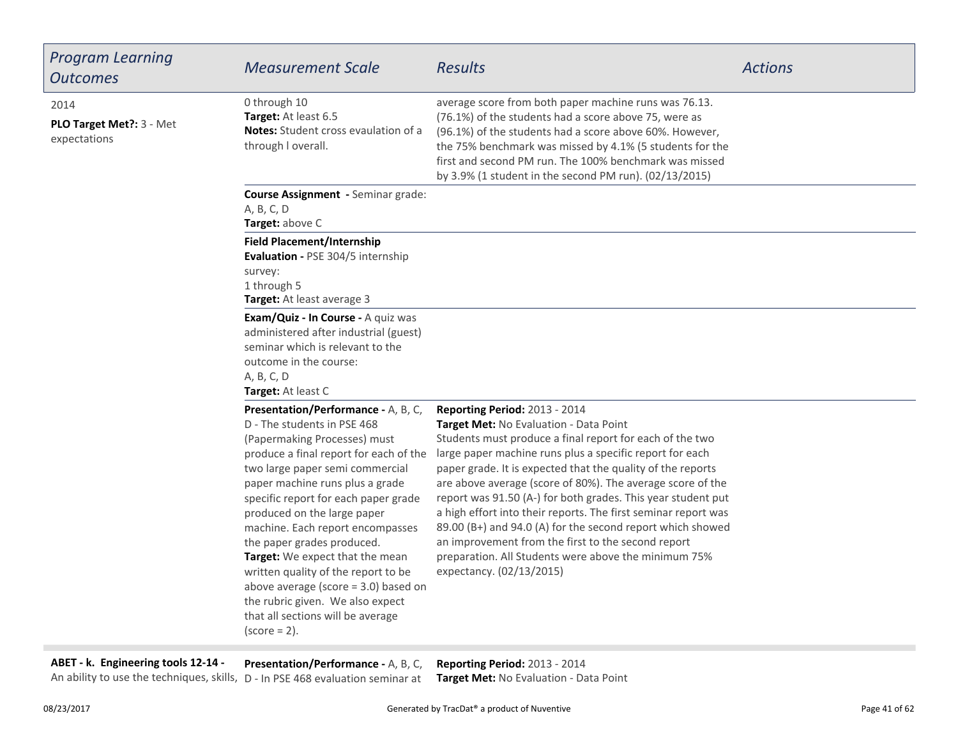| <b>Program Learning</b><br><b>Outcomes</b>        | <b>Measurement Scale</b>                                                                                                                                                                                                                                                                                                                                                                                                                                                                                                                                                    | <b>Results</b>                                                                                                                                                                                                                                                                                                                                                                                                                                                                                                                                                                                                                                                         | <b>Actions</b> |
|---------------------------------------------------|-----------------------------------------------------------------------------------------------------------------------------------------------------------------------------------------------------------------------------------------------------------------------------------------------------------------------------------------------------------------------------------------------------------------------------------------------------------------------------------------------------------------------------------------------------------------------------|------------------------------------------------------------------------------------------------------------------------------------------------------------------------------------------------------------------------------------------------------------------------------------------------------------------------------------------------------------------------------------------------------------------------------------------------------------------------------------------------------------------------------------------------------------------------------------------------------------------------------------------------------------------------|----------------|
| 2014<br>PLO Target Met ?: 3 - Met<br>expectations | 0 through 10<br>Target: At least 6.5<br>Notes: Student cross evaulation of a<br>through I overall.                                                                                                                                                                                                                                                                                                                                                                                                                                                                          | average score from both paper machine runs was 76.13.<br>(76.1%) of the students had a score above 75, were as<br>(96.1%) of the students had a score above 60%. However,<br>the 75% benchmark was missed by 4.1% (5 students for the<br>first and second PM run. The 100% benchmark was missed<br>by 3.9% (1 student in the second PM run). (02/13/2015)                                                                                                                                                                                                                                                                                                              |                |
|                                                   | Course Assignment - Seminar grade:<br>A, B, C, D<br>Target: above C                                                                                                                                                                                                                                                                                                                                                                                                                                                                                                         |                                                                                                                                                                                                                                                                                                                                                                                                                                                                                                                                                                                                                                                                        |                |
|                                                   | <b>Field Placement/Internship</b><br>Evaluation - PSE 304/5 internship<br>survey:<br>1 through 5<br>Target: At least average 3                                                                                                                                                                                                                                                                                                                                                                                                                                              |                                                                                                                                                                                                                                                                                                                                                                                                                                                                                                                                                                                                                                                                        |                |
|                                                   | Exam/Quiz - In Course - A quiz was<br>administered after industrial (guest)<br>seminar which is relevant to the<br>outcome in the course:<br>A, B, C, D<br>Target: At least C                                                                                                                                                                                                                                                                                                                                                                                               |                                                                                                                                                                                                                                                                                                                                                                                                                                                                                                                                                                                                                                                                        |                |
|                                                   | Presentation/Performance - A, B, C,<br>D - The students in PSE 468<br>(Papermaking Processes) must<br>produce a final report for each of the<br>two large paper semi commercial<br>paper machine runs plus a grade<br>specific report for each paper grade<br>produced on the large paper<br>machine. Each report encompasses<br>the paper grades produced.<br>Target: We expect that the mean<br>written quality of the report to be<br>above average (score $=$ 3.0) based on<br>the rubric given. We also expect<br>that all sections will be average<br>$(score = 2)$ . | Reporting Period: 2013 - 2014<br>Target Met: No Evaluation - Data Point<br>Students must produce a final report for each of the two<br>large paper machine runs plus a specific report for each<br>paper grade. It is expected that the quality of the reports<br>are above average (score of 80%). The average score of the<br>report was 91.50 (A-) for both grades. This year student put<br>a high effort into their reports. The first seminar report was<br>89.00 (B+) and 94.0 (A) for the second report which showed<br>an improvement from the first to the second report<br>preparation. All Students were above the minimum 75%<br>expectancy. (02/13/2015) |                |

**ABET - k. Engineering tools 12-14 -**

**Presentation/Performance -** A, B, C,

**Reporting Period:** 2013 - 2014An ability to use the techniques, skills, D - In PSE 468 evaluation seminar at **Target Met:** No Evaluation - Data Point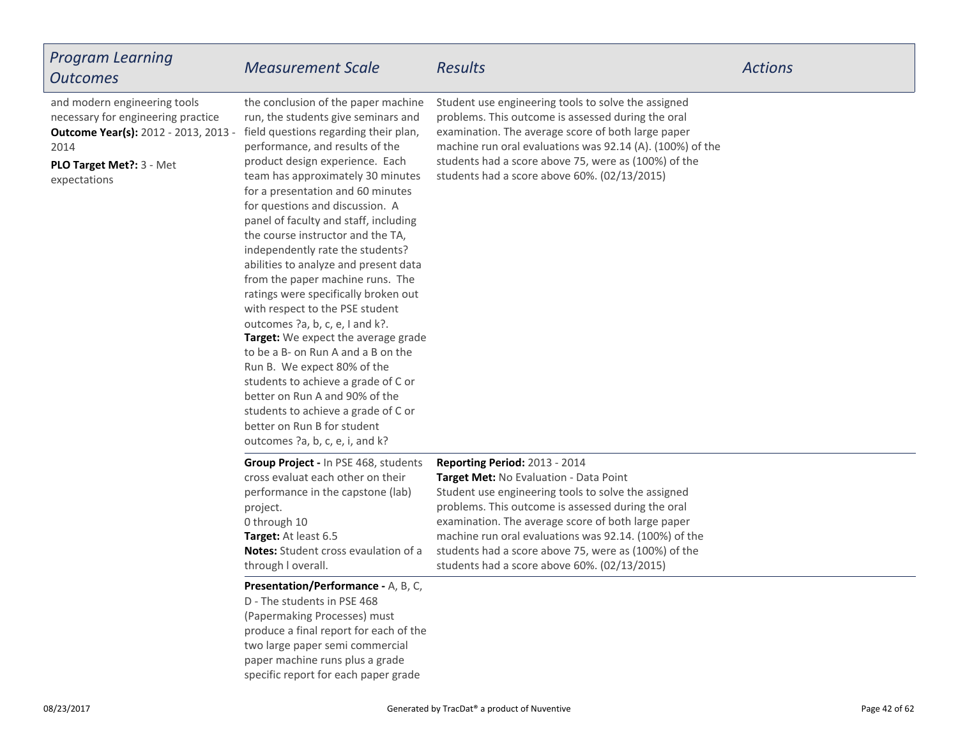| <b>Program Learning</b><br><b>Outcomes</b>                                                                                                                             | <b>Measurement Scale</b>                                                                                                                                                                                                                                                                                                                                                                                                                                                                                                                                                                                                                                                                                                                                                                                                                                                                                          | <b>Results</b>                                                                                                                                                                                                                                                                                                                                                                                              | <b>Actions</b> |
|------------------------------------------------------------------------------------------------------------------------------------------------------------------------|-------------------------------------------------------------------------------------------------------------------------------------------------------------------------------------------------------------------------------------------------------------------------------------------------------------------------------------------------------------------------------------------------------------------------------------------------------------------------------------------------------------------------------------------------------------------------------------------------------------------------------------------------------------------------------------------------------------------------------------------------------------------------------------------------------------------------------------------------------------------------------------------------------------------|-------------------------------------------------------------------------------------------------------------------------------------------------------------------------------------------------------------------------------------------------------------------------------------------------------------------------------------------------------------------------------------------------------------|----------------|
| and modern engineering tools<br>necessary for engineering practice<br><b>Outcome Year(s):</b> 2012 - 2013, 2013 -<br>2014<br>PLO Target Met ?: 3 - Met<br>expectations | the conclusion of the paper machine<br>run, the students give seminars and<br>field questions regarding their plan,<br>performance, and results of the<br>product design experience. Each<br>team has approximately 30 minutes<br>for a presentation and 60 minutes<br>for questions and discussion. A<br>panel of faculty and staff, including<br>the course instructor and the TA,<br>independently rate the students?<br>abilities to analyze and present data<br>from the paper machine runs. The<br>ratings were specifically broken out<br>with respect to the PSE student<br>outcomes ?a, b, c, e, I and k?.<br>Target: We expect the average grade<br>to be a B- on Run A and a B on the<br>Run B. We expect 80% of the<br>students to achieve a grade of C or<br>better on Run A and 90% of the<br>students to achieve a grade of C or<br>better on Run B for student<br>outcomes ?a, b, c, e, i, and k? | Student use engineering tools to solve the assigned<br>problems. This outcome is assessed during the oral<br>examination. The average score of both large paper<br>machine run oral evaluations was 92.14 (A). (100%) of the<br>students had a score above 75, were as (100%) of the<br>students had a score above 60%. (02/13/2015)                                                                        |                |
|                                                                                                                                                                        | Group Project - In PSE 468, students<br>cross evaluat each other on their<br>performance in the capstone (lab)<br>project.<br>0 through 10<br>Target: At least 6.5<br>Notes: Student cross evaulation of a<br>through I overall.                                                                                                                                                                                                                                                                                                                                                                                                                                                                                                                                                                                                                                                                                  | Reporting Period: 2013 - 2014<br>Target Met: No Evaluation - Data Point<br>Student use engineering tools to solve the assigned<br>problems. This outcome is assessed during the oral<br>examination. The average score of both large paper<br>machine run oral evaluations was 92.14. (100%) of the<br>students had a score above 75, were as (100%) of the<br>students had a score above 60%. (02/13/2015) |                |
|                                                                                                                                                                        | Presentation/Performance - A, B, C,<br>D - The students in PSE 468<br>(Papermaking Processes) must<br>produce a final report for each of the<br>two large paper semi commercial<br>paper machine runs plus a grade<br>specific report for each paper grade                                                                                                                                                                                                                                                                                                                                                                                                                                                                                                                                                                                                                                                        |                                                                                                                                                                                                                                                                                                                                                                                                             |                |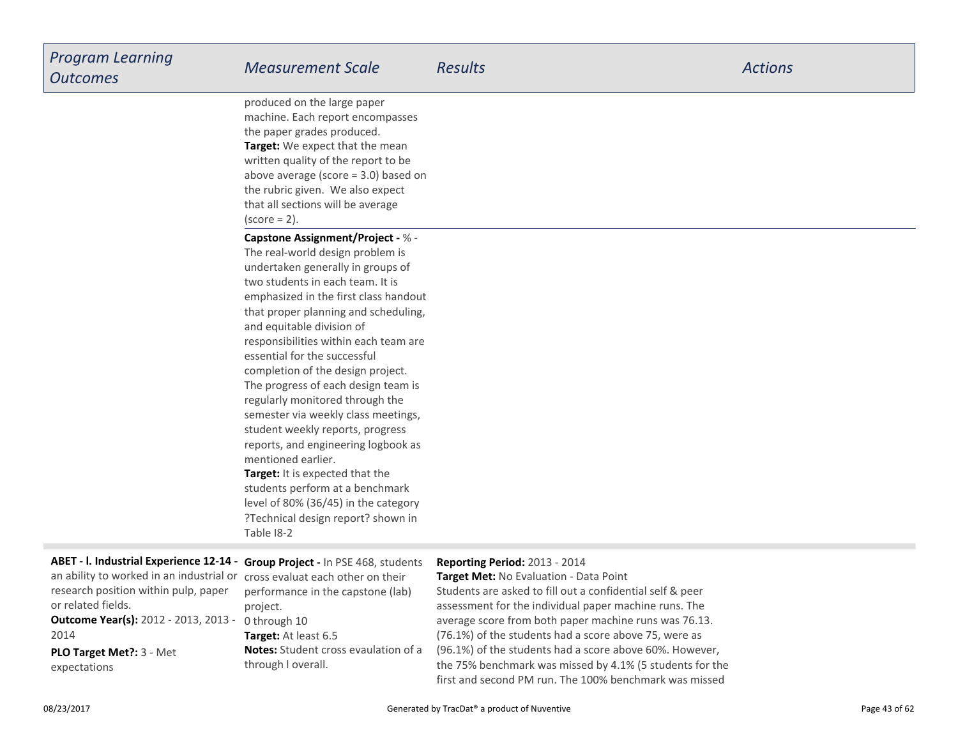**Target:** We expect that the mean written quality of the report to be above average (score = 3.0) based onthe rubric given. We also expectthat all sections will be average $(score = 2)$ . produced on the large paper machine. Each report encompassesthe paper grades produced.

#### **Capstone Assignment/Project -** % -

**Target:** It is expected that the students perform at a benchmark level of 80% (36/45) in the category ?Technical design report? shown inTable I8-2The real-world design problem is undertaken generally in groups oftwo students in each team. It is emphasized in the first class handout that proper planning and scheduling,and equitable division of responsibilities within each team areessential for the successfulcompletion of the design project. The progress of each design team isregularly monitored through the semester via weekly class meetings,student weekly reports, progress reports, and engineering logbook asmentioned earlier.

**Outcome Year(s):** 2012 - 2013, 2013 - 0 through 10 **PLO Target Met?:** 3 - Metexpectations2014**ABET - l. Industrial Experience 12-14** an ability to worked in an industrial orresearch position within pulp, paperor related fields.

**Target:** At least 6.5 **Notes:** Student cross evaulation of athrough l overall.**Group Project -** In PSE 468, studentscross evaluat each other on their performance in the capstone (lab)project.

#### **Reporting Period:** 2013 - 2014

 **Target Met:** No Evaluation - Data Point Students are asked to fill out a confidential self & peerassessment for the individual paper machine runs. The average score from both paper machine runs was 76.13.(76.1%) of the students had a score above 75, were as (96.1%) of the students had a score above 60%. However,the 75% benchmark was missed by 4.1% (5 students for thefirst and second PM run. The 100% benchmark was missed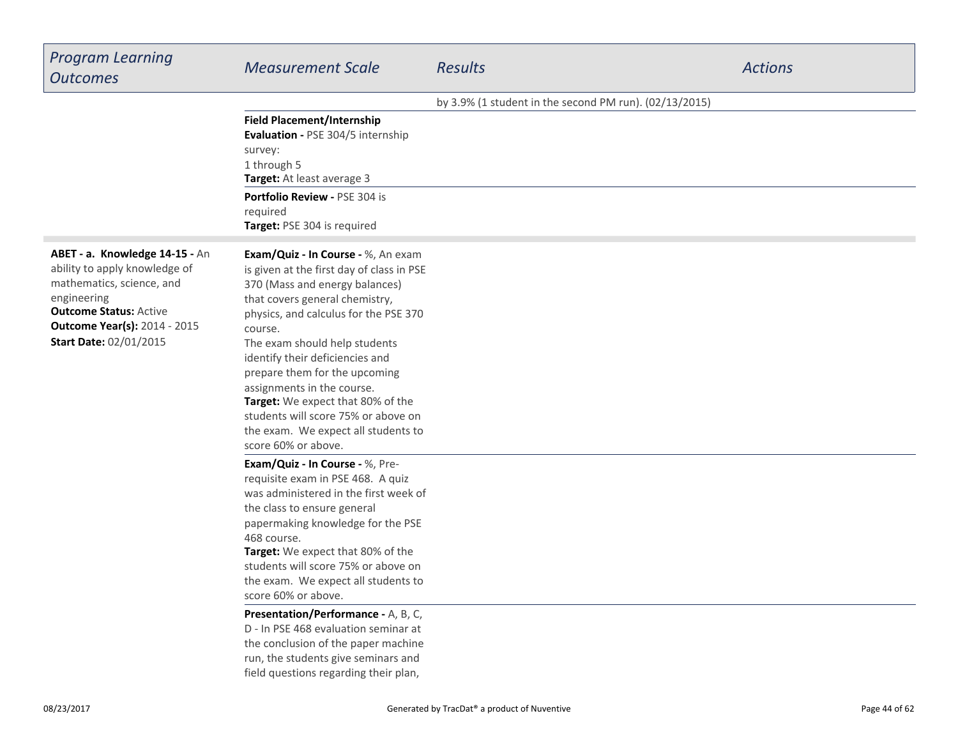| <b>Program Learning</b><br><b>Outcomes</b>                                                                                                                                                                           | <b>Measurement Scale</b>                                                                                                                                                                                                                                                                                                                                                                                                                                                                                                                         | <b>Results</b>                                         | <b>Actions</b> |
|----------------------------------------------------------------------------------------------------------------------------------------------------------------------------------------------------------------------|--------------------------------------------------------------------------------------------------------------------------------------------------------------------------------------------------------------------------------------------------------------------------------------------------------------------------------------------------------------------------------------------------------------------------------------------------------------------------------------------------------------------------------------------------|--------------------------------------------------------|----------------|
|                                                                                                                                                                                                                      |                                                                                                                                                                                                                                                                                                                                                                                                                                                                                                                                                  | by 3.9% (1 student in the second PM run). (02/13/2015) |                |
|                                                                                                                                                                                                                      | <b>Field Placement/Internship</b><br>Evaluation - PSE 304/5 internship<br>survey:<br>1 through 5<br>Target: At least average 3<br>Portfolio Review - PSE 304 is                                                                                                                                                                                                                                                                                                                                                                                  |                                                        |                |
|                                                                                                                                                                                                                      | required<br>Target: PSE 304 is required                                                                                                                                                                                                                                                                                                                                                                                                                                                                                                          |                                                        |                |
| ABET - a. Knowledge 14-15 - An<br>ability to apply knowledge of<br>mathematics, science, and<br>engineering<br><b>Outcome Status: Active</b><br><b>Outcome Year(s): 2014 - 2015</b><br><b>Start Date: 02/01/2015</b> | Exam/Quiz - In Course - %, An exam<br>is given at the first day of class in PSE<br>370 (Mass and energy balances)<br>that covers general chemistry,<br>physics, and calculus for the PSE 370<br>course.<br>The exam should help students<br>identify their deficiencies and<br>prepare them for the upcoming<br>assignments in the course.<br>Target: We expect that 80% of the<br>students will score 75% or above on<br>the exam. We expect all students to<br>score 60% or above.                                                             |                                                        |                |
|                                                                                                                                                                                                                      | Exam/Quiz - In Course - %, Pre-<br>requisite exam in PSE 468. A quiz<br>was administered in the first week of<br>the class to ensure general<br>papermaking knowledge for the PSE<br>468 course.<br>Target: We expect that 80% of the<br>students will score 75% or above on<br>the exam. We expect all students to<br>score 60% or above.<br>Presentation/Performance - A, B, C,<br>D - In PSE 468 evaluation seminar at<br>the conclusion of the paper machine<br>run, the students give seminars and<br>field questions regarding their plan, |                                                        |                |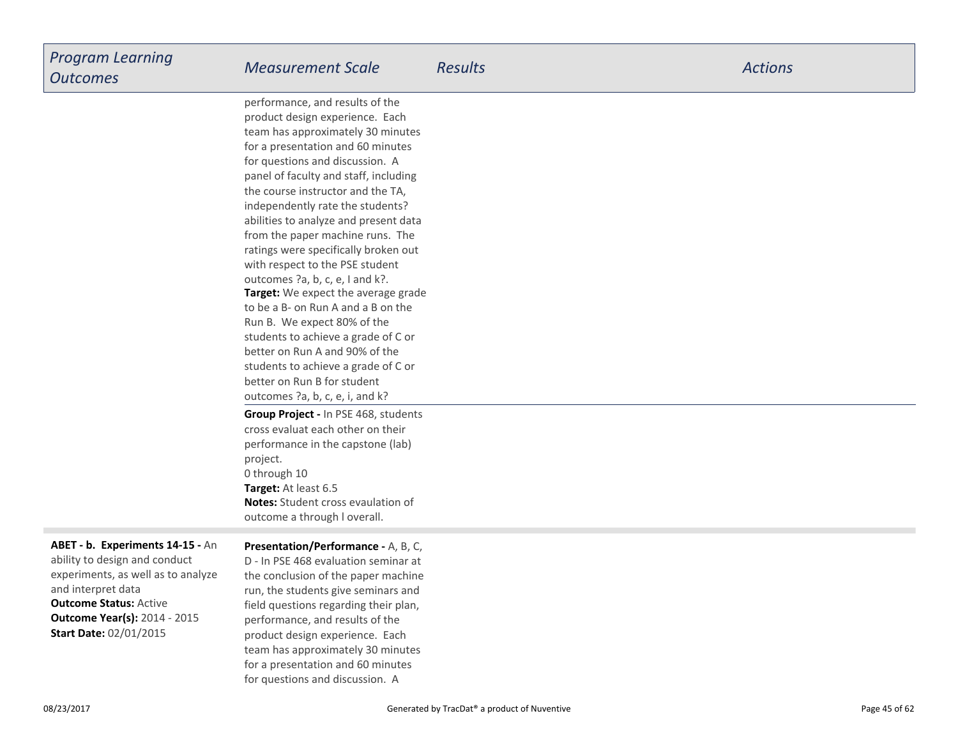**Target:** We expect the average gradeto be a B- on Run A and a B on theRun B. We expect 80% of the students to achieve a grade of C orbetter on Run A and 90% of the students to achieve a grade of C orbetter on Run B for student outcomes ?a, b, c, e, i, and k?performance, and results of the product design experience. Each team has approximately 30 minutesfor a presentation and 60 minutesfor questions and discussion. A panel of faculty and staff, includingthe course instructor and the TA,independently rate the students? abilities to analyze and present data from the paper machine runs. The ratings were specifically broken outwith respect to the PSE studentoutcomes ?a, b, c, e, I and k?.**Group Project -** In PSE 468, students

**Target:** At least 6.5 **Notes:** Student cross evaulation ofoutcome a through l overall.cross evaluat each other on their performance in the capstone (lab)project.0 through 10

**Outcome Status:** Active **Outcome Year(s):** 2014 - 2015**ABET - b. Experiments 14-15 -** Anability to design and conductexperiments, as well as to analyzeand interpret data**Start Date:** 02/01/2015

#### **Presentation/Performance -** A, B, C,

D - In PSE 468 evaluation seminar at the conclusion of the paper machine run, the students give seminars and field questions regarding their plan,performance, and results of the product design experience. Each team has approximately 30 minutesfor a presentation and 60 minutesfor questions and discussion. A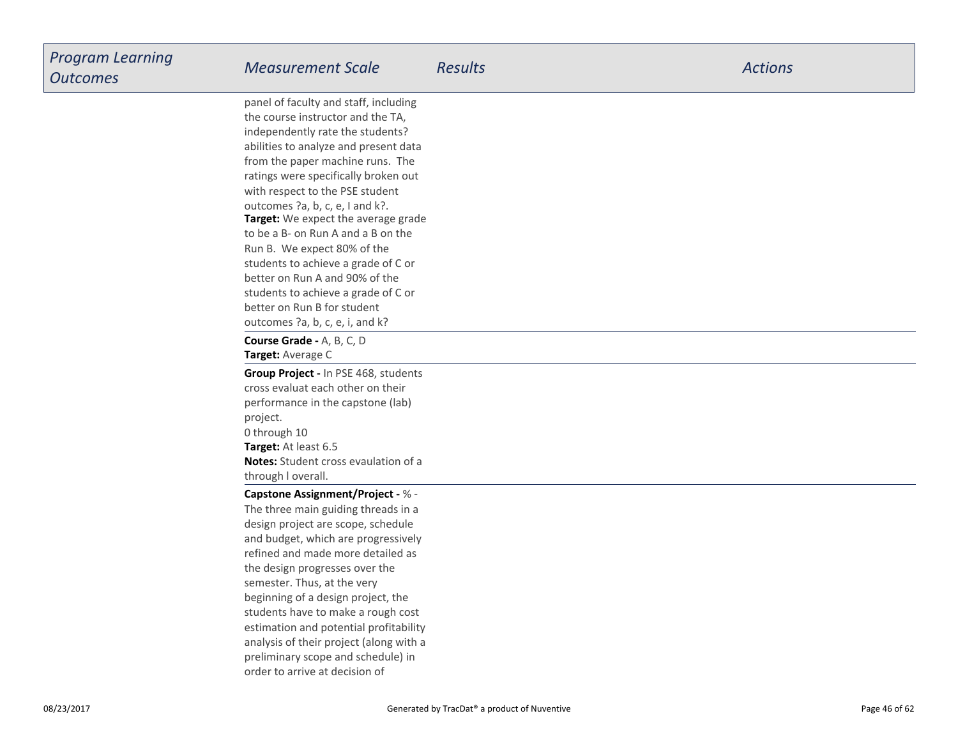**Target:** We expect the average grade to be a B- on Run A and a B on theRun B. We expect 80% of the students to achieve a grade of C orbetter on Run A and 90% of the students to achieve a grade of C orbetter on Run B for student outcomes ?a, b, c, e, i, and k?panel of faculty and staff, includingthe course instructor and the TA,independently rate the students? abilities to analyze and present data from the paper machine runs. The ratings were specifically broken outwith respect to the PSE studentoutcomes ?a, b, c, e, I and k?.

**Target:** Average C**Course Grade -** A, B, C, D

**Target:** At least 6.5 **Notes:** Student cross evaulation of athrough l overall.**Group Project -** In PSE 468, studentscross evaluat each other on their performance in the capstone (lab)project.0 through 10

#### **Capstone Assignment/Project -** % -

 The three main guiding threads in a design project are scope, schedule and budget, which are progressively refined and made more detailed asthe design progresses over thesemester. Thus, at the very beginning of a design project, the students have to make a rough costestimation and potential profitability analysis of their project (along with apreliminary scope and schedule) inorder to arrive at decision of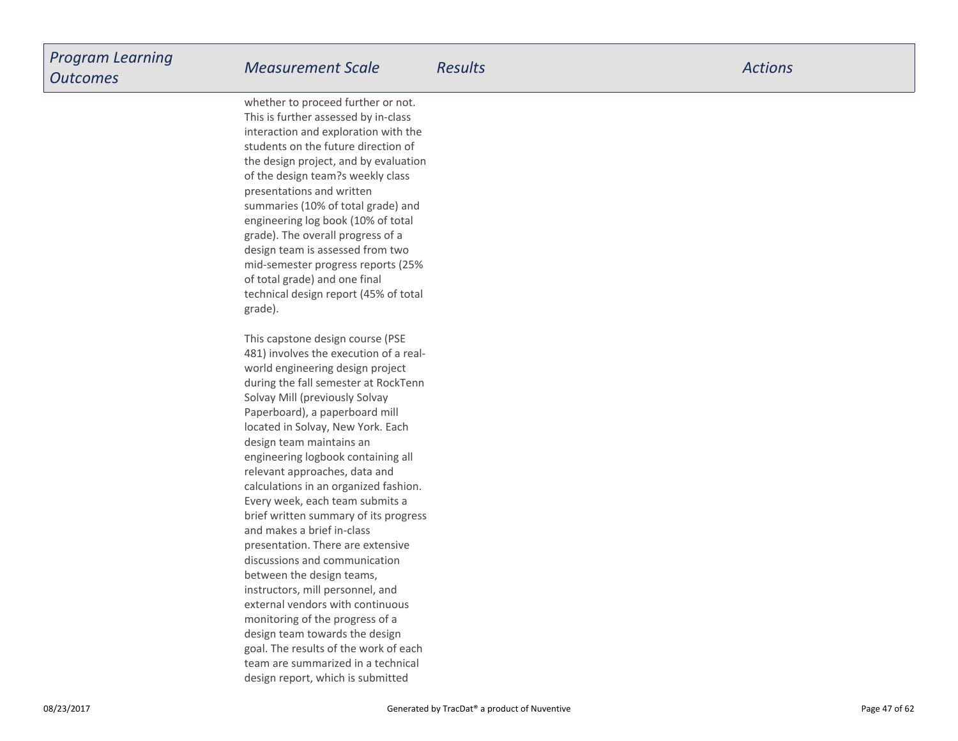whether to proceed further or not.This is further assessed by in-class interaction and exploration with the students on the future direction of the design project, and by evaluationof the design team?s weekly classpresentations and written summaries (10% of total grade) and engineering log book (10% of totalgrade). The overall progress of a design team is assessed from two mid-semester progress reports (25%of total grade) and one finaltechnical design report (45% of totalgrade).

This capstone design course (PSE 481) involves the execution of a realworld engineering design project during the fall semester at RockTennSolvay Mill (previously Solvay Paperboard), a paperboard milllocated in Solvay, New York. Eachdesign team maintains an engineering logbook containing allrelevant approaches, data and calculations in an organized fashion.Every week, each team submits a brief written summary of its progressand makes a brief in-class presentation. There are extensivediscussions and communicationbetween the design teams,instructors, mill personnel, and external vendors with continuousmonitoring of the progress of a design team towards the design goal. The results of the work of each team are summarized in a technicaldesign report, which is submitted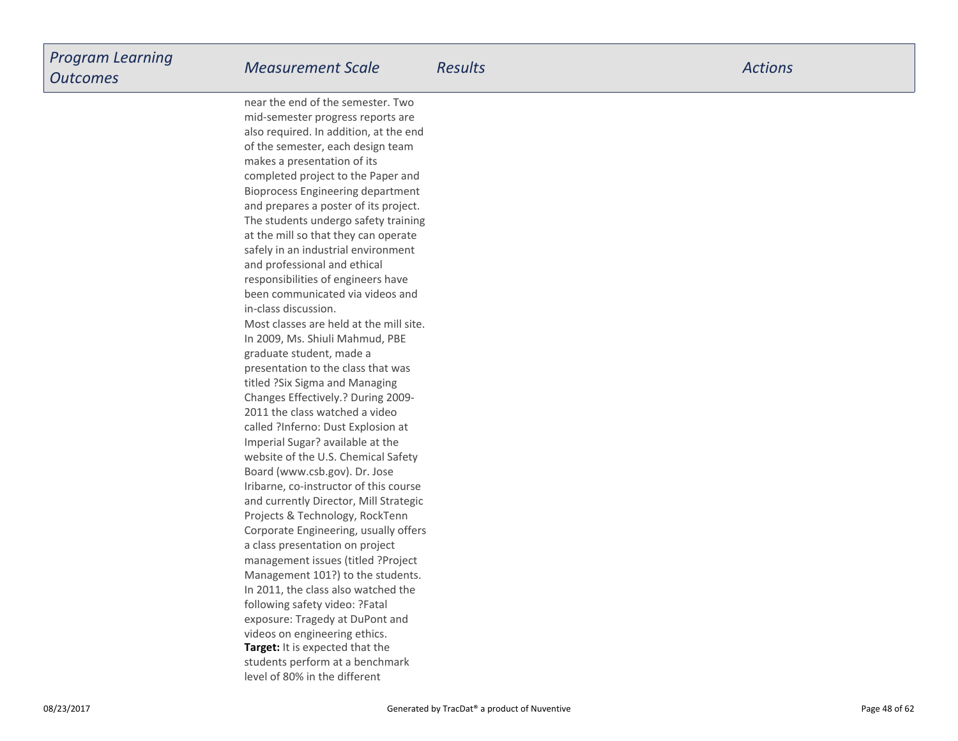**Target:** It is expected that the students perform at a benchmarklevel of 80% in the differentnear the end of the semester. Two mid-semester progress reports are also required. In addition, at the endof the semester, each design teammakes a presentation of its completed project to the Paper and Bioprocess Engineering department and prepares a poster of its project.The students undergo safety trainingat the mill so that they can operate safely in an industrial environmentand professional and ethicalresponsibilities of engineers have been communicated via videos andin-class discussion. Most classes are held at the mill site.In 2009, Ms. Shiuli Mahmud, PBEgraduate student, made a presentation to the class that wastitled ?Six Sigma and Managing Changes Effectively.? During 2009-2011 the class watched a video called ?Inferno: Dust Explosion atImperial Sugar? available at the website of the U.S. Chemical SafetyBoard (www.csb.gov). Dr. Jose Iribarne, co-instructor of this course and currently Director, Mill StrategicProjects & Technology, RockTenn Corporate Engineering, usually offersa class presentation on project management issues (titled ?ProjectManagement 101?) to the students.In 2011, the class also watched thefollowing safety video: ?Fatalexposure: Tragedy at DuPont andvideos on engineering ethics.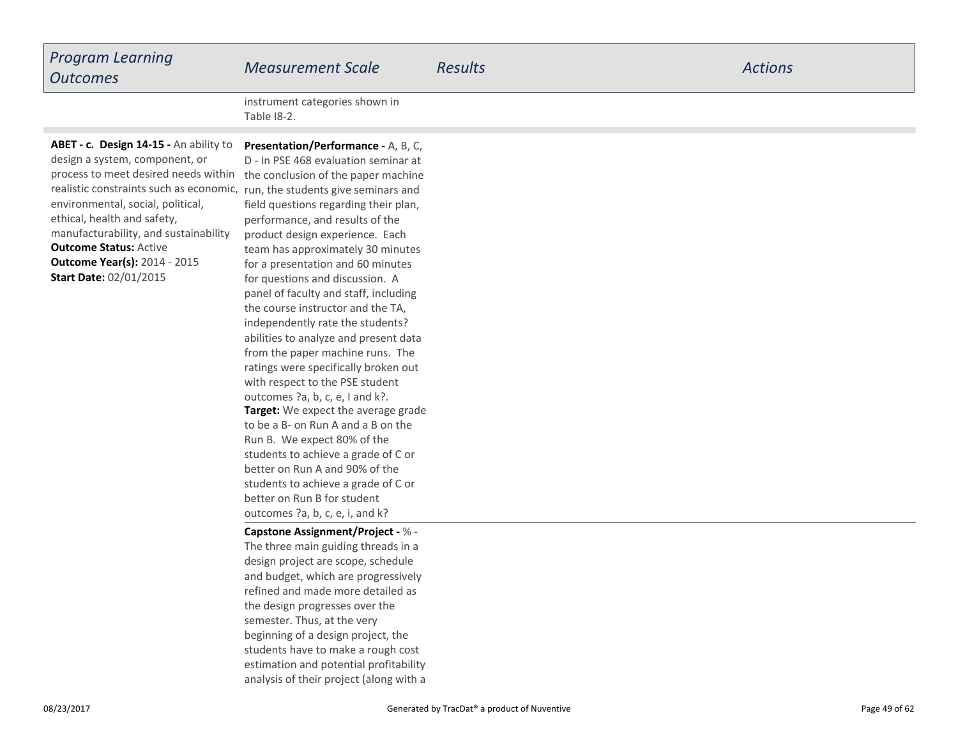| <b>Program Learning</b><br><b>Outcomes</b> | <b>Measurement Scale</b>                                   | <b>Results</b> | <b>Actions</b> |
|--------------------------------------------|------------------------------------------------------------|----------------|----------------|
|                                            | the experiment and show the project of the following their |                |                |

instrument categories shown inTable I8-2.

**Outcome Status:** Active **Outcome Year(s):** 2014 - 2015process to meet desired needs within the conclusion of the paper machine realistic constraints such as economic, run, the students give seminars and **ABET - c. Design 14-15 -** An ability todesign a system, component, orenvironmental, social, political,ethical, health and safety, manufacturability, and sustainability**Start Date:** 02/01/2015

**Target:** We expect the average grade to be a B- on Run A and a B on theRun B. We expect 80% of the students to achieve a grade of C orbetter on Run A and 90% of the students to achieve a grade of C orbetter on Run B for studentoutcomes ?a, b, c, e, i, and k?**Presentation/Performance -** A, B, C,D - In PSE 468 evaluation seminar at field questions regarding their plan,performance, and results of the product design experience. Each team has approximately 30 minutesfor a presentation and 60 minutesfor questions and discussion. A panel of faculty and staff, includingthe course instructor and the TA,independently rate the students? abilities to analyze and present data from the paper machine runs. The ratings were specifically broken outwith respect to the PSE studentoutcomes ?a, b, c, e, I and k?.

**Capstone Assignment/Project -** % -

The three main guiding threads in a design project are scope, schedule and budget, which are progressively refined and made more detailed asthe design progresses over thesemester. Thus, at the very beginning of a design project, the students have to make a rough cost estimation and potential profitabilityanalysis of their project (along with a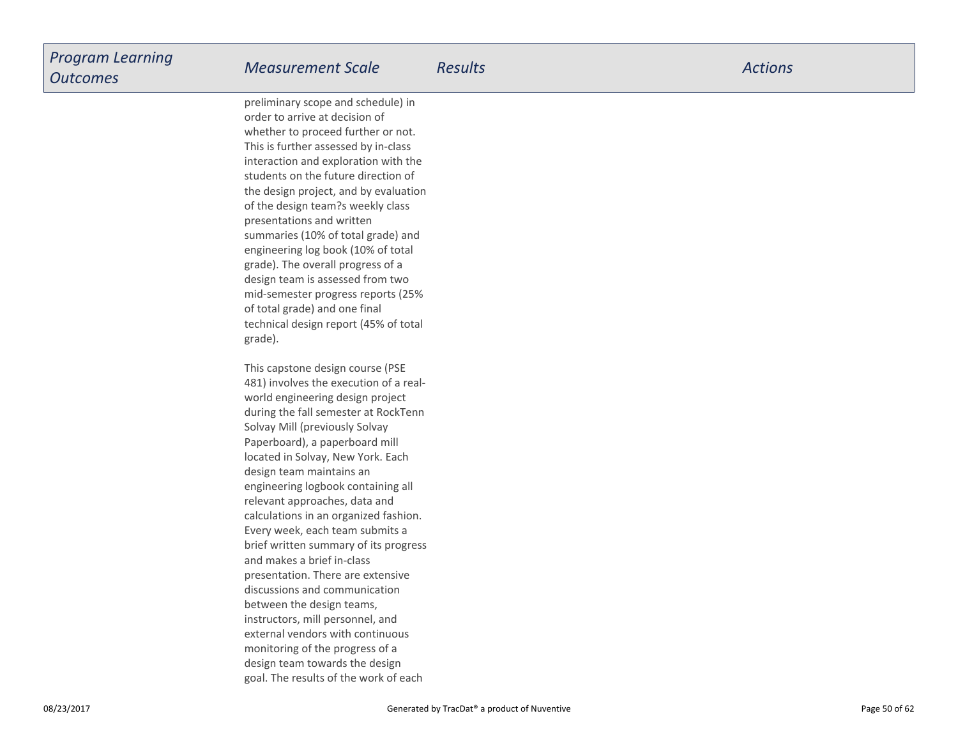preliminary scope and schedule) inorder to arrive at decision ofwhether to proceed further or not.This is further assessed by in-class interaction and exploration with the students on the future direction ofthe design project, and by evaluationof the design team?s weekly classpresentations and written summaries (10% of total grade) and engineering log book (10% of totalgrade). The overall progress of a design team is assessed from two mid-semester progress reports (25%of total grade) and one finaltechnical design report (45% of totalgrade).

This capstone design course (PSE 481) involves the execution of a realworld engineering design projectduring the fall semester at RockTennSolvay Mill (previously Solvay Paperboard), a paperboard milllocated in Solvay, New York. Eachdesign team maintains an engineering logbook containing allrelevant approaches, data and calculations in an organized fashion.Every week, each team submits a brief written summary of its progressand makes a brief in-class presentation. There are extensivediscussions and communicationbetween the design teams,instructors, mill personnel, and external vendors with continuousmonitoring of the progress of a design team towards the designgoal. The results of the work of each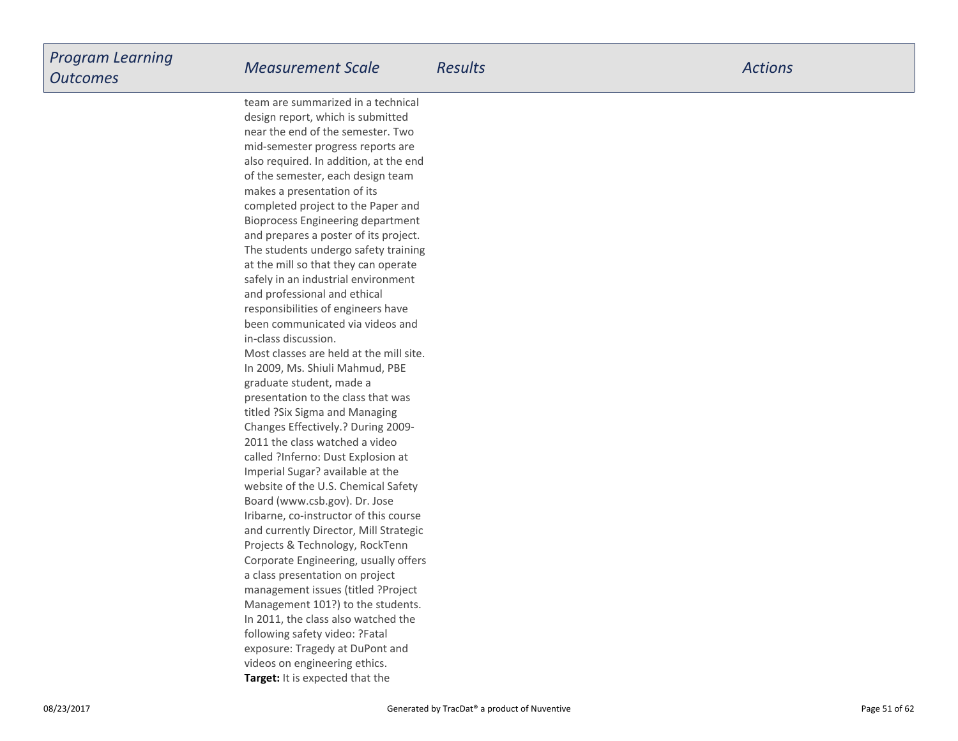**Target:** It is expected that the team are summarized in a technicaldesign report, which is submitted near the end of the semester. Two mid-semester progress reports are also required. In addition, at the endof the semester, each design teammakes a presentation of its completed project to the Paper and Bioprocess Engineering departmentand prepares a poster of its project.The students undergo safety trainingat the mill so that they can operate safely in an industrial environmentand professional and ethicalresponsibilities of engineers have been communicated via videos andin-class discussion.Most classes are held at the mill site.In 2009, Ms. Shiuli Mahmud, PBEgraduate student, made a presentation to the class that wastitled ?Six Sigma and Managing Changes Effectively.? During 2009-2011 the class watched a video called ?Inferno: Dust Explosion atImperial Sugar? available at the website of the U.S. Chemical SafetyBoard (www.csb.gov). Dr. Jose Iribarne, co-instructor of this course and currently Director, Mill StrategicProjects & Technology, RockTenn Corporate Engineering, usually offersa class presentation on projectmanagement issues (titled ?Project Management 101?) to the students.In 2011, the class also watched thefollowing safety video: ?Fatalexposure: Tragedy at DuPont andvideos on engineering ethics.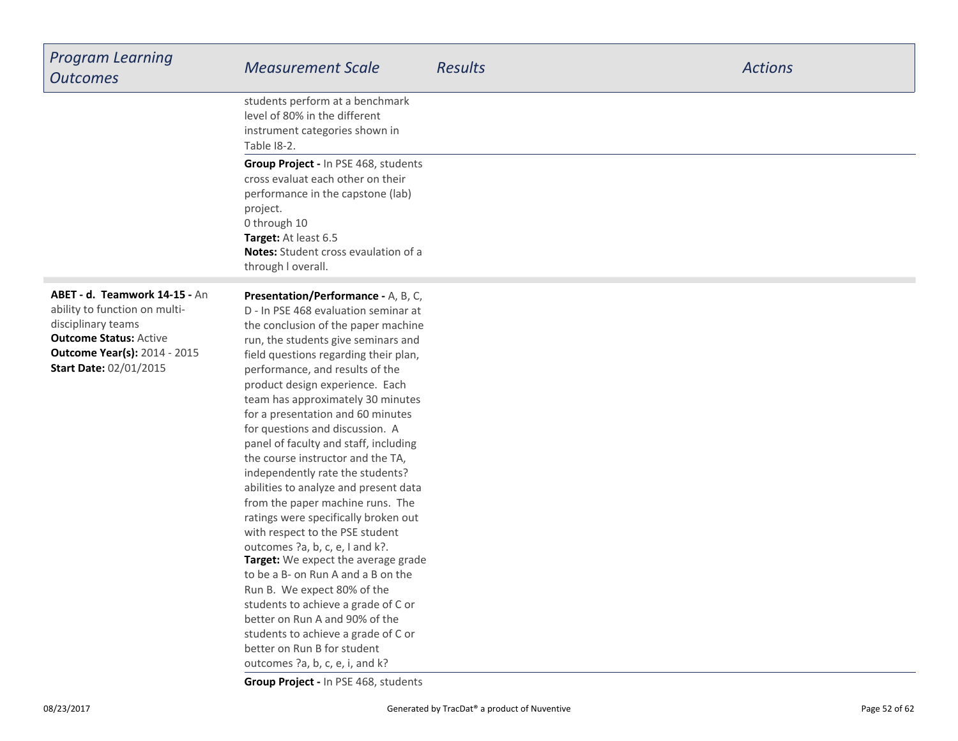| <b>Program Learning</b><br><b>Outcomes</b>                                                                                                                                                    | <b>Measurement Scale</b>                                                                                                                                                                                                                                                                                                                                                                                                                                                                                                                                                                                                                                                                                                                                                                                                                                                                                                                                                                                | <b>Results</b> | <b>Actions</b> |
|-----------------------------------------------------------------------------------------------------------------------------------------------------------------------------------------------|---------------------------------------------------------------------------------------------------------------------------------------------------------------------------------------------------------------------------------------------------------------------------------------------------------------------------------------------------------------------------------------------------------------------------------------------------------------------------------------------------------------------------------------------------------------------------------------------------------------------------------------------------------------------------------------------------------------------------------------------------------------------------------------------------------------------------------------------------------------------------------------------------------------------------------------------------------------------------------------------------------|----------------|----------------|
|                                                                                                                                                                                               | students perform at a benchmark<br>level of 80% in the different<br>instrument categories shown in<br>Table 18-2.                                                                                                                                                                                                                                                                                                                                                                                                                                                                                                                                                                                                                                                                                                                                                                                                                                                                                       |                |                |
|                                                                                                                                                                                               | Group Project - In PSE 468, students<br>cross evaluat each other on their<br>performance in the capstone (lab)<br>project.<br>0 through 10<br>Target: At least 6.5<br><b>Notes:</b> Student cross evaulation of a<br>through I overall.                                                                                                                                                                                                                                                                                                                                                                                                                                                                                                                                                                                                                                                                                                                                                                 |                |                |
| ABET - d. Teamwork 14-15 - An<br>ability to function on multi-<br>disciplinary teams<br><b>Outcome Status: Active</b><br><b>Outcome Year(s): 2014 - 2015</b><br><b>Start Date: 02/01/2015</b> | <b>Presentation/Performance - A, B, C,</b><br>D - In PSE 468 evaluation seminar at<br>the conclusion of the paper machine<br>run, the students give seminars and<br>field questions regarding their plan,<br>performance, and results of the<br>product design experience. Each<br>team has approximately 30 minutes<br>for a presentation and 60 minutes<br>for questions and discussion. A<br>panel of faculty and staff, including<br>the course instructor and the TA,<br>independently rate the students?<br>abilities to analyze and present data<br>from the paper machine runs. The<br>ratings were specifically broken out<br>with respect to the PSE student<br>outcomes ?a, b, c, e, I and k?.<br>Target: We expect the average grade<br>to be a B- on Run A and a B on the<br>Run B. We expect 80% of the<br>students to achieve a grade of C or<br>better on Run A and 90% of the<br>students to achieve a grade of C or<br>better on Run B for student<br>outcomes ?a, b, c, e, i, and k? |                |                |

**Group Project -** In PSE 468, students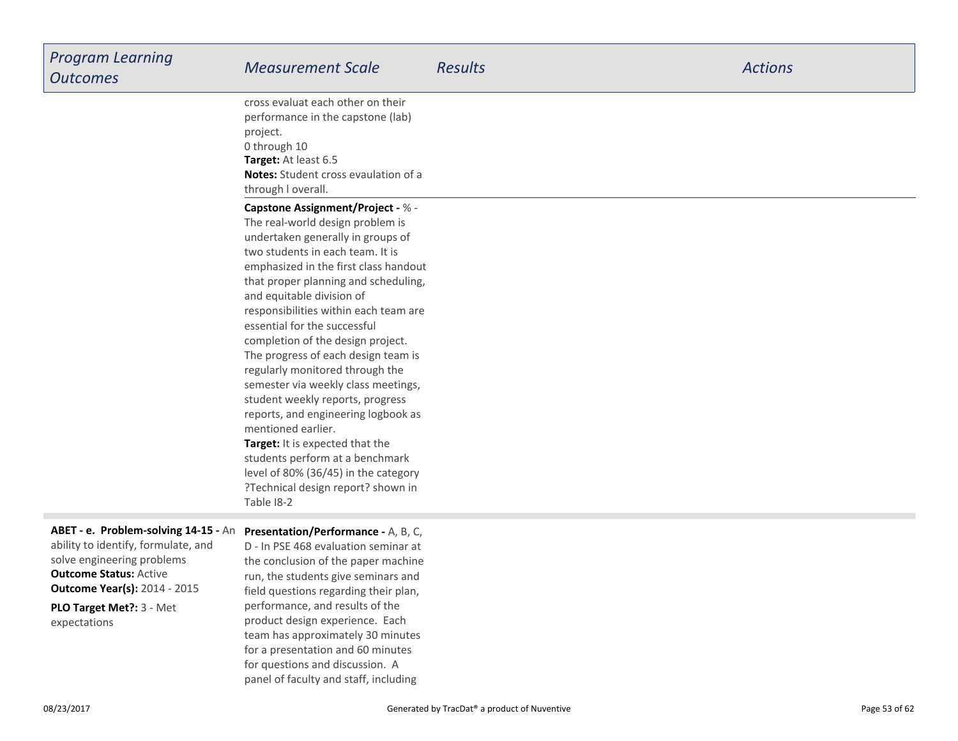| <b>Program Learning</b><br><b>Outcomes</b>                                                                                                                                                                     | <b>Measurement Scale</b>                                                                                                                                                                                                                                                                                                                                                                                                                                                                                                                                                                                                                                                                                                                                              | <b>Results</b> | <b>Actions</b> |
|----------------------------------------------------------------------------------------------------------------------------------------------------------------------------------------------------------------|-----------------------------------------------------------------------------------------------------------------------------------------------------------------------------------------------------------------------------------------------------------------------------------------------------------------------------------------------------------------------------------------------------------------------------------------------------------------------------------------------------------------------------------------------------------------------------------------------------------------------------------------------------------------------------------------------------------------------------------------------------------------------|----------------|----------------|
|                                                                                                                                                                                                                | cross evaluat each other on their<br>performance in the capstone (lab)<br>project.<br>0 through 10<br>Target: At least 6.5<br>Notes: Student cross evaulation of a<br>through I overall.                                                                                                                                                                                                                                                                                                                                                                                                                                                                                                                                                                              |                |                |
|                                                                                                                                                                                                                | <b>Capstone Assignment/Project - % -</b><br>The real-world design problem is<br>undertaken generally in groups of<br>two students in each team. It is<br>emphasized in the first class handout<br>that proper planning and scheduling,<br>and equitable division of<br>responsibilities within each team are<br>essential for the successful<br>completion of the design project.<br>The progress of each design team is<br>regularly monitored through the<br>semester via weekly class meetings,<br>student weekly reports, progress<br>reports, and engineering logbook as<br>mentioned earlier.<br>Target: It is expected that the<br>students perform at a benchmark<br>level of 80% (36/45) in the category<br>?Technical design report? shown in<br>Table 18-2 |                |                |
| ABET - e. Problem-solving 14-15 - An<br>ability to identify, formulate, and<br>solve engineering problems<br><b>Outcome Status: Active</b><br><b>Outcome Year(s): 2014 - 2015</b><br>PLO Target Met ?: 3 - Met | Presentation/Performance - A, B, C,<br>D - In PSE 468 evaluation seminar at<br>the conclusion of the paper machine<br>run, the students give seminars and<br>field questions regarding their plan,<br>performance, and results of the                                                                                                                                                                                                                                                                                                                                                                                                                                                                                                                                 |                |                |

expectations

 product design experience. Each team has approximately 30 minutesfor a presentation and 60 minutesfor questions and discussion. Apanel of faculty and staff, including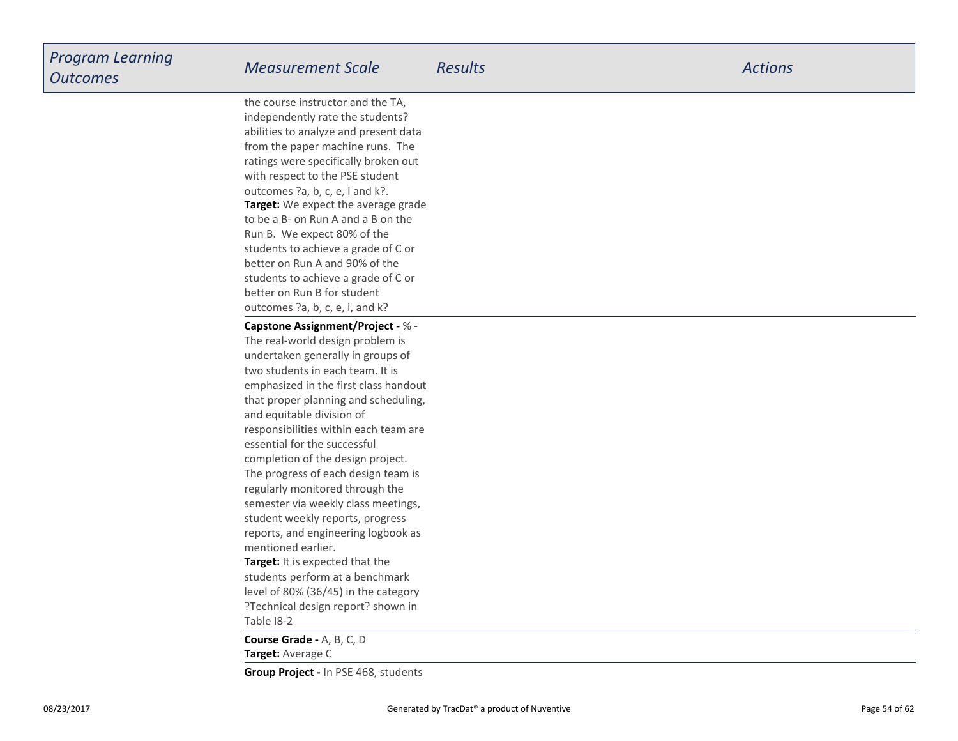**Target:** We expect the average gradeto be a B- on Run A and a B on theRun B. We expect 80% of the students to achieve a grade of C orbetter on Run A and 90% of the students to achieve a grade of C orbetter on Run B for student outcomes ?a, b, c, e, i, and k?the course instructor and the TA,independently rate the students? abilities to analyze and present data from the paper machine runs. The ratings were specifically broken outwith respect to the PSE studentoutcomes ?a, b, c, e, I and k?.

**Target:** It is expected that the **Capstone Assignment/Project -** % -The real-world design problem is undertaken generally in groups oftwo students in each team. It is emphasized in the first class handout that proper planning and scheduling,and equitable division ofresponsibilities within each team areessential for the successfulcompletion of the design project.The progress of each design team isregularly monitored through the semester via weekly class meetings,student weekly reports, progress reports, and engineering logbook asmentioned earlier.

 students perform at a benchmark level of 80% (36/45) in the category ?Technical design report? shown inTable I8-2

**Target:** Average C**Course Grade -** A, B, C, D

**Group Project -** In PSE 468, students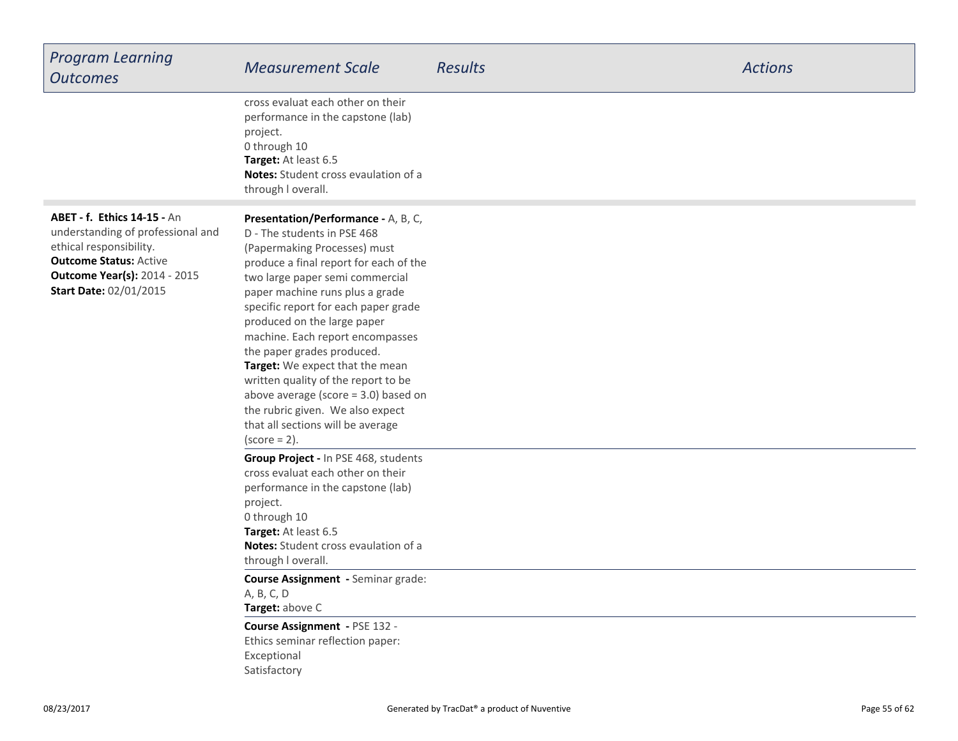| <b>Program Learning</b><br><b>Outcomes</b>                                                                                                                                                                  | <b>Measurement Scale</b>                                                                                                                                                                                                                                                                                                                                                                                                                                                                                                                                                    | <b>Results</b> | <b>Actions</b> |
|-------------------------------------------------------------------------------------------------------------------------------------------------------------------------------------------------------------|-----------------------------------------------------------------------------------------------------------------------------------------------------------------------------------------------------------------------------------------------------------------------------------------------------------------------------------------------------------------------------------------------------------------------------------------------------------------------------------------------------------------------------------------------------------------------------|----------------|----------------|
|                                                                                                                                                                                                             | cross evaluat each other on their<br>performance in the capstone (lab)<br>project.<br>0 through 10<br>Target: At least 6.5<br>Notes: Student cross evaulation of a<br>through I overall.                                                                                                                                                                                                                                                                                                                                                                                    |                |                |
| <b>ABET - f. Ethics 14-15 - An</b><br>understanding of professional and<br>ethical responsibility.<br><b>Outcome Status: Active</b><br><b>Outcome Year(s): 2014 - 2015</b><br><b>Start Date: 02/01/2015</b> | Presentation/Performance - A, B, C,<br>D - The students in PSE 468<br>(Papermaking Processes) must<br>produce a final report for each of the<br>two large paper semi commercial<br>paper machine runs plus a grade<br>specific report for each paper grade<br>produced on the large paper<br>machine. Each report encompasses<br>the paper grades produced.<br>Target: We expect that the mean<br>written quality of the report to be<br>above average (score $=$ 3.0) based on<br>the rubric given. We also expect<br>that all sections will be average<br>$(score = 2)$ . |                |                |
|                                                                                                                                                                                                             | Group Project - In PSE 468, students<br>cross evaluat each other on their<br>performance in the capstone (lab)<br>project.<br>0 through 10<br>Target: At least 6.5<br>Notes: Student cross evaulation of a<br>through I overall.<br>Course Assignment - Seminar grade:<br>A, B, C, D<br>Target: above C<br>Course Assignment - PSE 132 -<br>Ethics seminar reflection paper:<br>Exceptional<br>Satisfactory                                                                                                                                                                 |                |                |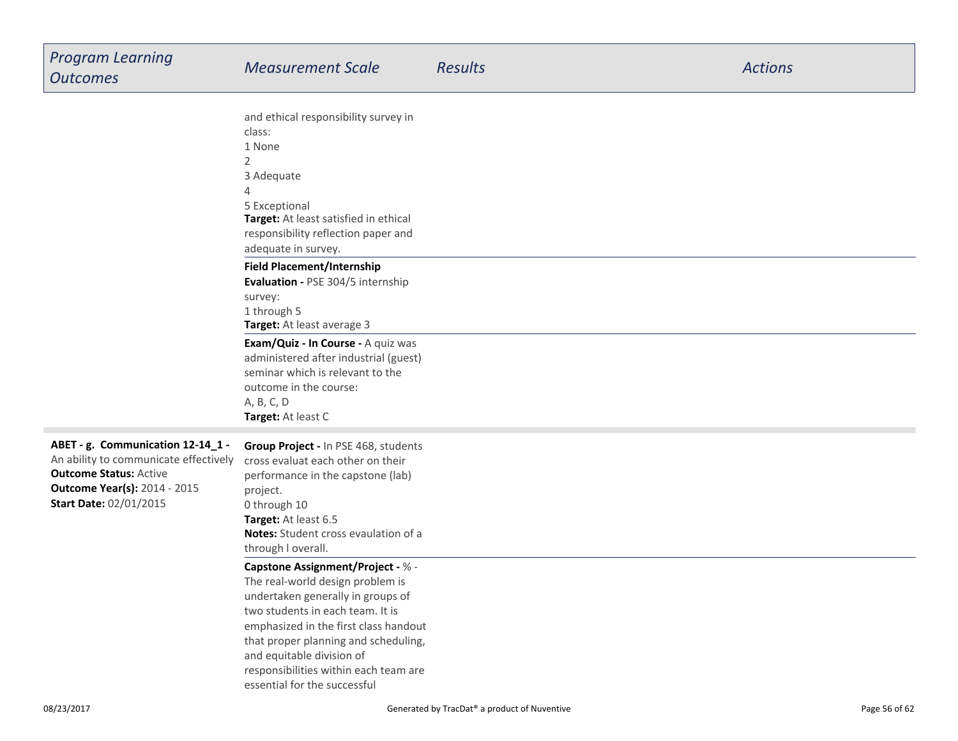|                                       | and ethical responsibility survey in     |
|---------------------------------------|------------------------------------------|
|                                       | class:                                   |
|                                       | 1 None                                   |
|                                       | $\overline{2}$                           |
|                                       | 3 Adequate                               |
|                                       | 4                                        |
|                                       | 5 Exceptional                            |
|                                       | Target: At least satisfied in ethical    |
|                                       | responsibility reflection paper and      |
|                                       | adequate in survey.                      |
|                                       | <b>Field Placement/Internship</b>        |
|                                       | Evaluation - PSE 304/5 internship        |
|                                       | survey:                                  |
|                                       | 1 through 5                              |
|                                       | Target: At least average 3               |
|                                       | Exam/Quiz - In Course - A quiz was       |
|                                       | administered after industrial (guest)    |
|                                       | seminar which is relevant to the         |
|                                       | outcome in the course:                   |
|                                       | A, B, C, D                               |
|                                       | Target: At least C                       |
|                                       |                                          |
| ABET - g. Communication 12-14_1 -     | Group Project - In PSE 468, students     |
| An ability to communicate effectively | cross evaluat each other on their        |
| <b>Outcome Status: Active</b>         | performance in the capstone (lab)        |
| <b>Outcome Year(s): 2014 - 2015</b>   | project.                                 |
| <b>Start Date: 02/01/2015</b>         | 0 through 10                             |
|                                       | Target: At least 6.5                     |
|                                       | Notes: Student cross evaulation of a     |
|                                       | through I overall.                       |
|                                       | <b>Capstone Assignment/Project - % -</b> |
|                                       | The real-world design problem is         |
|                                       | undertaken generally in groups of        |
|                                       | two students in each team. It is         |
|                                       | emphasized in the first class handout    |
|                                       | that proper planning and scheduling,     |
|                                       | and equitable division of                |
|                                       | responsibilities within each team are    |
|                                       | essential for the successful             |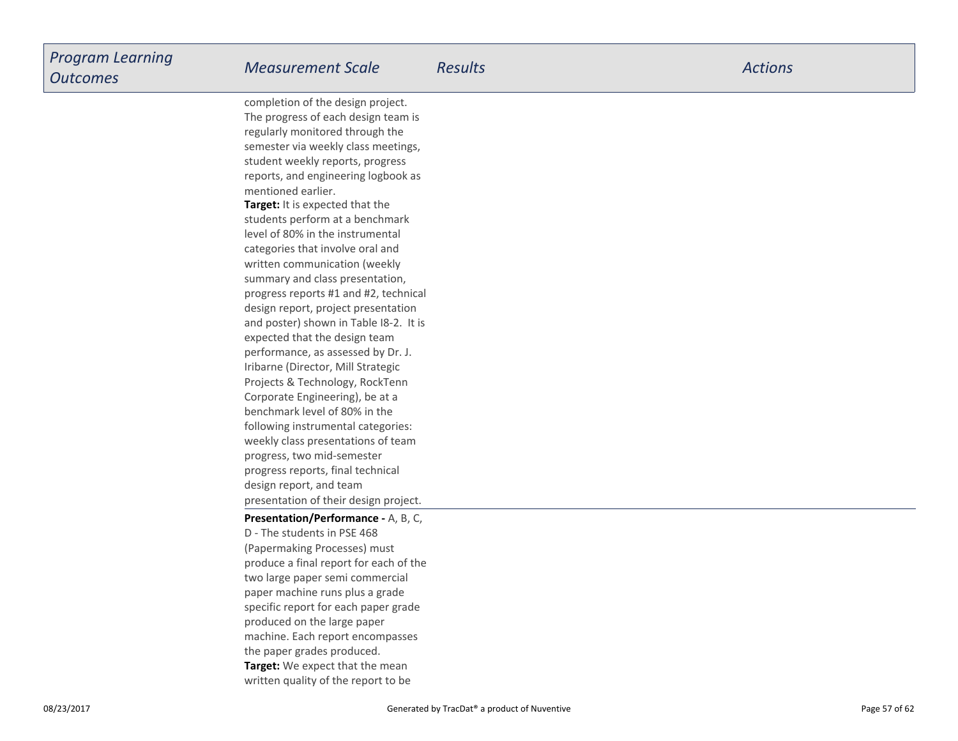**Target:** It is expected that the students perform at a benchmarklevel of 80% in the instrumentalcategories that involve oral and written communication (weekly summary and class presentation,progress reports #1 and #2, technicaldesign report, project presentation and poster) shown in Table I8-2. It isexpected that the design team performance, as assessed by Dr. J.Iribarne (Director, Mill Strategic Projects & Technology, RockTennCorporate Engineering), be at a benchmark level of 80% in the following instrumental categories:weekly class presentations of teamprogress, two mid-semesterprogress reports, final technicaldesign report, and team presentation of their design project.completion of the design project.The progress of each design team isregularly monitored through the semester via weekly class meetings,student weekly reports, progress reports, and engineering logbook asmentioned earlier.

#### **Presentation/Performance -** A, B, C,

**Target:** We expect that the mean written quality of the report to beD - The students in PSE 468 (Papermaking Processes) mustproduce a final report for each of thetwo large paper semi commercialpaper machine runs plus a grade specific report for each paper gradeproduced on the large paper machine. Each report encompassesthe paper grades produced.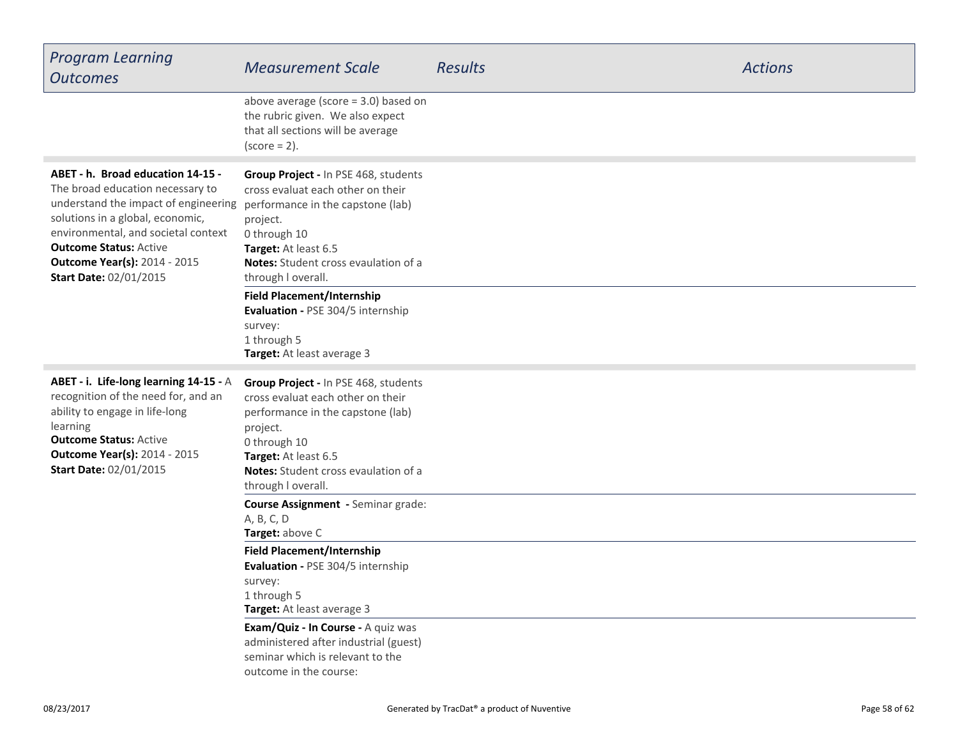| <b>Program Learning</b><br><b>Outcomes</b>                                                                                                                                                                                                                                                        | <b>Measurement Scale</b>                                                                                                                                                                                                                | <b>Results</b> | <b>Actions</b> |
|---------------------------------------------------------------------------------------------------------------------------------------------------------------------------------------------------------------------------------------------------------------------------------------------------|-----------------------------------------------------------------------------------------------------------------------------------------------------------------------------------------------------------------------------------------|----------------|----------------|
|                                                                                                                                                                                                                                                                                                   | above average (score $=$ 3.0) based on<br>the rubric given. We also expect<br>that all sections will be average<br>$(score = 2)$ .                                                                                                      |                |                |
| ABET - h. Broad education 14-15 -<br>The broad education necessary to<br>understand the impact of engineering<br>solutions in a global, economic,<br>environmental, and societal context<br><b>Outcome Status: Active</b><br><b>Outcome Year(s): 2014 - 2015</b><br><b>Start Date: 02/01/2015</b> | Group Project - In PSE 468, students<br>cross evaluat each other on their<br>performance in the capstone (lab)<br>project.<br>0 through 10<br>Target: At least 6.5<br><b>Notes:</b> Student cross evaulation of a<br>through I overall. |                |                |
|                                                                                                                                                                                                                                                                                                   | <b>Field Placement/Internship</b><br>Evaluation - PSE 304/5 internship<br>survey:<br>1 through 5<br>Target: At least average 3                                                                                                          |                |                |
| ABET - i. Life-long learning 14-15 - A<br>recognition of the need for, and an<br>ability to engage in life-long<br>learning<br><b>Outcome Status: Active</b><br><b>Outcome Year(s): 2014 - 2015</b><br><b>Start Date: 02/01/2015</b>                                                              | Group Project - In PSE 468, students<br>cross evaluat each other on their<br>performance in the capstone (lab)<br>project.<br>0 through 10<br>Target: At least 6.5<br>Notes: Student cross evaulation of a<br>through I overall.        |                |                |
|                                                                                                                                                                                                                                                                                                   | Course Assignment - Seminar grade:<br>A, B, C, D<br>Target: above C                                                                                                                                                                     |                |                |
|                                                                                                                                                                                                                                                                                                   | <b>Field Placement/Internship</b><br>Evaluation - PSE 304/5 internship<br>survey:<br>1 through 5<br>Target: At least average 3                                                                                                          |                |                |
|                                                                                                                                                                                                                                                                                                   | Exam/Quiz - In Course - A quiz was<br>administered after industrial (guest)<br>seminar which is relevant to the<br>outcome in the course:                                                                                               |                |                |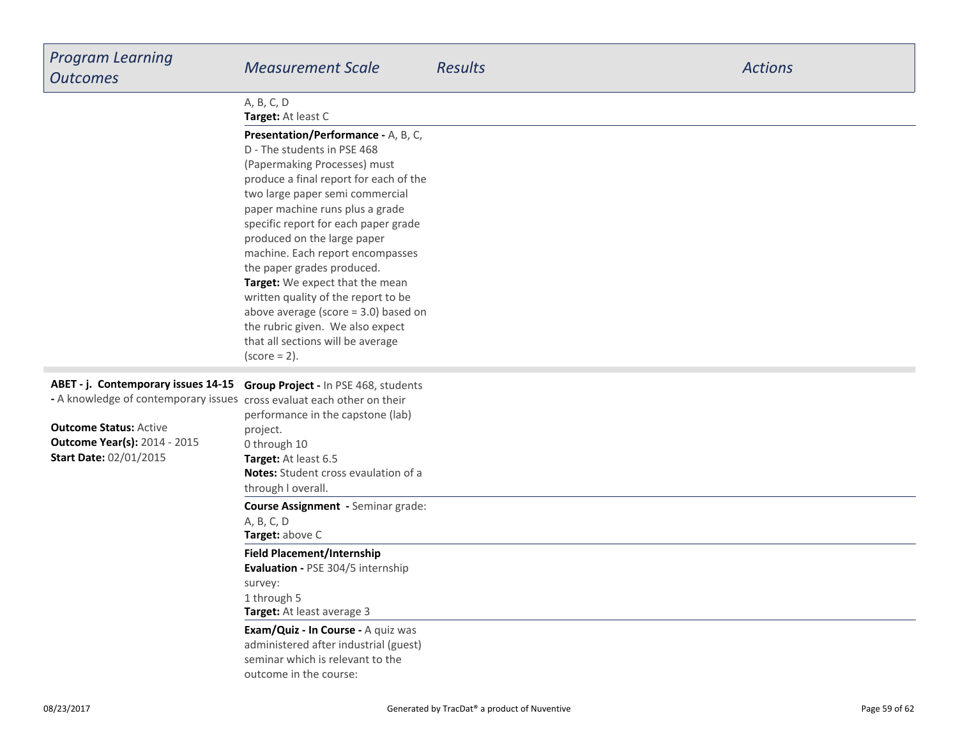| <b>Program Learning</b><br><b>Outcomes</b>                                                                                                                                      | <b>Measurement Scale</b>                                                                                                                                                                                                                                                                                                                                                                                                                                                                                                                                                    | <b>Results</b> | <b>Actions</b> |
|---------------------------------------------------------------------------------------------------------------------------------------------------------------------------------|-----------------------------------------------------------------------------------------------------------------------------------------------------------------------------------------------------------------------------------------------------------------------------------------------------------------------------------------------------------------------------------------------------------------------------------------------------------------------------------------------------------------------------------------------------------------------------|----------------|----------------|
|                                                                                                                                                                                 | A, B, C, D<br>Target: At least C                                                                                                                                                                                                                                                                                                                                                                                                                                                                                                                                            |                |                |
|                                                                                                                                                                                 | Presentation/Performance - A, B, C,<br>D - The students in PSE 468<br>(Papermaking Processes) must<br>produce a final report for each of the<br>two large paper semi commercial<br>paper machine runs plus a grade<br>specific report for each paper grade<br>produced on the large paper<br>machine. Each report encompasses<br>the paper grades produced.<br>Target: We expect that the mean<br>written quality of the report to be<br>above average (score $=$ 3.0) based on<br>the rubric given. We also expect<br>that all sections will be average<br>$(score = 2)$ . |                |                |
| ABET - j. Contemporary issues 14-15                                                                                                                                             | Group Project - In PSE 468, students                                                                                                                                                                                                                                                                                                                                                                                                                                                                                                                                        |                |                |
| - A knowledge of contemporary issues cross evaluat each other on their<br><b>Outcome Status: Active</b><br><b>Outcome Year(s): 2014 - 2015</b><br><b>Start Date: 02/01/2015</b> | performance in the capstone (lab)<br>project.<br>0 through 10<br>Target: At least 6.5<br>Notes: Student cross evaulation of a<br>through I overall.                                                                                                                                                                                                                                                                                                                                                                                                                         |                |                |
|                                                                                                                                                                                 | Course Assignment - Seminar grade:<br>A, B, C, D<br>Target: above C                                                                                                                                                                                                                                                                                                                                                                                                                                                                                                         |                |                |
|                                                                                                                                                                                 | <b>Field Placement/Internship</b><br>Evaluation - PSE 304/5 internship<br>survey:<br>1 through 5<br>Target: At least average 3                                                                                                                                                                                                                                                                                                                                                                                                                                              |                |                |
|                                                                                                                                                                                 | Exam/Quiz - In Course - A quiz was<br>administered after industrial (guest)<br>seminar which is relevant to the<br>outcome in the course:                                                                                                                                                                                                                                                                                                                                                                                                                                   |                |                |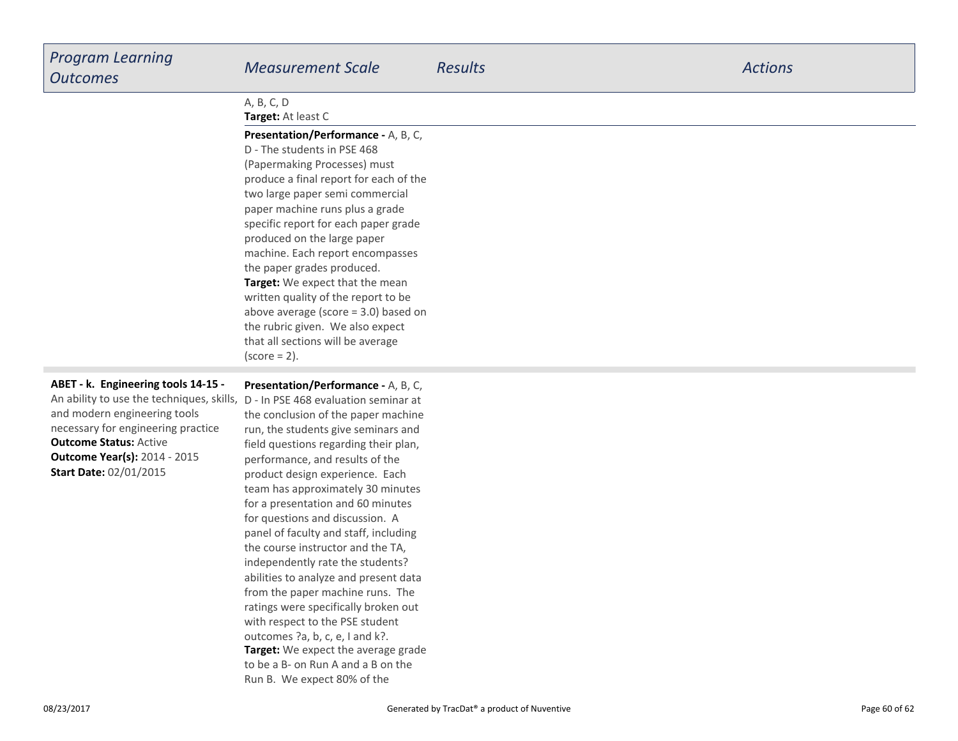| <b>Program Learning</b><br><b>Outcomes</b>                                                                                                                                                                                                                                                           | <b>Measurement Scale</b>                                                                                                                                                                                                                                                                                                                                                                                                                                                                                                                                                    | <b>Results</b> | <b>Actions</b> |
|------------------------------------------------------------------------------------------------------------------------------------------------------------------------------------------------------------------------------------------------------------------------------------------------------|-----------------------------------------------------------------------------------------------------------------------------------------------------------------------------------------------------------------------------------------------------------------------------------------------------------------------------------------------------------------------------------------------------------------------------------------------------------------------------------------------------------------------------------------------------------------------------|----------------|----------------|
|                                                                                                                                                                                                                                                                                                      | A, B, C, D<br>Target: At least C                                                                                                                                                                                                                                                                                                                                                                                                                                                                                                                                            |                |                |
|                                                                                                                                                                                                                                                                                                      | Presentation/Performance - A, B, C,<br>D - The students in PSE 468<br>(Papermaking Processes) must<br>produce a final report for each of the<br>two large paper semi commercial<br>paper machine runs plus a grade<br>specific report for each paper grade<br>produced on the large paper<br>machine. Each report encompasses<br>the paper grades produced.<br>Target: We expect that the mean<br>written quality of the report to be<br>above average (score $=$ 3.0) based on<br>the rubric given. We also expect<br>that all sections will be average<br>$(score = 2)$ . |                |                |
| ABET - k. Engineering tools 14-15 -<br>An ability to use the techniques, skills, D - In PSE 468 evaluation seminar at<br>and modern engineering tools<br>necessary for engineering practice<br><b>Outcome Status: Active</b><br><b>Outcome Year(s): 2014 - 2015</b><br><b>Start Date: 02/01/2015</b> | Presentation/Performance - A, B, C,<br>the conclusion of the paper machine<br>run, the students give seminars and<br>field questions regarding their plan,<br>performance, and results of the<br>product design experience. Each<br>team has approximately 30 minutes<br>for a presentation and 60 minutes<br>for questions and discussion. A<br>panel of faculty and staff, including<br>the course instructor and the TA,<br>independently rate the students?                                                                                                             |                |                |

**Target:** We expect the average grade to be a B- on Run A and a B on theRun B. We expect 80% of the

 abilities to analyze and present data from the paper machine runs. The ratings were specifically broken outwith respect to the PSE studentoutcomes ?a, b, c, e, I and k?.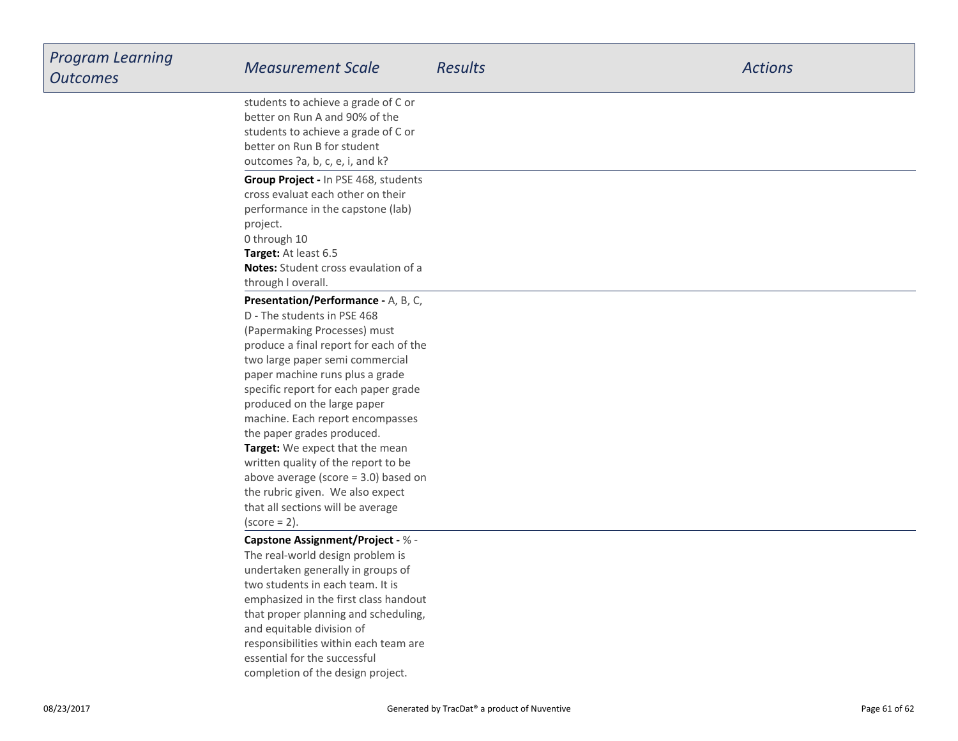| <b>Program Learning</b><br><b>Outcomes</b> | <b>Measurement Scale</b>                                                                                                                                                                                                                                                                                                                                                                                                                                                                                                                                                    | <b>Results</b> | <b>Actions</b> |
|--------------------------------------------|-----------------------------------------------------------------------------------------------------------------------------------------------------------------------------------------------------------------------------------------------------------------------------------------------------------------------------------------------------------------------------------------------------------------------------------------------------------------------------------------------------------------------------------------------------------------------------|----------------|----------------|
|                                            | students to achieve a grade of C or<br>better on Run A and 90% of the<br>students to achieve a grade of C or<br>better on Run B for student<br>outcomes ?a, b, c, e, i, and k?                                                                                                                                                                                                                                                                                                                                                                                              |                |                |
|                                            | Group Project - In PSE 468, students<br>cross evaluat each other on their<br>performance in the capstone (lab)<br>project.<br>0 through 10<br>Target: At least 6.5<br><b>Notes:</b> Student cross evaulation of a<br>through I overall.                                                                                                                                                                                                                                                                                                                                     |                |                |
|                                            | Presentation/Performance - A, B, C,<br>D - The students in PSE 468<br>(Papermaking Processes) must<br>produce a final report for each of the<br>two large paper semi commercial<br>paper machine runs plus a grade<br>specific report for each paper grade<br>produced on the large paper<br>machine. Each report encompasses<br>the paper grades produced.<br>Target: We expect that the mean<br>written quality of the report to be<br>above average (score $=$ 3.0) based on<br>the rubric given. We also expect<br>that all sections will be average<br>$(score = 2)$ . |                |                |
|                                            | <b>Capstone Assignment/Project - % -</b><br>The real-world design problem is<br>undertaken generally in groups of<br>two students in each team. It is<br>emphasized in the first class handout<br>that proper planning and scheduling,<br>and equitable division of<br>responsibilities within each team are<br>essential for the successful<br>completion of the design project.                                                                                                                                                                                           |                |                |

т